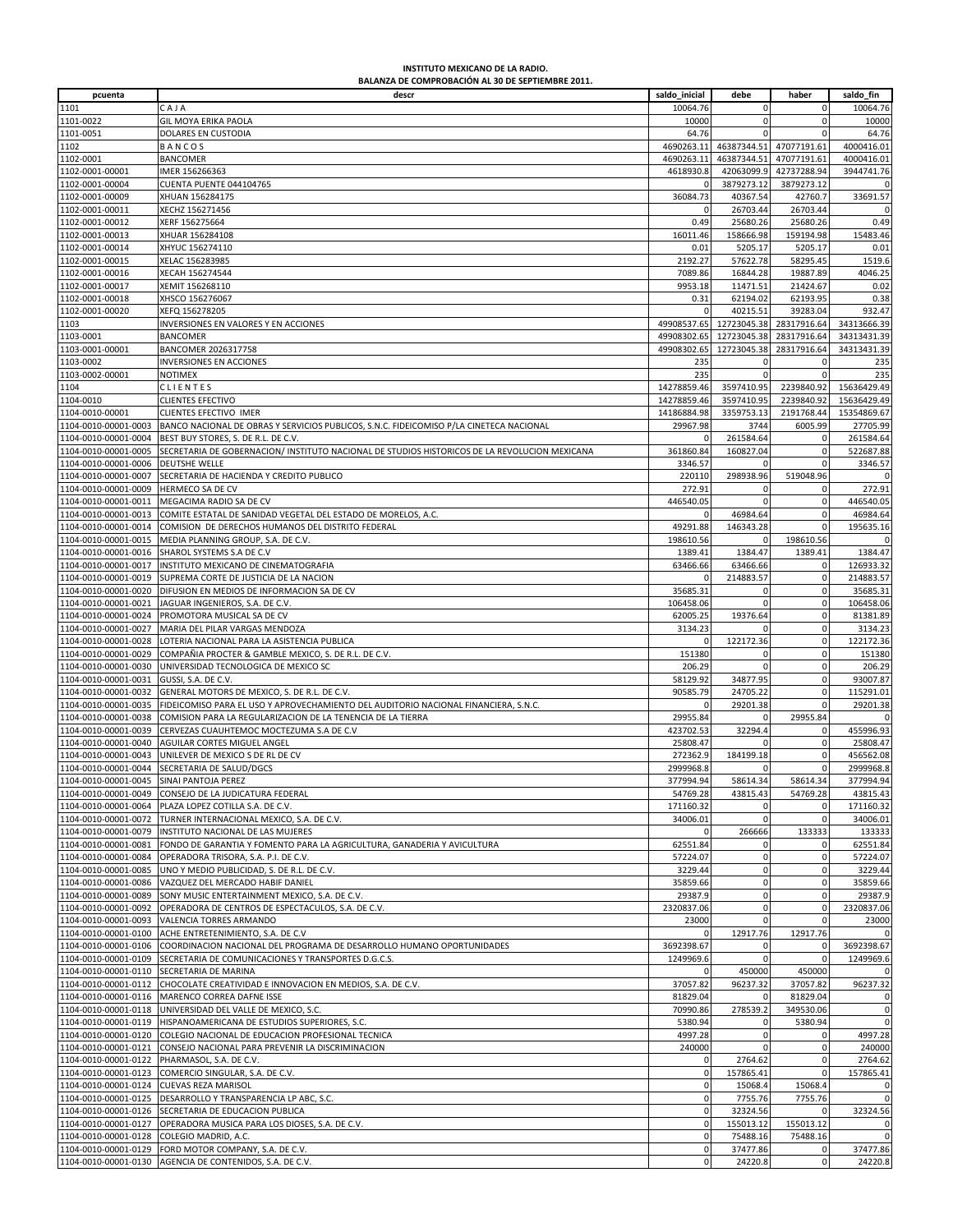## **INSTITUTO MEXICANO DE LA RADIO. BALANZA DE COMPROBACIÓN AL 30 DE SEPTIEMBRE 2011.**

| pcuenta                                 | descr                                                                                         | saldo_inicial  | debe         | haber          | saldo_fin   |
|-----------------------------------------|-----------------------------------------------------------------------------------------------|----------------|--------------|----------------|-------------|
| 1101                                    | CAJA                                                                                          | 10064.76       | $\mathbf 0$  | 0              | 10064.76    |
| 1101-0022                               |                                                                                               | 10000          | $\mathbf 0$  | 0              |             |
|                                         | GIL MOYA ERIKA PAOLA                                                                          |                |              | $\Omega$       | 10000       |
| 1101-0051                               | DOLARES EN CUSTODIA                                                                           | 64.76          |              |                | 64.76       |
| 1102                                    | BANCOS                                                                                        | 4690263.11     | 46387344.51  | 47077191.61    | 4000416.01  |
| 1102-0001                               | <b>BANCOMER</b>                                                                               | 4690263.11     | 46387344.51  | 47077191.61    | 4000416.01  |
| 1102-0001-00001                         | IMER 156266363                                                                                | 4618930.8      | 42063099.9   | 42737288.94    | 3944741.76  |
| 1102-0001-00004                         | CUENTA PUENTE 044104765                                                                       | $\Omega$       | 3879273.12   | 3879273.12     | $\mathbf 0$ |
| 1102-0001-00009                         | XHUAN 156284175                                                                               | 36084.73       | 40367.54     | 42760.7        | 33691.57    |
| 1102-0001-00011                         | XECHZ 156271456                                                                               | $\Omega$       | 26703.44     | 26703.44       | $\mathbf 0$ |
| 1102-0001-00012                         | XERF 156275664                                                                                | 0.49           | 25680.26     | 25680.26       | 0.49        |
| 1102-0001-00013                         | XHUAR 156284108                                                                               | 16011.46       | 158666.98    | 159194.98      | 15483.46    |
| 1102-0001-00014                         | XHYUC 156274110                                                                               | 0.01           | 5205.17      | 5205.17        | 0.01        |
| 1102-0001-00015                         | XELAC 156283985                                                                               | 2192.27        | 57622.78     | 58295.45       | 1519.6      |
| 1102-0001-00016                         | XECAH 156274544                                                                               | 7089.86        | 16844.28     | 19887.89       | 4046.25     |
| 1102-0001-00017                         | XEMIT 156268110                                                                               | 9953.18        | 11471.51     | 21424.67       | 0.02        |
| 1102-0001-00018                         | XHSCO 156276067                                                                               | 0.31           | 62194.02     | 62193.95       | 0.38        |
| 1102-0001-00020                         | XEFQ 156278205                                                                                | $\Omega$       | 40215.51     | 39283.04       | 932.47      |
| 1103                                    | INVERSIONES EN VALORES Y EN ACCIONES                                                          | 49908537.65    | 12723045.38  | 28317916.64    | 34313666.39 |
| 1103-0001                               | <b>BANCOMER</b>                                                                               | 49908302.65    | 12723045.38  | 28317916.64    | 34313431.39 |
| 1103-0001-00001                         | BANCOMER 2026317758                                                                           | 49908302.65    | 12723045.38  | 28317916.64    | 34313431.39 |
|                                         |                                                                                               |                |              |                |             |
| 1103-0002                               | INVERSIONES EN ACCIONES                                                                       | 235            | 0            | $\mathbf 0$    | 235         |
| 1103-0002-00001                         | <b>NOTIMEX</b>                                                                                | 235            | $\mathbf 0$  | $\mathbf 0$    | 235         |
| 1104                                    | CLIENTES                                                                                      | 14278859.46    | 3597410.95   | 2239840.92     | 15636429.49 |
| 1104-0010                               | <b>CLIENTES EFECTIVO</b>                                                                      | 14278859.46    | 3597410.95   | 2239840.92     | 15636429.49 |
| 1104-0010-00001                         | CLIENTES EFECTIVO IMER                                                                        | 14186884.98    | 3359753.13   | 2191768.44     | 15354869.67 |
| 1104-0010-00001-0003                    | BANCO NACIONAL DE OBRAS Y SERVICIOS PUBLICOS, S.N.C. FIDEICOMISO P/LA CINETECA NACIONAL       | 29967.98       | 3744         | 6005.99        | 27705.99    |
| 1104-0010-00001-0004                    | BEST BUY STORES, S. DE R.L. DE C.V.                                                           |                | 261584.64    | $^{\circ}$     | 261584.64   |
| 1104-0010-00001-0005                    | SECRETARIA DE GOBERNACION/ INSTITUTO NACIONAL DE STUDIOS HISTORICOS DE LA REVOLUCION MEXICANA | 361860.84      | 160827.04    | $\mathbf 0$    | 522687.88   |
| 1104-0010-00001-0006                    | DEUTSHE WELLE                                                                                 | 3346.57        | $\mathbf 0$  | $\Omega$       | 3346.57     |
| 1104-0010-00001-0007                    | SECRETARIA DE HACIENDA Y CREDITO PUBLICO                                                      | 220110         | 298938.96    | 519048.96      | 0           |
| 1104-0010-00001-0009                    | HERMECO SA DE CV                                                                              | 272.91         | 0            |                | 272.91      |
|                                         |                                                                                               |                | $\Omega$     | $\mathbf 0$    |             |
| 1104-0010-00001-0011                    | MEGACIMA RADIO SA DE CV                                                                       | 446540.05      |              |                | 446540.05   |
| 1104-0010-00001-0013                    | COMITE ESTATAL DE SANIDAD VEGETAL DEL ESTADO DE MORELOS, A.C.                                 |                | 46984.64     | $\mathbf 0$    | 46984.64    |
| 1104-0010-00001-0014                    | COMISION DE DERECHOS HUMANOS DEL DISTRITO FEDERAL                                             | 49291.88       | 146343.28    | $\Omega$       | 195635.16   |
| 1104-0010-00001-0015                    | MEDIA PLANNING GROUP, S.A. DE C.V.                                                            | 198610.56      | $\mathbf 0$  | 198610.56      | $\mathbf 0$ |
| 1104-0010-00001-0016                    | SHAROL SYSTEMS S.A DE C.V                                                                     | 1389.41        | 1384.47      | 1389.41        | 1384.47     |
| 1104-0010-00001-0017                    | INSTITUTO MEXICANO DE CINEMATOGRAFIA                                                          | 63466.66       | 63466.66     | $\Omega$       | 126933.32   |
| 1104-0010-00001-0019                    | SUPREMA CORTE DE JUSTICIA DE LA NACION                                                        |                | 214883.57    | 0              | 214883.57   |
| 1104-0010-00001-0020                    | DIFUSION EN MEDIOS DE INFORMACION SA DE CV                                                    | 35685.31       | $\mathbf 0$  | $\mathbf 0$    | 35685.31    |
| 1104-0010-00001-0021                    | JAGUAR INGENIEROS, S.A. DE C.V.                                                               | 106458.06      | $\mathbf 0$  | $\mathbf 0$    | 106458.06   |
| 1104-0010-00001-0024                    | PROMOTORA MUSICAL SA DE CV                                                                    | 62005.25       | 19376.64     | $\mathbf 0$    | 81381.89    |
| 1104-0010-00001-0027                    | MARIA DEL PILAR VARGAS MENDOZA                                                                | 3134.23        |              | $\mathbf 0$    | 3134.23     |
| 1104-0010-00001-0028                    | LOTERIA NACIONAL PARA LA ASISTENCIA PUBLICA                                                   |                | 122172.36    | $\mathbf 0$    | 122172.36   |
|                                         |                                                                                               |                |              |                |             |
| 1104-0010-00001-0029                    | COMPAÑIA PROCTER & GAMBLE MEXICO, S. DE R.L. DE C.V.                                          | 151380         | 0            | 0              | 151380      |
| 1104-0010-00001-0030                    | UNIVERSIDAD TECNOLOGICA DE MEXICO SC                                                          | 206.29         | $\Omega$     | $\Omega$       | 206.29      |
| 1104-0010-00001-0031                    | GUSSI, S.A. DE C.V.                                                                           | 58129.92       | 34877.95     | $\mathbf 0$    | 93007.87    |
| 1104-0010-00001-0032                    | GENERAL MOTORS DE MEXICO, S. DE R.L. DE C.V.                                                  | 90585.79       | 24705.22     | 0              | 115291.01   |
| 1104-0010-00001-0035                    | FIDEICOMISO PARA EL USO Y APROVECHAMIENTO DEL AUDITORIO NACIONAL FINANCIERA, S.N.C.           | $\Omega$       | 29201.38     | $\mathbf 0$    | 29201.38    |
| 1104-0010-00001-0038                    | COMISION PARA LA REGULARIZACION DE LA TENENCIA DE LA TIERRA                                   | 29955.84       |              | 29955.84       |             |
| 1104-0010-00001-0039                    | CERVEZAS CUAUHTEMOC MOCTEZUMA S.A DE C.V                                                      | 423702.53      | 32294.4      | 0              | 455996.93   |
| 1104-0010-00001-0040                    | AGUILAR CORTES MIGUEL ANGEL                                                                   | 25808.47       | $\Omega$     | $\mathbf 0$    | 25808.47    |
| 1104-0010-00001-0043                    | UNILEVER DE MEXICO S DE RL DE CV                                                              | 272362.9       | 184199.18    | 0              | 456562.08   |
| 1104-0010-00001-0044                    | SECRETARIA DE SALUD/DGCS                                                                      | 2999968.8      | $\mathbf 0$  | $\mathbf 0$    | 2999968.8   |
| 1104-0010-00001-0045 SINALPANTOJA PEREZ |                                                                                               | 377994.94      | 5861434      | 58614.34       | 377994.94   |
| 1104-0010-00001-0049                    | CONSEJO DE LA JUDICATURA FEDERAL                                                              | 54769.28       | 43815.43     | 54769.28       | 43815.43    |
| 1104-0010-00001-0064                    | PLAZA LOPEZ COTILLA S.A. DE C.V.                                                              | 171160.32      | 0            |                | 171160.32   |
| 1104-0010-00001-0072                    | TURNER INTERNACIONAL MEXICO, S.A. DE C.V.                                                     |                | $\mathbf 0$  | $\mathbf 0$    |             |
|                                         |                                                                                               | 34006.01       |              |                | 34006.01    |
| 1104-0010-00001-0079                    | INSTITUTO NACIONAL DE LAS MUJERES                                                             | $\Omega$       | 266666       | 133333         | 133333      |
| 1104-0010-00001-0081                    | FONDO DE GARANTIA Y FOMENTO PARA LA AGRICULTURA, GANADERIA Y AVICULTURA                       | 62551.84       | $\mathbf 0$  | $\mathbf 0$    | 62551.84    |
| 1104-0010-00001-0084                    | OPERADORA TRISORA, S.A. P.I. DE C.V.                                                          | 57224.07       | $\mathbf 0$  | $\mathbf 0$    | 57224.07    |
| 1104-0010-00001-0085                    | UNO Y MEDIO PUBLICIDAD, S. DE R.L. DE C.V.                                                    | 3229.44        | $\mathbf 0$  | $\mathbf 0$    | 3229.44     |
|                                         | 1104-0010-00001-0086 VAZQUEZ DEL MERCADO HABIF DANIEL                                         | 35859.66       | $\mathbf 0$  | $\mathbf 0$    | 35859.66    |
| 1104-0010-00001-0089                    | SONY MUSIC ENTERTAINMENT MEXICO, S.A. DE C.V.                                                 | 29387.9        | $\mathbf 0$  | $\mathbf 0$    | 29387.9     |
| 1104-0010-00001-0092                    | OPERADORA DE CENTROS DE ESPECTACULOS, S.A. DE C.V.                                            | 2320837.06     | $\mathbf 0$  | $\pmb{0}$      | 2320837.06  |
| 1104-0010-00001-0093                    | VALENCIA TORRES ARMANDO                                                                       | 23000          | $\mathbf 0$  | $\mathbf 0$    | 23000       |
| 1104-0010-00001-0100                    | ACHE ENTRETENIMIENTO, S.A. DE C.V                                                             | $\mathbf 0$    | 12917.76     | 12917.76       | 0           |
| 1104-0010-00001-0106                    | COORDINACION NACIONAL DEL PROGRAMA DE DESARROLLO HUMANO OPORTUNIDADES                         | 3692398.67     | 0            |                | 3692398.67  |
|                                         | 1104-0010-00001-0109 SECRETARIA DE COMUNICACIONES Y TRANSPORTES D.G.C.S.                      | 1249969.6      | $\mathbf 0$  | $\overline{0}$ | 1249969.6   |
|                                         | 1104-0010-00001-0110 SECRETARIA DE MARINA                                                     | $\Omega$       | 450000       | 450000         | $\mathbf 0$ |
| 1104-0010-00001-0112                    | CHOCOLATE CREATIVIDAD E INNOVACION EN MEDIOS, S.A. DE C.V.                                    | 37057.82       | 96237.32     | 37057.82       | 96237.32    |
|                                         |                                                                                               | 81829.04       | $\mathbf{0}$ | 81829.04       |             |
| 1104-0010-00001-0116                    | MARENCO CORREA DAFNE ISSE                                                                     |                |              |                | $\mathbf 0$ |
|                                         | 1104-0010-00001-0118 UNIVERSIDAD DEL VALLE DE MEXICO, S.C.                                    | 70990.86       | 278539.2     | 349530.06      | $\mathbf 0$ |
|                                         | 1104-0010-00001-0119 HISPANOAMERICANA DE ESTUDIOS SUPERIORES, S.C.                            | 5380.94        | $\mathbf 0$  | 5380.94        | $\pmb{0}$   |
| 1104-0010-00001-0120                    | COLEGIO NACIONAL DE EDUCACION PROFESIONAL TECNICA                                             | 4997.28        | $\pmb{0}$    |                | 4997.28     |
| 1104-0010-00001-0121                    | CONSEJO NACIONAL PARA PREVENIR LA DISCRIMINACION                                              | 240000         | $\mathbf{0}$ | $\mathbf 0$    | 240000      |
|                                         | 1104-0010-00001-0122 PHARMASOL, S.A. DE C.V.                                                  | $\mathbf 0$    | 2764.62      | $\mathbf 0$    | 2764.62     |
| 1104-0010-00001-0123                    | COMERCIO SINGULAR, S.A. DE C.V.                                                               | $\mathbf 0$    | 157865.41    | $^{\circ}$     | 157865.41   |
| 1104-0010-00001-0124                    | <b>CUEVAS REZA MARISOL</b>                                                                    | $\mathbf 0$    | 15068.4      | 15068.4        | 0           |
|                                         | 1104-0010-00001-0125 DESARROLLO Y TRANSPARENCIA LP ABC, S.C.                                  | $\mathbf 0$    | 7755.76      | 7755.76        | $\mathbf 0$ |
| 1104-0010-00001-0126                    | SECRETARIA DE EDUCACION PUBLICA                                                               | $\mathbf 0$    | 32324.56     | $\Omega$       | 32324.56    |
| 1104-0010-00001-0127                    | OPERADORA MUSICA PARA LOS DIOSES, S.A. DE C.V.                                                | $\mathbf 0$    | 155013.12    | 155013.12      | $\mathbf 0$ |
| 1104-0010-00001-0128                    | COLEGIO MADRID, A.C.                                                                          | $\mathbf 0$    | 75488.16     | 75488.16       | $\mathbf 0$ |
|                                         | 1104-0010-00001-0129    FORD MOTOR COMPANY, S.A. DE C.V.                                      |                |              |                |             |
|                                         |                                                                                               | $\mathbf 0$    | 37477.86     | 0              | 37477.86    |
|                                         | 1104-0010-00001-0130 AGENCIA DE CONTENIDOS, S.A. DE C.V.                                      | $\overline{0}$ | 24220.8      | $\mathbf 0$    | 24220.8     |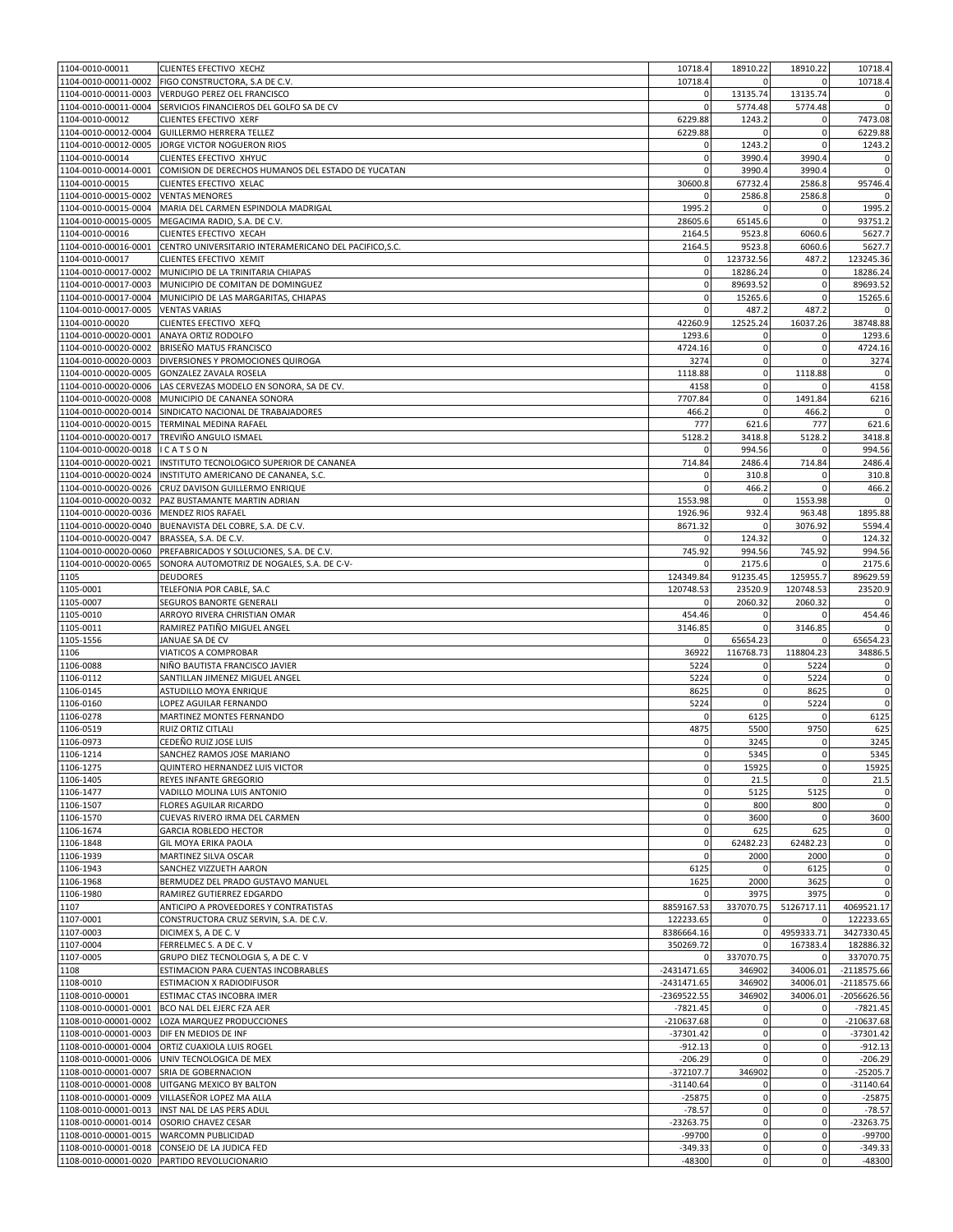| 1104-0010-00011                              | CLIENTES EFECTIVO XECHZ                                 | 10718.4               | 18910.22               | 18910.22      | 10718.4                                                                                                                                                                                   |
|----------------------------------------------|---------------------------------------------------------|-----------------------|------------------------|---------------|-------------------------------------------------------------------------------------------------------------------------------------------------------------------------------------------|
| 1104-0010-00011-0002                         | FIGO CONSTRUCTORA, S.A DE C.V.                          | 10718.4               |                        |               | 10718.4                                                                                                                                                                                   |
|                                              | 1104-0010-00011-0003 VERDUGO PEREZ OEL FRANCISCO        | 0                     | 13135.74               | 13135.74      | 0                                                                                                                                                                                         |
| 1104-0010-00011-0004                         | SERVICIOS FINANCIEROS DEL GOLFO SA DE CV                |                       | 5774.48                | 5774.48       | $\mathbf 0$                                                                                                                                                                               |
| 1104-0010-00012                              | CLIENTES EFECTIVO XERF                                  | 6229.88               | 1243.2                 |               | 7473.08                                                                                                                                                                                   |
| 1104-0010-00012-0004                         | GUILLERMO HERRERA TELLEZ                                | 6229.88               | 0                      | 0             | 6229.88                                                                                                                                                                                   |
| 1104-0010-00012-0005                         | JORGE VICTOR NOGUERON RIOS                              | 0                     | 1243.2                 |               | 1243.2                                                                                                                                                                                    |
| 1104-0010-00014                              | CLIENTES EFECTIVO XHYUC                                 | $\mathbf 0$           | 3990.4                 | 3990.4        | 0                                                                                                                                                                                         |
| 1104-0010-00014-0001                         | COMISION DE DERECHOS HUMANOS DEL ESTADO DE YUCATAN      | $\mathbf 0$           | 3990.4                 | 3990.4        | $\mathbf 0$                                                                                                                                                                               |
| 1104-0010-00015                              | CLIENTES EFECTIVO XELAC                                 | 30600.8               | 67732.4                | 2586.8        | 95746.4                                                                                                                                                                                   |
| 1104-0010-00015-0002                         | <b>VENTAS MENORES</b>                                   |                       | 2586.8                 | 2586.8        | 0                                                                                                                                                                                         |
| 1104-0010-00015-0004                         | MARIA DEL CARMEN ESPINDOLA MADRIGAL                     | 1995.2                | 0                      | 0             | 1995.2                                                                                                                                                                                    |
| 1104-0010-00015-0005                         | MEGACIMA RADIO, S.A. DE C.V.                            | 28605.6               | 65145.6                | 0             | 93751.2                                                                                                                                                                                   |
| 1104-0010-00016                              | CLIENTES EFECTIVO XECAH                                 | 2164.5                | 9523.8                 | 6060.6        | 5627.7                                                                                                                                                                                    |
| 1104-0010-00016-0001                         | CENTRO UNIVERSITARIO INTERAMERICANO DEL PACIFICO, S.C.  | 2164.5                | 9523.8                 | 6060.6        | 5627.7                                                                                                                                                                                    |
| 1104-0010-00017                              | CLIENTES EFECTIVO XEMIT                                 | 0                     | 123732.56              | 487.2         | 123245.36                                                                                                                                                                                 |
| 1104-0010-00017-0002                         | MUNICIPIO DE LA TRINITARIA CHIAPAS                      | $\mathbf 0$           | 18286.24               | $\Omega$      | 18286.24                                                                                                                                                                                  |
| 1104-0010-00017-0003                         | MUNICIPIO DE COMITAN DE DOMINGUEZ                       | $\mathbf 0$           | 89693.52               | $\mathbf 0$   | 89693.52                                                                                                                                                                                  |
| 1104-0010-00017-0004                         | MUNICIPIO DE LAS MARGARITAS, CHIAPAS                    | $\mathbf 0$           | 15265.6                | $\Omega$      | 15265.6                                                                                                                                                                                   |
| 1104-0010-00017-0005                         | <b>VENTAS VARIAS</b>                                    | $\mathbf 0$           | 487.2                  | 487.2         | 0                                                                                                                                                                                         |
| 1104-0010-00020                              | CLIENTES EFECTIVO XEFQ                                  | 42260.9               | 12525.24               | 16037.26      | 38748.88                                                                                                                                                                                  |
| 1104-0010-00020-0001                         | ANAYA ORTIZ RODOLFO                                     | 1293.6                | 0                      |               | 1293.6                                                                                                                                                                                    |
| 1104-0010-00020-0002                         | BRISEÑO MATUS FRANCISCO                                 | 4724.16               | $\mathbf 0$            | $\mathbf 0$   | 4724.16                                                                                                                                                                                   |
| 1104-0010-00020-0003                         | DIVERSIONES Y PROMOCIONES QUIROGA                       | 3274                  | $\mathbf 0$            | 0             | 3274                                                                                                                                                                                      |
| 1104-0010-00020-0005                         | GONZALEZ ZAVALA ROSELA                                  | 1118.88               | $\mathbf 0$            | 1118.88       | $\mathbf 0$                                                                                                                                                                               |
| 1104-0010-00020-0006                         | LAS CERVEZAS MODELO EN SONORA, SA DE CV.                | 4158                  | $\pmb{0}$              |               | 4158                                                                                                                                                                                      |
| 1104-0010-00020-0008                         | MUNICIPIO DE CANANEA SONORA                             | 7707.84               | $\mathbf 0$            | 1491.84       | 6216                                                                                                                                                                                      |
|                                              | 1104-0010-00020-0014 SINDICATO NACIONAL DE TRABAJADORES | 466.2                 | 0                      | 466.2         | $\pmb{0}$                                                                                                                                                                                 |
| 1104-0010-00020-0015                         | TERMINAL MEDINA RAFAEL                                  | 777                   | 621.6                  | 777           | 621.6                                                                                                                                                                                     |
| 1104-0010-00020-0017                         | TREVIÑO ANGULO ISMAEL                                   | 5128.2                | 3418.8                 | 5128.2        | 3418.8                                                                                                                                                                                    |
| 1104-0010-00020-0018                         | ICATSON                                                 | $\mathbf 0$           | 994.56                 | 0             | 994.56                                                                                                                                                                                    |
| 1104-0010-00020-0021                         | INSTITUTO TECNOLOGICO SUPERIOR DE CANANEA               | 714.84                | 2486.4                 | 714.84        | 2486.4                                                                                                                                                                                    |
| 1104-0010-00020-0024                         | INSTITUTO AMERICANO DE CANANEA, S.C.                    | $\mathbf 0$           | 310.8                  | $\Omega$      | 310.8                                                                                                                                                                                     |
| 1104-0010-00020-0026                         | CRUZ DAVISON GUILLERMO ENRIQUE                          | $\mathbf 0$           | 466.2                  |               | 466.2                                                                                                                                                                                     |
| 1104-0010-00020-0032                         | PAZ BUSTAMANTE MARTIN ADRIAN                            | 1553.98               | $\mathbf 0$            | 1553.98       | 0                                                                                                                                                                                         |
| 1104-0010-00020-0036 MENDEZ RIOS RAFAEL      |                                                         | 1926.96               | 932.4                  | 963.48        | 1895.88                                                                                                                                                                                   |
| 1104-0010-00020-0040                         | BUENAVISTA DEL COBRE, S.A. DE C.V.                      | 8671.32               | $\mathbf 0$            | 3076.92       | 5594.4                                                                                                                                                                                    |
| 1104-0010-00020-0047                         | BRASSEA, S.A. DE C.V.                                   |                       | 124.32                 | 0             | 124.32                                                                                                                                                                                    |
| 1104-0010-00020-0060                         | PREFABRICADOS Y SOLUCIONES, S.A. DE C.V.                | 745.92                | 994.56                 | 745.92        | 994.56                                                                                                                                                                                    |
| 1104-0010-00020-0065                         | SONORA AUTOMOTRIZ DE NOGALES, S.A. DE C-V-              |                       | 2175.6                 |               | 2175.6                                                                                                                                                                                    |
| 1105                                         | DEUDORES                                                | 124349.84             | 91235.45               | 125955.7      | 89629.59                                                                                                                                                                                  |
| 1105-0001                                    | TELEFONIA POR CABLE, SA.C                               | 120748.53             | 23520.9                | 120748.53     | 23520.9                                                                                                                                                                                   |
| 1105-0007                                    | SEGUROS BANORTE GENERALI                                | $\mathbf 0$           | 2060.32                | 2060.32       | $\mathbf 0$                                                                                                                                                                               |
| 1105-0010                                    | ARROYO RIVERA CHRISTIAN OMAR                            | 454.46                | $\mathbf 0$            |               | 454.46                                                                                                                                                                                    |
| 1105-0011                                    | RAMIREZ PATIÑO MIGUEL ANGEL                             | 3146.85               | $\mathbf 0$            | 3146.85       | 0                                                                                                                                                                                         |
| 1105-1556                                    | JANUAE SA DE CV                                         | $\mathbf 0$           | 65654.23               |               | 65654.23                                                                                                                                                                                  |
|                                              |                                                         |                       |                        |               |                                                                                                                                                                                           |
| 1106                                         | VIATICOS A COMPROBAR                                    | 36922                 | 116768.73              | 118804.23     |                                                                                                                                                                                           |
| 1106-0088                                    | NIÑO BAUTISTA FRANCISCO JAVIER                          | 5224                  | $\mathbf 0$            | 5224          | 34886.5<br>0                                                                                                                                                                              |
| 1106-0112                                    | SANTILLAN JIMENEZ MIGUEL ANGEL                          | 5224                  | 0                      | 5224          |                                                                                                                                                                                           |
| 1106-0145                                    | ASTUDILLO MOYA ENRIQUE                                  | 8625                  | $\bf 0$                | 8625          |                                                                                                                                                                                           |
| 1106-0160                                    | LOPEZ AGUILAR FERNANDO                                  | 5224                  | $\pmb{0}$              | 5224          |                                                                                                                                                                                           |
| 1106-0278                                    | MARTINEZ MONTES FERNANDO                                | $\mathbf 0$           | 6125                   |               |                                                                                                                                                                                           |
| 1106-0519                                    | RUIZ ORTIZ CITLALI                                      | 4875                  | 5500                   | 9750          |                                                                                                                                                                                           |
| 1106-0973                                    | CEDEÑO RUIZ JOSE LUIS                                   | O                     | 3245                   |               |                                                                                                                                                                                           |
| 1106-1214                                    | SANCHEZ RAMOS JOSE MARIANO                              | $\mathbf 0$           | 5345                   | $\mathbf 0$   |                                                                                                                                                                                           |
| 1106-1275                                    | QUINTERO HERNANDEZ LUIS VICTOR                          | $\mathbf 0$           | 15925                  | $\mathbf 0$   |                                                                                                                                                                                           |
| 1106-1405                                    | REYES INFANTE GREGORIO                                  | $\mathbf 0$           | 21.5                   | $\Omega$      |                                                                                                                                                                                           |
| 1106-1477                                    | VADILLO MOLINA LUIS ANTONIO                             | $\mathbf 0$           | 5125                   | 5125          |                                                                                                                                                                                           |
| 1106-1507                                    | <b>FLORES AGUILAR RICARDO</b>                           | $\mathbf 0$           | 800                    | 800           |                                                                                                                                                                                           |
| 1106-1570                                    | CUEVAS RIVERO IRMA DEL CARMEN                           | $\mathbf 0$           | 3600                   | $\mathbf{0}$  |                                                                                                                                                                                           |
| 1106-1674                                    | <b>GARCIA ROBLEDO HECTOR</b>                            | $\mathbf 0$           | 625                    | 625           |                                                                                                                                                                                           |
| 1106-1848                                    | <b>GIL MOYA ERIKA PAOLA</b>                             | $\mathbf 0$           | 62482.23               | 62482.23      |                                                                                                                                                                                           |
| 1106-1939                                    | MARTINEZ SILVA OSCAR                                    | $\mathbf 0$           | 2000                   | 2000          |                                                                                                                                                                                           |
| 1106-1943                                    | SANCHEZ VIZZUETH AARON                                  | 6125                  | $\mathbf 0$            | 6125          |                                                                                                                                                                                           |
| 1106-1968                                    | BERMUDEZ DEL PRADO GUSTAVO MANUEL                       | 1625                  | 2000                   | 3625          |                                                                                                                                                                                           |
| 1106-1980                                    | RAMIREZ GUTIERREZ EDGARDO                               | $\mathbf 0$           | 3975                   | 3975          | 0<br>$\mathbf 0$<br>$\mathbf 0$<br>6125<br>625<br>3245<br>5345<br>15925<br>21.5<br>0<br>$\mathbf 0$<br>3600<br>$\pmb{0}$<br>$\mathbf 0$<br>0<br>$\mathbf 0$<br>$\mathbf 0$<br>$\mathbf 0$ |
| 1107                                         | ANTICIPO A PROVEEDORES Y CONTRATISTAS                   | 8859167.53            | 337070.75              | 5126717.11    | 4069521.17                                                                                                                                                                                |
| 1107-0001                                    | CONSTRUCTORA CRUZ SERVIN, S.A. DE C.V.                  | 122233.65             | $\mathbf 0$            | 0             |                                                                                                                                                                                           |
| 1107-0003                                    | DICIMEX S, A DE C. V                                    | 8386664.16            | $\mathbf 0$            | 4959333.71    | 122233.65<br>3427330.45                                                                                                                                                                   |
| 1107-0004                                    | FERRELMEC S. A DE C. V                                  | 350269.72             | $\mathbf 0$            | 167383.4      | 182886.32                                                                                                                                                                                 |
| 1107-0005                                    | GRUPO DIEZ TECNOLOGIA S, A DE C. V                      | 0                     | 337070.75              | $\mathbf 0$   | 337070.75                                                                                                                                                                                 |
| 1108                                         | ESTIMACION PARA CUENTAS INCOBRABLES                     | $-2431471.65$         | 346902                 | 34006.01      | $-2118575.66$                                                                                                                                                                             |
| 1108-0010                                    | ESTIMACION X RADIODIFUSOR                               | -2431471.65           | 346902                 | 34006.01      | $-2118575.66$                                                                                                                                                                             |
| 1108-0010-00001                              | ESTIMAC CTAS INCOBRA IMER                               | -2369522.55           | 346902                 | 34006.01      | $-2056626.56$                                                                                                                                                                             |
| 1108-0010-00001-0001                         | BCO NAL DEL EJERC FZA AER                               | $-7821.45$            | 0                      | $\mathbf 0$   | $-7821.45$                                                                                                                                                                                |
| 1108-0010-00001-0002                         | LOZA MARQUEZ PRODUCCIONES                               | $-210637.68$          | $\mathbf 0$            | $\mathbf 0$   | $-210637.68$                                                                                                                                                                              |
| 1108-0010-00001-0003                         | DIF EN MEDIOS DE INF                                    | $-37301.42$           | $\mathbf 0$            | $\mathbf{0}$  | $-37301.42$                                                                                                                                                                               |
|                                              | 1108-0010-00001-0004 ORTIZ CUAXIOLA LUIS ROGEL          | $-912.13$             | $\mathbf 0$            | $\mathbf 0$   | $-912.13$                                                                                                                                                                                 |
| 1108-0010-00001-0006                         | UNIV TECNOLOGICA DE MEX                                 | $-206.29$             | $\Omega$               | $\mathbf 0$   | $-206.29$                                                                                                                                                                                 |
| 1108-0010-00001-0007                         | SRIA DE GOBERNACION                                     | $-372107.7$           | 346902                 | $\mathbf 0$   | $-25205.7$                                                                                                                                                                                |
|                                              | 1108-0010-00001-0008 UITGANG MEXICO BY BALTON           | $-31140.64$           | 0                      | $\mathbf 0$   | $-31140.64$                                                                                                                                                                               |
| 1108-0010-00001-0009                         | VILLASEÑOR LOPEZ MA ALLA                                | $-25875$              | $\bf 0$                | $\mathbf 0$   |                                                                                                                                                                                           |
| 1108-0010-00001-0013                         | INST NAL DE LAS PERS ADUL                               | $-78.57$              | $\bf 0$                | $\mathbf 0$   | $-78.57$                                                                                                                                                                                  |
| 1108-0010-00001-0014 OSORIO CHAVEZ CESAR     |                                                         | $-23263.75$           | $\mathbf 0$            | $\mathbf 0$   | $-25875$<br>$-23263.75$                                                                                                                                                                   |
|                                              | 1108-0010-00001-0015 WARCOMN PUBLICIDAD                 | -99700                | $\mathbf 0$            | $\mathbf 0$   |                                                                                                                                                                                           |
| 1108-0010-00001-0018<br>1108-0010-00001-0020 | CONSEJO DE LA JUDICA FED<br>PARTIDO REVOLUCIONARIO      | $-349.33$<br>$-48300$ | $\bf 0$<br>$\mathbf 0$ | 0<br>$\Omega$ | $-99700$<br>$-349.33$<br>$-48300$                                                                                                                                                         |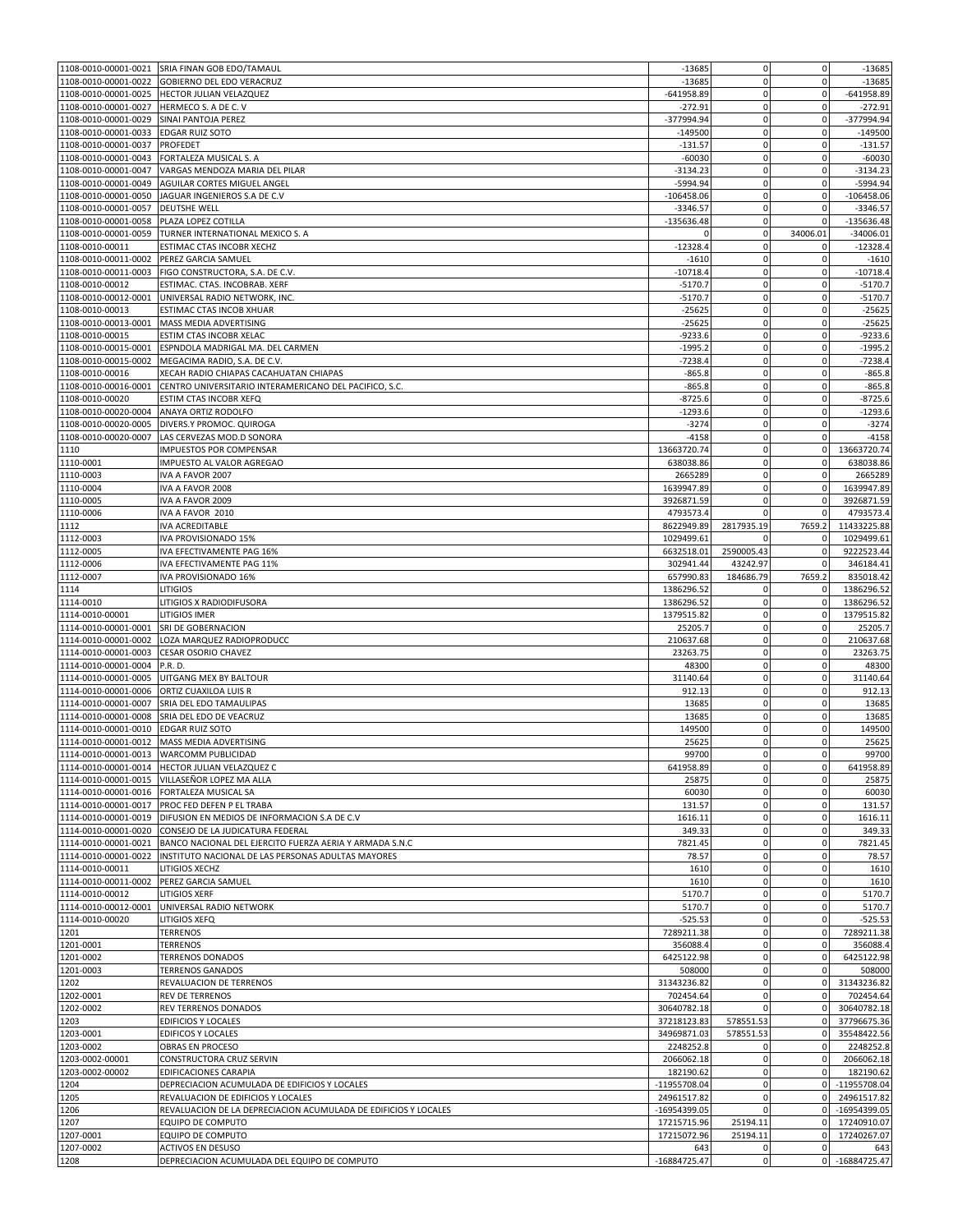|                                           | 1108-0010-00001-0021 SRIA FINAN GOB EDO/TAMAUL                               | $-13685$            | $\mathbf 0$    | $\mathbf 0$    | $-13685$                                                                |
|-------------------------------------------|------------------------------------------------------------------------------|---------------------|----------------|----------------|-------------------------------------------------------------------------|
| 1108-0010-00001-0022                      | <b>GOBIERNO DEL EDO VERACRUZ</b>                                             | $-13685$            | $\mathbf 0$    | $\mathbf 0$    | $-13685$                                                                |
| 1108-0010-00001-0025                      | HECTOR JULIAN VELAZQUEZ                                                      | $-641958.89$        | $\pmb{0}$      | $\mathbf 0$    | $-641958.89$                                                            |
| 1108-0010-00001-0027                      | HERMECO S. A DE C. V                                                         | $-272.91$           | $\mathbf 0$    | $\mathbf 0$    | $-272.91$                                                               |
| 1108-0010-00001-0029                      | SINAI PANTOJA PEREZ                                                          | -377994.94          | $\mathbf 0$    | $\mathbf 0$    | -377994.94                                                              |
| 1108-0010-00001-0033                      | <b>EDGAR RUIZ SOTO</b>                                                       | $-149500$           | $\pmb{0}$      | $\mathbf 0$    | $-149500$                                                               |
| 1108-0010-00001-0037                      | PROFEDET                                                                     | $-131.57$           | 0              | $\mathbf 0$    | $-131.57$                                                               |
| 1108-0010-00001-0043                      | FORTALEZA MUSICAL S. A                                                       | $-60030$            | $\bf 0$        | $\mathbf 0$    | $-60030$                                                                |
| 1108-0010-00001-0047                      | VARGAS MENDOZA MARIA DEL PILAR                                               | $-3134.23$          | $\mathbf 0$    | $\mathbf 0$    | $-3134.23$                                                              |
| 1108-0010-00001-0049                      | AGUILAR CORTES MIGUEL ANGEL                                                  | -5994.94            | $\pmb{0}$      | $\mathbf 0$    | $-5994.94$                                                              |
| 1108-0010-00001-0050                      | JAGUAR INGENIEROS S.A DE C.V                                                 | $-106458.06$        | $\pmb{0}$      | $\mathbf 0$    | $-106458.06$                                                            |
| 1108-0010-00001-0057                      | <b>DEUTSHE WELL</b>                                                          | $-3346.57$          | $\mathbf 0$    | $\mathbf 0$    | $-3346.57$                                                              |
| 1108-0010-00001-0058                      | PLAZA LOPEZ COTILLA                                                          | $-135636.48$        | $\mathbf 0$    | $\mathbf 0$    | $-135636.48$                                                            |
| 1108-0010-00001-0059                      | TURNER INTERNATIONAL MEXICO S. A                                             | $\Omega$            | $\mathbf 0$    | 34006.01       | $-34006.01$                                                             |
| 1108-0010-00011                           | ESTIMAC CTAS INCOBR XECHZ                                                    | $-12328.4$          | $\mathbf 0$    | $\mathbf 0$    | $-12328.4$                                                              |
| 1108-0010-00011-0002                      | PEREZ GARCIA SAMUEL                                                          | $-1610$             | 0              | $\mathbf 0$    | $-1610$                                                                 |
|                                           | 1108-0010-00011-0003 FIGO CONSTRUCTORA, S.A. DE C.V.                         | $-10718.4$          | $\bf 0$        | $\mathbf 0$    | $-10718.4$                                                              |
| 1108-0010-00012                           | ESTIMAC. CTAS. INCOBRAB. XERF                                                | $-5170.7$           | $\mathbf 0$    | $\mathbf 0$    | $-5170.7$                                                               |
| 1108-0010-00012-0001                      | UNIVERSAL RADIO NETWORK, INC.                                                | $-5170.7$           | $\mathbf 0$    | $\mathbf 0$    | $-5170.7$                                                               |
| 1108-0010-00013                           | ESTIMAC CTAS INCOB XHUAR                                                     | $-25625$            | 0              | $\mathbf 0$    | $-25625$                                                                |
| 1108-0010-00013-0001                      | MASS MEDIA ADVERTISING                                                       | $-25625$            | $\mathbf 0$    | $\mathbf 0$    | $-25625$                                                                |
| 1108-0010-00015                           | ESTIM CTAS INCOBR XELAC                                                      | $-9233.6$           | $\bf 0$        | $\mathbf 0$    | $-9233.6$                                                               |
| 1108-0010-00015-0001                      | ESPNDOLA MADRIGAL MA. DEL CARMEN                                             | $-1995.2$           | $\mathbf 0$    | $\mathbf 0$    | $-1995.2$                                                               |
| 1108-0010-00015-0002                      | MEGACIMA RADIO, S.A. DE C.V.                                                 | $-7238.4$           | 0              | $\mathbf 0$    | $-7238.4$                                                               |
| 1108-0010-00016                           | XECAH RADIO CHIAPAS CACAHUATAN CHIAPAS                                       | $-865.8$            | $\mathbf 0$    | 0              | $-865.8$                                                                |
| 1108-0010-00016-0001                      | CENTRO UNIVERSITARIO INTERAMERICANO DEL PACIFICO, S.C.                       | $-865.8$            | $\pmb{0}$      | $\mathbf 0$    | $-865.8$                                                                |
| 1108-0010-00020                           | ESTIM CTAS INCOBR XEFQ                                                       | $-8725.6$           | 0              | $\mathbf 0$    | $-8725.6$                                                               |
| 1108-0010-00020-0004                      | ANAYA ORTIZ RODOLFO                                                          | $-1293.6$           | $\mathbf 0$    | $\mathbf 0$    | $-1293.6$                                                               |
| 1108-0010-00020-0005                      | DIVERS.Y PROMOC. QUIROGA                                                     | $-3274$             | $\pmb{0}$      | $\mathbf 0$    | $-3274$                                                                 |
| 1108-0010-00020-0007                      | LAS CERVEZAS MOD.D SONORA                                                    | $-4158$             | $\mathbf 0$    | $\mathbf 0$    | $-4158$                                                                 |
| 1110                                      | IMPUESTOS POR COMPENSAR                                                      | 13663720.74         | $\pmb{0}$      | $\mathbf 0$    | 13663720.74                                                             |
| 1110-0001                                 | IMPUESTO AL VALOR AGREGAO                                                    | 638038.86           | $\Omega$       | $\mathbf 0$    | 638038.86                                                               |
| 1110-0003                                 | IVA A FAVOR 2007                                                             | 2665289             | 0              | $\mathbf 0$    | 2665289                                                                 |
| 1110-0004                                 | IVA A FAVOR 2008                                                             | 1639947.89          | $\mathbf 0$    | $\mathbf 0$    | 1639947.89                                                              |
| 1110-0005                                 | IVA A FAVOR 2009                                                             | 3926871.59          | $\mathbf 0$    | $\mathbf 0$    | 3926871.59                                                              |
| 1110-0006                                 | IVA A FAVOR 2010                                                             | 4793573.4           | $\Omega$       | $\mathbf 0$    | 4793573.4                                                               |
| 1112                                      | IVA ACREDITABLE                                                              | 8622949.89          | 2817935.19     | 7659.2         | 11433225.88                                                             |
| 1112-0003                                 | IVA PROVISIONADO 15%                                                         | 1029499.61          | n              | $\mathbf 0$    | 1029499.61                                                              |
| 1112-0005                                 | IVA EFECTIVAMENTE PAG 16%                                                    | 6632518.01          | 2590005.43     | $\mathbf 0$    | 9222523.44                                                              |
| 1112-0006                                 | IVA EFECTIVAMENTE PAG 11%                                                    | 302941.44           | 43242.97       | $\mathbf 0$    | 346184.41                                                               |
| 1112-0007                                 | IVA PROVISIONADO 16%                                                         | 657990.83           | 184686.79      | 7659.2         | 835018.42                                                               |
| 1114                                      | <b>LITIGIOS</b>                                                              | 1386296.52          | 0              | $\mathbf 0$    | 1386296.52                                                              |
| 1114-0010                                 | LITIGIOS X RADIODIFUSORA                                                     | 1386296.52          | $\bf 0$        | 0              | 1386296.52                                                              |
|                                           |                                                                              |                     |                |                | 1379515.82                                                              |
|                                           |                                                                              |                     |                |                |                                                                         |
| 1114-0010-00001                           | LITIGIOS IMER                                                                | 1379515.82          | $\mathbf 0$    | $\mathbf 0$    |                                                                         |
| 1114-0010-00001-0001                      | SRI DE GOBERNACION                                                           | 25205.7             | $\pmb{0}$      | $\mathbf 0$    | 25205.7                                                                 |
| 1114-0010-00001-0002                      | LOZA MARQUEZ RADIOPRODUCC                                                    | 210637.68           | $\mathbf 0$    | $\mathbf 0$    | 210637.68                                                               |
| 1114-0010-00001-0003                      | CESAR OSORIO CHAVEZ                                                          | 23263.75            | $\pmb{0}$      | $\mathbf 0$    | 23263.75                                                                |
| 1114-0010-00001-0004                      | P.R. D.                                                                      | 48300               | $\mathbf 0$    | $\mathbf 0$    |                                                                         |
| 1114-0010-00001-0005                      | UITGANG MEX BY BALTOUR                                                       | 31140.64            | 0              | $\mathbf 0$    | 31140.64                                                                |
| 1114-0010-00001-0006                      | ORTIZ CUAXILOA LUIS R                                                        | 912.13              | $\bf 0$        | $\mathbf 0$    | 48300<br>912.13                                                         |
| 1114-0010-00001-0007                      | SRIA DEL EDO TAMAULIPAS                                                      | 13685               | $\pmb{0}$      | $\mathbf 0$    | 13685                                                                   |
| 1114-0010-00001-0008                      | SRIA DEL EDO DE VEACRUZ                                                      | 13685               | 0              | $\mathbf 0$    | 13685                                                                   |
| 1114-0010-00001-0010 EDGAR RUIZ SOTO      |                                                                              | 149500              | $\mathbf 0$    | $\mathbf 0$    |                                                                         |
| 1114-0010-00001-0012                      | MASS MEDIA ADVERTISING                                                       | 25625               | $\mathbf 0$    | $\mathbf 0$    | 25625                                                                   |
| 1114-0010-00001-0013                      | <b>WARCOMM PUBLICIDAD</b>                                                    | 99700               | $\mathbf 0$    | $\overline{0}$ | 149500<br>99700                                                         |
|                                           | 1114-0010-00001-0014 HECTOR JULIAN VELAZQUEZ C                               | 641958.89           | $\mathbf 0$    | $\overline{0}$ | 641958.89                                                               |
|                                           | 1114-0010-00001-0015 VILLASEÑOR LOPEZ MA ALLA                                | 25875               | $\pmb{0}$      | $\mathbf 0$    | 25875                                                                   |
| 1114-0010-00001-0016 FORTALEZA MUSICAL SA |                                                                              | 60030               | $\pmb{0}$      | $\mathbf 0$    | 60030                                                                   |
|                                           | 1114-0010-00001-0017 PROC FED DEFEN P EL TRABA                               | 131.57              | $\mathbf 0$    | $\mathbf 0$    | 131.57                                                                  |
|                                           | 1114-0010-00001-0019   DIFUSION EN MEDIOS DE INFORMACION S.A DE C.V          | 1616.11             | $\mathbf 0$    | $\mathbf 0$    | 1616.11                                                                 |
| 1114-0010-00001-0020                      | CONSEJO DE LA JUDICATURA FEDERAL                                             | 349.33              | $\mathbf 0$    | $\mathbf 0$    | 349.33                                                                  |
|                                           | 1114-0010-00001-0021 BANCO NACIONAL DEL EJERCITO FUERZA AERIA Y ARMADA S.N.C | 7821.45             | $\mathbf 0$    | $\mathbf 0$    | 7821.45                                                                 |
| 1114-0010-00001-0022                      | INSTITUTO NACIONAL DE LAS PERSONAS ADULTAS MAYORES                           | 78.57               | $\mathbf 0$    | $\mathbf 0$    | 78.57                                                                   |
| 1114-0010-00011                           | LITIGIOS XECHZ                                                               | 1610                | $\mathbf 0$    | $\overline{0}$ | 1610                                                                    |
| 1114-0010-00011-0002                      | PEREZ GARCIA SAMUEL                                                          | 1610                | $\mathbf 0$    | $\mathbf 0$    | 1610                                                                    |
| 1114-0010-00012                           | LITIGIOS XERF                                                                | 5170.7              | $\mathbf 0$    | $\mathbf 0$    | 5170.7                                                                  |
| 1114-0010-00012-0001                      | UNIVERSAL RADIO NETWORK                                                      | 5170.7              | $\mathbf 0$    | $\mathbf 0$    | 5170.7                                                                  |
| 1114-0010-00020                           | LITIGIOS XEFQ                                                                | $-525.53$           | $\Omega$       | $\mathbf 0$    | $-525.53$                                                               |
| 1201                                      | <b>TERRENOS</b>                                                              | 7289211.38          | 0              | $\mathbf 0$    | 7289211.38                                                              |
| 1201-0001                                 | TERRENOS                                                                     | 356088.4            | $\mathbf 0$    | $\mathbf{0}$   | 356088.4                                                                |
| 1201-0002                                 | <b>TERRENOS DONADOS</b>                                                      | 6425122.98          | $\mathbf 0$    | $\mathbf 0$    | 6425122.98                                                              |
| 1201-0003                                 | <b>TERRENOS GANADOS</b>                                                      | 508000              | $\pmb{0}$      | $\mathbf 0$    |                                                                         |
| 1202                                      | REVALUACION DE TERRENOS                                                      | 31343236.82         | $\mathbf 0$    | $\overline{0}$ | 508000<br>31343236.82                                                   |
| 1202-0001                                 | REV DE TERRENOS                                                              | 702454.64           | $\mathbf 0$    | $\mathbf 0$    | 702454.64                                                               |
| 1202-0002                                 | REV TERRENOS DONADOS                                                         | 30640782.18         | $\Omega$       | $\mathbf{0}$   | 30640782.18                                                             |
| 1203                                      | <b>EDIFICIOS Y LOCALES</b>                                                   | 37218123.83         | 578551.53      | $\mathbf 0$    | 37796675.36                                                             |
| 1203-0001                                 | EDIFICOS Y LOCALES                                                           | 34969871.03         | 578551.53      | $\mathbf{0}$   |                                                                         |
| 1203-0002                                 | OBRAS EN PROCESO                                                             | 2248252.8           | 0              | $\overline{0}$ |                                                                         |
| 1203-0002-00001                           | CONSTRUCTORA CRUZ SERVIN                                                     | 2066062.18          | $\pmb{0}$      | $\overline{0}$ |                                                                         |
| 1203-0002-00002                           | EDIFICACIONES CARAPIA                                                        | 182190.62           | $\mathbf 0$    | $\overline{0}$ | 182190.62                                                               |
| 1204                                      | DEPRECIACION ACUMULADA DE EDIFICIOS Y LOCALES                                | -11955708.04        | 0              |                |                                                                         |
| 1205                                      | REVALUACION DE EDIFICIOS Y LOCALES                                           | 24961517.82         | $\mathbf 0$    | $\overline{0}$ | 35548422.56<br>2248252.8<br>2066062.18<br>0 -11955708.04<br>24961517.82 |
| 1206                                      | REVALUACION DE LA DEPRECIACION ACUMULADA DE EDIFICIOS Y LOCALES              | -16954399.05        | $\Omega$       | $\mathbf{0}$   | -16954399.05                                                            |
| 1207                                      | <b>EQUIPO DE COMPUTO</b>                                                     | 17215715.96         | 25194.11       | $\overline{0}$ |                                                                         |
| 1207-0001                                 | EQUIPO DE COMPUTO                                                            | 17215072.96         | 25194.11       | $\mathbf{0}$   |                                                                         |
| 1207-0002<br>1208                         | <b>ACTIVOS EN DESUSO</b><br>DEPRECIACION ACUMULADA DEL EQUIPO DE COMPUTO     | 643<br>-16884725.47 | 0<br>$\pmb{0}$ | $\mathbf 0$    | 17240910.07<br>17240267.07<br>643<br>0 -16884725.47                     |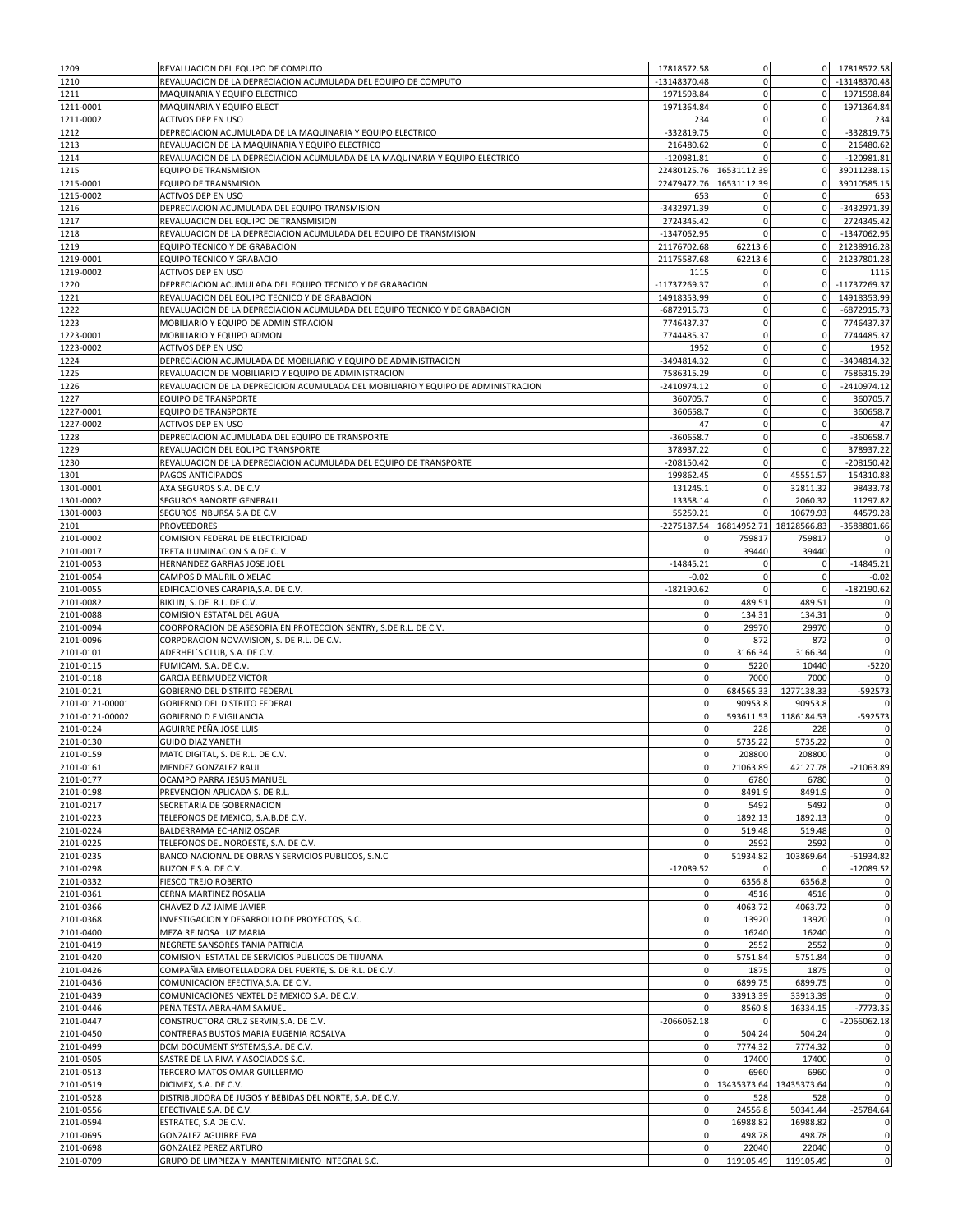| 1209                   | REVALUACION DEL EQUIPO DE COMPUTO                                                    | 17818572.58                    | 0                       | $\overline{0}$     | 17818572.58                   |
|------------------------|--------------------------------------------------------------------------------------|--------------------------------|-------------------------|--------------------|-------------------------------|
| 1210                   | REVALUACION DE LA DEPRECIACION ACUMULADA DEL EQUIPO DE COMPUTO                       | -13148370.48                   | $\mathbf 0$             | $\overline{0}$     | -13148370.48                  |
| 1211                   | MAQUINARIA Y EQUIPO ELECTRICO                                                        | 1971598.84                     | $\pmb{0}$               | $\mathbf 0$        | 1971598.84                    |
| 1211-0001              | MAQUINARIA Y EQUIPO ELECT                                                            | 1971364.84                     | $\bf 0$                 | $\mathbf 0$        | 1971364.84                    |
| 1211-0002              | ACTIVOS DEP EN USO                                                                   | 234                            | $\bf 0$                 | $\mathbf 0$        | 234                           |
| 1212                   | DEPRECIACION ACUMULADA DE LA MAQUINARIA Y EQUIPO ELECTRICO                           | -332819.75                     | $\mathbf 0$             | $\mathbf 0$        | -332819.75                    |
| 1213                   | REVALUACION DE LA MAQUINARIA Y EQUIPO ELECTRICO                                      | 216480.62                      | 0                       | $\mathbf 0$        | 216480.62                     |
| 1214                   | REVALUACION DE LA DEPRECIACION ACUMULADA DE LA MAQUINARIA Y EQUIPO ELECTRICO         | $-120981.81$                   | $\Omega$                | $\mathbf 0$        | $-120981.81$                  |
| 1215                   | EQUIPO DE TRANSMISION                                                                |                                | 22480125.76 16531112.39 | $\mathbf 0$        | 39011238.15                   |
| 1215-0001              | EQUIPO DE TRANSMISION                                                                | 22479472.76                    | 16531112.39             | $\mathbf 0$        | 39010585.15                   |
| 1215-0002              | ACTIVOS DEP EN USO                                                                   | 653                            | 0                       | $\mathbf 0$        | 653                           |
| 1216                   | DEPRECIACION ACUMULADA DEL EQUIPO TRANSMISION                                        | -3432971.39                    | $\pmb{0}$               | $\mathbf 0$        | -3432971.39                   |
| 1217                   | REVALUACION DEL EQUIPO DE TRANSMISION                                                | 2724345.42                     | $\mathbf 0$             | $\mathbf 0$        | 2724345.42                    |
| 1218                   | REVALUACION DE LA DEPRECIACION ACUMULADA DEL EQUIPO DE TRANSMISION                   |                                | $\mathbf 0$             | $\mathbf{0}$       |                               |
|                        |                                                                                      | -1347062.95                    |                         |                    | -1347062.95                   |
| 1219                   | EQUIPO TECNICO Y DE GRABACION                                                        | 21176702.68<br>21175587.68     | 62213.6                 | $\mathbf 0$        | 21238916.28                   |
| 1219-0001              | EQUIPO TECNICO Y GRABACIO                                                            |                                | 62213.6                 |                    | 21237801.28                   |
| 1219-0002              | ACTIVOS DEP EN USO                                                                   | 1115                           | 0                       | $\mathbf 0$        | 1115                          |
| 1220                   | DEPRECIACION ACUMULADA DEL EQUIPO TECNICO Y DE GRABACION                             | -11737269.37                   | 0                       | $\overline{0}$     | -11737269.37                  |
| 1221                   | REVALUACION DEL EQUIPO TECNICO Y DE GRABACION                                        | 14918353.99                    | $\bf 0$                 | $\mathbf 0$        | 14918353.99                   |
| 1222                   | REVALUACION DE LA DEPRECIACION ACUMULADA DEL EQUIPO TECNICO Y DE GRABACION           | $-6872915.73$                  | $\mathbf 0$             | $\mathbf 0$        | -6872915.73                   |
| 1223                   | MOBILIARIO Y EQUIPO DE ADMINISTRACION                                                | 7746437.37                     | $\pmb{0}$               | $\mathbf 0$        | 7746437.37                    |
| 1223-0001              | MOBILIARIO Y EQUIPO ADMON                                                            | 7744485.37                     | $\mathbf 0$             | $\mathbf 0$        | 7744485.37                    |
| 1223-0002              | ACTIVOS DEP EN USO                                                                   | 1952                           | $\bf 0$                 | $\mathbf 0$        | 1952                          |
| 1224                   | DEPRECIACION ACUMULADA DE MOBILIARIO Y EQUIPO DE ADMINISTRACION                      | -3494814.32                    | 0                       | $\mathbf 0$        | -3494814.32                   |
| 1225                   | REVALUACION DE MOBILIARIO Y EQUIPO DE ADMINISTRACION                                 | 7586315.29                     | $\bf 0$                 | $\mathbf 0$        | 7586315.29                    |
| 1226                   | REVALUACION DE LA DEPRECICION ACUMULADA DEL MOBILIARIO Y EQUIPO DE ADMINISTRACION    | $-2410974.12$                  | $\mathbf 0$             | $\mathbf 0$        | $-2410974.12$                 |
| 1227                   | <b>EQUIPO DE TRANSPORTE</b>                                                          | 360705.7                       | $\bf 0$                 | $\mathbf 0$        | 360705.7                      |
| 1227-0001              | <b>EQUIPO DE TRANSPORTE</b>                                                          | 360658.7                       | $\pmb{0}$               | $\mathbf 0$        | 360658.7                      |
| 1227-0002              | ACTIVOS DEP EN USO                                                                   | 47                             | $\mathbf 0$             | $\mathbf 0$        | 47                            |
| 1228                   | DEPRECIACION ACUMULADA DEL EQUIPO DE TRANSPORTE                                      | -360658.7                      | $\bf 0$                 | $\mathbf 0$        | -360658.7                     |
| 1229                   | REVALUACION DEL EQUIPO TRANSPORTE                                                    | 378937.22                      | $\mathbf 0$             | $\mathbf 0$        | 378937.22                     |
| 1230                   | REVALUACION DE LA DEPRECIACION ACUMULADA DEL EQUIPO DE TRANSPORTE                    | $-208150.42$                   | 0                       |                    | $-208150.42$                  |
| 1301                   | PAGOS ANTICIPADOS                                                                    | 199862.45                      | $\bf 0$                 | 45551.57           | 154310.88                     |
| 1301-0001              | AXA SEGUROS S.A. DE C.V                                                              | 131245.1                       | $\pmb{0}$               | 32811.32           | 98433.78                      |
| 1301-0002              | SEGUROS BANORTE GENERALI                                                             | 13358.14                       | 0                       | 2060.32            | 11297.82                      |
| 1301-0003              | SEGUROS INBURSA S.A DE C.V                                                           | 55259.21                       | $\mathbf 0$             | 10679.93           | 44579.28                      |
| 2101                   | PROVEEDORES                                                                          |                                | -2275187.54 16814952.71 | 18128566.83        | -3588801.66                   |
| 2101-0002              | COMISION FEDERAL DE ELECTRICIDAD                                                     | 0                              | 759817                  | 759817             | 0                             |
| 2101-0017              | TRETA ILUMINACION S A DE C. V                                                        | $\mathbf 0$                    | 39440                   | 39440              | $\mathbf 0$                   |
| 2101-0053              | HERNANDEZ GARFIAS JOSE JOEL                                                          | $-14845.21$                    | $\mathbf 0$             |                    | $-14845.21$                   |
| 2101-0054              | CAMPOS D MAURILIO XELAC                                                              | $-0.02$                        | 0                       | $\mathbf 0$        | $-0.02$                       |
| 2101-0055              | EDIFICACIONES CARAPIA, S.A. DE C.V.                                                  | $-182190.62$                   | 0                       | 0                  | $-182190.62$                  |
|                        |                                                                                      |                                |                         |                    |                               |
| 2101-0082              | BIKLIN, S. DE R.L. DE C.V.                                                           | 0                              | 489.51                  | 489.51             | 0                             |
| 2101-0088              | COMISION ESTATAL DEL AGUA                                                            | $\mathbf 0$                    | 134.31                  | 134.31             | 0                             |
| 2101-0094              | COORPORACION DE ASESORIA EN PROTECCION SENTRY, S.DE R.L. DE C.V.                     | $\mathbf 0$                    | 29970                   | 29970              | $\mathbf 0$                   |
| 2101-0096              | CORPORACION NOVAVISION, S. DE R.L. DE C.V.                                           | $\mathbf 0$                    | 872                     | 872                | 0                             |
| 2101-0101              | ADERHEL'S CLUB, S.A. DE C.V.                                                         | $\mathbf 0$                    | 3166.34                 | 3166.34            | $\mathbf 0$                   |
| 2101-0115              | FUMICAM, S.A. DE C.V.                                                                | $\mathbf 0$                    | 5220                    | 10440              | $-5220$                       |
| 2101-0118              | <b>GARCIA BERMUDEZ VICTOR</b>                                                        | $\mathbf 0$                    | 7000                    | 7000               | $\mathbf 0$                   |
| 2101-0121              | <b>GOBIERNO DEL DISTRITO FEDERAL</b>                                                 | $\mathbf 0$                    | 684565.33               | 1277138.33         | -592573                       |
| 2101-0121-00001        | GOBIERNO DEL DISTRITO FEDERAL                                                        | $\mathbf 0$                    | 90953.8                 | 90953.8            |                               |
| 2101-0121-00002        | <b>GOBIERNO D F VIGILANCIA</b>                                                       | $\mathbf 0$                    | 593611.53               | 1186184.53         | -592573                       |
| 2101-0124              | AGUIRRE PEÑA JOSE LUIS                                                               | $\mathbf 0$                    | 228                     | 228                | 0                             |
| 2101-0130              | <b>GUIDO DIAZ YANETH</b>                                                             | $\mathbf{0}$                   | 5735.22                 | 5735.22            | $\mathbf 0$                   |
| 2101-0159              | MATC DIGITAL, S. DE R.L. DE C.V.                                                     | $\overline{0}$                 | 208800                  | 208800             | $\mathbf 0$                   |
| 2101-0161              | MENDEZ GONZALEZ RAUL                                                                 | $\mathbf 0$                    | 21063.89                | 42127.78           | $-21063.89$                   |
| 2101-0177              | OCAMPO PARRA JESUS MANUEL                                                            | $\mathbf 0$                    | 6780                    | 6780               | 0                             |
| 2101-0198              | PREVENCION APLICADA S. DE R.L.                                                       | $\mathbf 0$                    | 8491.9                  | 8491.9             | 0                             |
| 2101-0217              | SECRETARIA DE GOBERNACION                                                            | $\mathbf 0$                    | 5492                    | 5492               | $\mathbf 0$                   |
| 2101-0223              | TELEFONOS DE MEXICO, S.A.B.DE C.V.                                                   | $\mathbf{O}$                   | 1892.13                 | 1892.13            | 0                             |
| 2101-0224              | BALDERRAMA ECHANIZ OSCAR                                                             | $\mathbf{0}$                   | 519.48                  | 519.48             | $\mathbf 0$                   |
| 2101-0225              | TELEFONOS DEL NOROESTE, S.A. DE C.V.                                                 | $\mathbf 0$                    | 2592                    | 2592               | $\mathbf 0$                   |
|                        |                                                                                      |                                |                         |                    |                               |
| 2101-0235              | BANCO NACIONAL DE OBRAS Y SERVICIOS PUBLICOS, S.N.C                                  | $\mathbf 0$                    | 51934.82                | 103869.64          | $-51934.82$                   |
| 2101-0298              | BUZON E S.A. DE C.V.                                                                 | $-12089.52$                    | 0                       | 0                  | $-12089.52$                   |
| 2101-0332              | FIESCO TREJO ROBERTO                                                                 | $\mathbf 0$                    | 6356.8                  | 6356.8             | $\mathbf 0$                   |
| 2101-0361              | CERNA MARTINEZ ROSALIA                                                               | $\mathbf 0$                    | 4516                    | 4516               | $\mathbf 0$                   |
| 2101-0366              | CHAVEZ DIAZ JAIME JAVIER                                                             | $\mathbf 0$                    | 4063.72                 | 4063.72            | 0                             |
| 2101-0368              | INVESTIGACION Y DESARROLLO DE PROYECTOS, S.C.                                        | $\mathbf{0}$                   | 13920                   | 13920              | $\mathbf 0$                   |
| 2101-0400              | MEZA REINOSA LUZ MARIA                                                               | $\mathbf 0$                    | 16240                   | 16240              | $\mathbf 0$                   |
| 2101-0419              |                                                                                      | $\mathbf 0$                    |                         |                    | $\mathbf 0$                   |
| 2101-0420              | NEGRETE SANSORES TANIA PATRICIA<br>COMISION ESTATAL DE SERVICIOS PUBLICOS DE TIJUANA | $\mathbf 0$                    | 2552<br>5751.84         | 2552<br>5751.84    | 0                             |
|                        |                                                                                      | $\mathbf 0$                    | 1875                    | 1875               | $\mathbf 0$                   |
| 2101-0426              | COMPAÑIA EMBOTELLADORA DEL FUERTE, S. DE R.L. DE C.V.                                |                                |                         |                    |                               |
| 2101-0436              | COMUNICACION EFECTIVA, S.A. DE C.V.                                                  | $\mathbf 0$<br>$\mathbf 0$     | 6899.75                 | 6899.75            | $\mathbf 0$                   |
| 2101-0439              | COMUNICACIONES NEXTEL DE MEXICO S.A. DE C.V.                                         | $\mathbf{0}$                   | 33913.39                | 33913.39           | $\mathbf 0$                   |
| 2101-0446              | PEÑA TESTA ABRAHAM SAMUEL                                                            |                                | 8560.8<br>$\Omega$      | 16334.15           | $-7773.35$                    |
| 2101-0447              | CONSTRUCTORA CRUZ SERVIN, S.A. DE C.V.                                               | $-2066062.18$                  |                         |                    | $-2066062.18$                 |
| 2101-0450              | CONTRERAS BUSTOS MARIA EUGENIA ROSALVA                                               | $\mathbf 0$                    | 504.24                  | 504.24             | 0                             |
| 2101-0499              | DCM DOCUMENT SYSTEMS, S.A. DE C.V.                                                   | $\mathbf 0$                    | 7774.32                 | 7774.32            | 0                             |
| 2101-0505              | SASTRE DE LA RIVA Y ASOCIADOS S.C.                                                   | $\mathbf{0}$                   | 17400                   | 17400              | $\mathbf 0$                   |
| 2101-0513              | TERCERO MATOS OMAR GUILLERMO                                                         | $\mathbf 0$                    | 6960                    | 6960               | 0                             |
| 2101-0519              | DICIMEX, S.A. DE C.V.                                                                |                                | 0 13435373.64           | 13435373.64        | $\mathbf 0$                   |
| 2101-0528              | DISTRIBUIDORA DE JUGOS Y BEBIDAS DEL NORTE, S.A. DE C.V.                             | $\mathbf 0$                    | 528                     | 528                | $\mathbf 0$                   |
| 2101-0556              | EFECTIVALE S.A. DE C.V.                                                              | $\mathbf 0$                    | 24556.8                 | 50341.44           |                               |
| 2101-0594              | ESTRATEC, S.A DE C.V.                                                                | $\mathbf 0$                    | 16988.82                | 16988.82           |                               |
| 2101-0695              | GONZALEZ AGUIRRE EVA                                                                 | $\mathbf{O}$                   | 498.78                  | 498.78             | $-25784.64$<br>$\pmb{0}$<br>0 |
| 2101-0698<br>2101-0709 | GONZALEZ PEREZ ARTURO<br>GRUPO DE LIMPIEZA Y MANTENIMIENTO INTEGRAL S.C.             | $\overline{0}$<br>$\mathbf{0}$ | 22040<br>119105.49      | 22040<br>119105.49 | $\mathbf 0$<br>0              |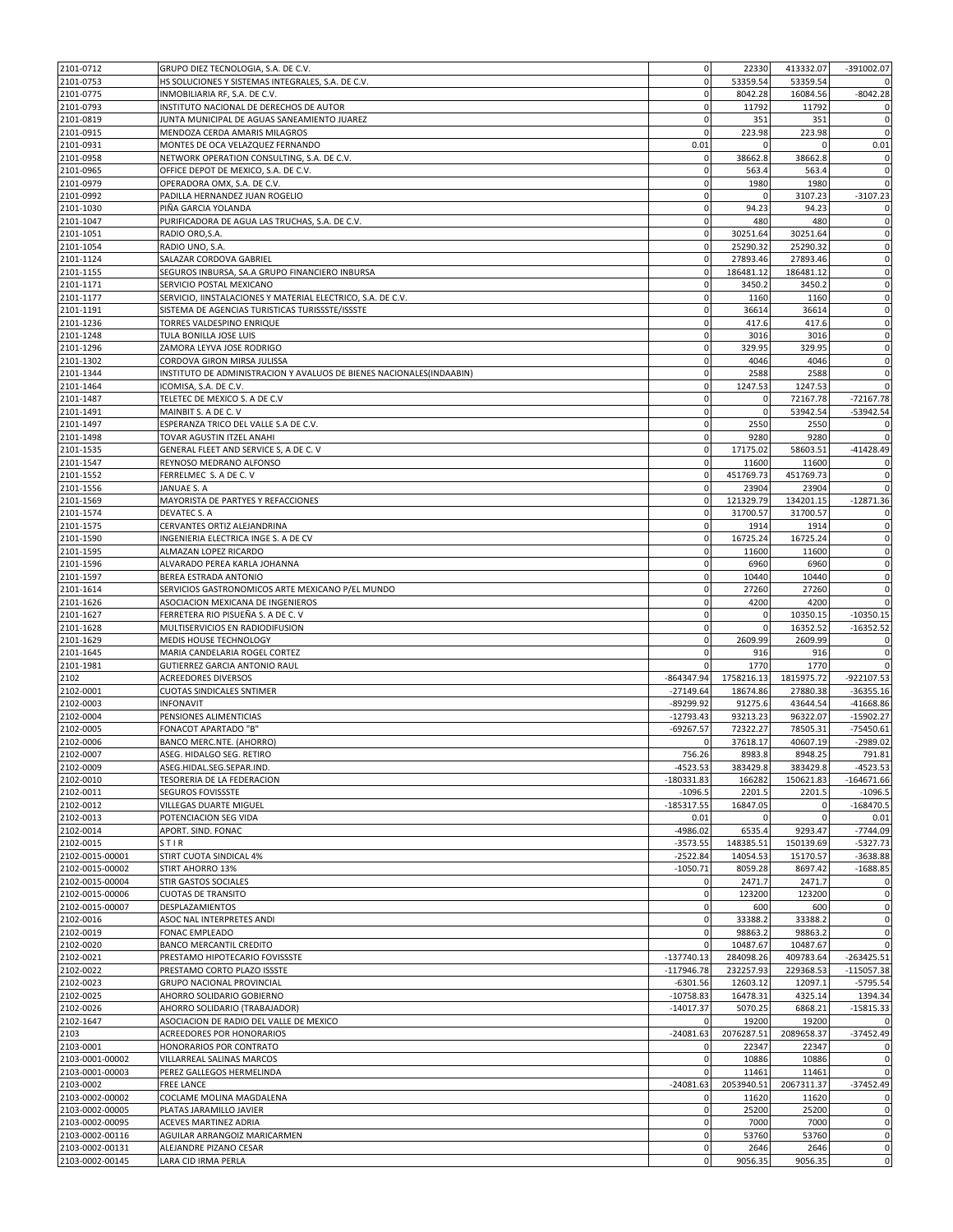| 2101-0712                          | GRUPO DIEZ TECNOLOGIA, S.A. DE C.V.                                   | $\mathbf 0$  | 22330       | 413332.07     | $-391002.07$                                   |
|------------------------------------|-----------------------------------------------------------------------|--------------|-------------|---------------|------------------------------------------------|
| 2101-0753                          | HS SOLUCIONES Y SISTEMAS INTEGRALES, S.A. DE C.V.                     | $\mathbf 0$  | 53359.54    | 53359.54      |                                                |
| 2101-0775                          | INMOBILIARIA RF, S.A. DE C.V.                                         | $\mathbf 0$  | 8042.28     | 16084.56      | $-8042.28$                                     |
| 2101-0793                          | INSTITUTO NACIONAL DE DERECHOS DE AUTOR                               | $\mathbf 0$  | 11792       | 11792         | 0                                              |
| 2101-0819                          | JUNTA MUNICIPAL DE AGUAS SANEAMIENTO JUAREZ                           | $\mathbf 0$  | 351         | 351           | $\pmb{0}$                                      |
| 2101-0915                          | MENDOZA CERDA AMARIS MILAGROS                                         | $\mathbf 0$  | 223.98      | 223.98        | $\mathbf 0$                                    |
| 2101-0931                          | MONTES DE OCA VELAZQUEZ FERNANDO                                      | 0.01         | $\Omega$    |               | 0.01                                           |
|                                    |                                                                       | $\mathbf 0$  | 38662.8     |               |                                                |
| 2101-0958                          | NETWORK OPERATION CONSULTING, S.A. DE C.V.                            |              |             | 38662.8       | $\pmb{0}$                                      |
| 2101-0965                          | OFFICE DEPOT DE MEXICO, S.A. DE C.V.                                  | $\mathbf 0$  | 563.4       | 563.4         | $\mathbf 0$                                    |
| 2101-0979                          | OPERADORA OMX, S.A. DE C.V.                                           | $\mathbf 0$  | 1980        | 1980          | $\mathbf 0$                                    |
| 2101-0992                          | PADILLA HERNANDEZ JUAN ROGELIO                                        | $\mathbf 0$  | $\Omega$    | 3107.23       | $-3107.23$                                     |
| 2101-1030                          | PIÑA GARCIA YOLANDA                                                   | $\mathbf 0$  | 94.23       | 94.23         | $\pmb{0}$                                      |
| 2101-1047                          | PURIFICADORA DE AGUA LAS TRUCHAS, S.A. DE C.V.                        | $\mathbf 0$  | 480         | 480           | 0                                              |
| 2101-1051                          | RADIO ORO, S.A.                                                       | $\mathbf{0}$ | 30251.64    | 30251.64      | $\mathbf 0$                                    |
| 2101-1054                          | RADIO UNO, S.A.                                                       | $\mathbf 0$  | 25290.32    | 25290.32      | $\mathbf 0$                                    |
| 2101-1124                          | SALAZAR CORDOVA GABRIEL                                               | $\mathbf 0$  | 27893.46    | 27893.46      | $\mathbf 0$                                    |
| 2101-1155                          | SEGUROS INBURSA, SA.A GRUPO FINANCIERO INBURSA                        | $\mathbf 0$  | 186481.12   | 186481.12     | $\mathbf 0$                                    |
| 2101-1171                          | SERVICIO POSTAL MEXICANO                                              | $\mathbf 0$  | 3450.2      | 3450.2        | $\mathbf 0$                                    |
| 2101-1177                          | SERVICIO, IINSTALACIONES Y MATERIAL ELECTRICO, S.A. DE C.V.           | $\mathbf 0$  | 1160        | 1160          | $\mathbf 0$                                    |
| 2101-1191                          | SISTEMA DE AGENCIAS TURISTICAS TURISSSTE/ISSSTE                       | $\mathbf 0$  | 36614       | 36614         | 0                                              |
| 2101-1236                          | TORRES VALDESPINO ENRIQUE                                             | $\mathbf 0$  | 417.6       | 417.6         | $\mathbf 0$                                    |
| 2101-1248                          |                                                                       | $\mathbf 0$  | 3016        |               |                                                |
|                                    | TULA BONILLA JOSE LUIS                                                |              |             | 3016          | $\pmb{0}$                                      |
| 2101-1296                          | ZAMORA LEYVA JOSE RODRIGO                                             | $\mathbf 0$  | 329.95      | 329.95        | $\mathbf 0$                                    |
| 2101-1302                          | CORDOVA GIRON MIRSA JULISSA                                           | $\mathbf 0$  | 4046        | 4046          | 0                                              |
| 2101-1344                          | INSTITUTO DE ADMINISTRACION Y AVALUOS DE BIENES NACIONALES (INDAABIN) | $\mathbf 0$  | 2588        | 2588          | $\mathbf 0$                                    |
| 2101-1464                          | ICOMISA, S.A. DE C.V.                                                 | $\mathbf 0$  | 1247.53     | 1247.53       | $\mathbf 0$                                    |
| 2101-1487                          | TELETEC DE MEXICO S. A DE C.V                                         | $\mathbf 0$  | 0           | 72167.78      | $-72167.78$                                    |
| 2101-1491                          | MAINBIT S. A DE C. V                                                  | $\mathbf 0$  | $\mathbf 0$ | 53942.54      | $-53942.54$                                    |
| 2101-1497                          | ESPERANZA TRICO DEL VALLE S.A DE C.V.                                 | $\mathbf 0$  | 2550        | 2550          | 0                                              |
| 2101-1498                          | TOVAR AGUSTIN ITZEL ANAHI                                             | $\mathbf 0$  | 9280        | 9280          | $\mathbf 0$                                    |
| 2101-1535                          | GENERAL FLEET AND SERVICE S, A DE C. V                                | $\mathbf 0$  | 17175.02    | 58603.51      | $-41428.49$                                    |
| 2101-1547                          | REYNOSO MEDRANO ALFONSO                                               | $\mathbf 0$  | 11600       | 11600         | 0                                              |
| 2101-1552                          | FERRELMEC S. A DE C. V                                                | $\mathbf 0$  | 451769.73   | 451769.73     | $\mathbf 0$                                    |
| 2101-1556                          | JANUAE S. A                                                           | $\mathbf 0$  | 23904       | 23904         | $\mathbf 0$                                    |
| 2101-1569                          | MAYORISTA DE PARTYES Y REFACCIONES                                    | $\mathbf 0$  | 121329.79   | 134201.15     | $-12871.36$                                    |
| 2101-1574                          | DEVATEC S. A                                                          | $\mathbf 0$  | 31700.57    | 31700.57      |                                                |
|                                    |                                                                       | $\mathbf 0$  |             |               | 0                                              |
| 2101-1575                          | CERVANTES ORTIZ ALEJANDRINA                                           |              | 1914        | 1914          | $\pmb{0}$                                      |
| 2101-1590                          | INGENIERIA ELECTRICA INGE S. A DE CV                                  | $\mathbf 0$  | 16725.24    | 16725.24      | 0                                              |
| 2101-1595                          | ALMAZAN LOPEZ RICARDO                                                 | $\mathbf 0$  | 11600       | 11600         | $\mathbf 0$                                    |
| 2101-1596                          | ALVARADO PEREA KARLA JOHANNA                                          | $\mathbf 0$  | 6960        | 6960          | $\mathbf 0$                                    |
| 2101-1597                          | BEREA ESTRADA ANTONIO                                                 | $\mathbf 0$  | 10440       | 10440         | $\mathbf 0$                                    |
| 2101-1614                          | SERVICIOS GASTRONOMICOS ARTE MEXICANO P/EL MUNDO                      | $\mathbf 0$  | 27260       | 27260         | $\mathbf 0$                                    |
| 2101-1626                          | ASOCIACION MEXICANA DE INGENIEROS                                     | $\mathbf 0$  | 4200        | 4200          | $\mathbf 0$                                    |
| 2101-1627                          | FERRETERA RIO PISUEÑA S. A DE C. V                                    | $\mathbf 0$  | 0           | 10350.15      | $-10350.15$                                    |
| 2101-1628                          | MULTISERVICIOS EN RADIODIFUSION                                       | $\mathbf 0$  | 0           | 16352.52      | $-16352.52$                                    |
| 2101-1629                          | MEDIS HOUSE TECHNOLOGY                                                | $\mathbf{0}$ | 2609.99     | 2609.99       | 0                                              |
| 2101-1645                          | MARIA CANDELARIA ROGEL CORTEZ                                         | $\mathbf 0$  | 916         | 916           | $\pmb{0}$                                      |
| 2101-1981                          | GUTIERREZ GARCIA ANTONIO RAUL                                         | $\Omega$     | 1770        | 1770          | $\mathbf 0$                                    |
| 2102                               | <b>ACREEDORES DIVERSOS</b>                                            | -864347.94   | 1758216.13  | 1815975.72    | -922107.53                                     |
| 2102-0001                          | <b>CUOTAS SINDICALES SNTIMER</b>                                      | $-27149.64$  | 18674.86    | 27880.38      | $-36355.16$                                    |
| 2102-0003                          | <b>INFONAVIT</b>                                                      | -89299.92    | 91275.6     | 43644.54      | $-41668.86$                                    |
|                                    |                                                                       |              |             |               |                                                |
| 2102-0004                          | PENSIONES ALIMENTICIAS                                                | $-12793.43$  | 93213.23    | 96322.07      | $-15902.27$                                    |
| 2102-0005                          | FONACOT APARTADO "B"                                                  | $-69267.57$  | 72322.27    | 78505.31      | $-75450.61$                                    |
| 2102-0006                          | BANCO MERC.NTE. (AHORRO)                                              |              | 37618.17    | 40607.19      | $-2989.02$                                     |
| 2102-0007                          | ASEG. HIDALGO SEG. RETIRO                                             | 756.26       | 8983.8      | 8948.25       | 791.81                                         |
| 2102-0009                          | ASEG.HIDAL.SEG.SEPAR.IND.                                             | $-4523.53$   | 383429.8    | 383429.8      | -4523.53                                       |
| 2102-0010                          | TESORERIA DE LA FEDERACION                                            | $-180331.83$ | 166282      | 150621.83     | $-164671.66$                                   |
| 2102-0011                          | SEGUROS FOVISSSTE                                                     | $-1096.5$    | 2201.5      | 2201.5        | $-1096.5$                                      |
| 2102-0012                          | VILLEGAS DUARTE MIGUEL                                                | $-185317.55$ | 16847.05    | 0             | $-168470.5$                                    |
| 2102-0013                          | POTENCIACION SEG VIDA                                                 | 0.01         | 0           | $\mathbf 0$   | 0.01                                           |
| 2102-0014                          | APORT. SIND. FONAC                                                    | $-4986.02$   | 6535.4      | 9293.47       | $-7744.09$                                     |
| 2102-0015                          | STIR                                                                  | $-3573.55$   | 148385.51   | 150139.69     | $-5327.73$                                     |
| 2102-0015-00001                    | STIRT CUOTA SINDICAL 4%                                               | $-2522.84$   | 14054.53    | 15170.57      | $-3638.88$                                     |
| 2102-0015-00002                    | <b>STIRT AHORRO 13%</b>                                               | $-1050.71$   | 8059.28     | 8697.42       | $-1688.85$                                     |
| 2102-0015-00004                    | STIR GASTOS SOCIALES                                                  | 0            | 2471.7      | 2471.7        | 0                                              |
|                                    |                                                                       | $\mathbf 0$  |             |               | $\mathbf 0$                                    |
| 2102-0015-00006<br>2102-0015-00007 | <b>CUOTAS DE TRANSITO</b>                                             |              | 123200      | 123200<br>600 |                                                |
|                                    |                                                                       |              |             |               | 0                                              |
|                                    | DESPLAZAMIENTOS                                                       | $\mathbf 0$  | 600         |               |                                                |
| 2102-0016                          | ASOC NAL INTERPRETES ANDI                                             | $\mathbf{0}$ | 33388.2     | 33388.2       |                                                |
| 2102-0019                          | FONAC EMPLEADO                                                        | $\mathbf 0$  | 98863.2     | 98863.2       | $\mathbf 0$<br>$\mathbf 0$                     |
| 2102-0020                          | BANCO MERCANTIL CREDITO                                               | $\mathbf 0$  | 10487.67    | 10487.67      | $\mathbf 0$                                    |
| 2102-0021                          | PRESTAMO HIPOTECARIO FOVISSSTE                                        | $-137740.13$ | 284098.26   | 409783.64     | $-263425.51$                                   |
| 2102-0022                          | PRESTAMO CORTO PLAZO ISSSTE                                           | $-117946.78$ | 232257.93   | 229368.53     | $-115057.38$                                   |
| 2102-0023                          | GRUPO NACIONAL PROVINCIAL                                             | $-6301.56$   | 12603.12    | 12097.1       |                                                |
| 2102-0025                          | AHORRO SOLIDARIO GOBIERNO                                             | $-10758.83$  | 16478.31    | 4325.14       |                                                |
| 2102-0026                          | AHORRO SOLIDARIO (TRABAJADOR)                                         | $-14017.37$  | 5070.25     | 6868.21       | $-5795.54$<br>1394.34<br>$-15815.33$           |
| 2102-1647                          | ASOCIACION DE RADIO DEL VALLE DE MEXICO                               | $\mathbf 0$  | 19200       | 19200         |                                                |
|                                    |                                                                       |              |             |               |                                                |
| 2103                               | ACREEDORES POR HONORARIOS                                             | $-24081.63$  | 2076287.51  | 2089658.37    |                                                |
| 2103-0001                          | HONORARIOS POR CONTRATO                                               | $\mathbf 0$  | 22347       | 22347         |                                                |
| 2103-0001-00002                    | VILLARREAL SALINAS MARCOS                                             | $\mathbf 0$  | 10886       | 10886         | $\mathbf 0$<br>$-37452.49$<br>0<br>$\pmb{0}$   |
| 2103-0001-00003                    | PEREZ GALLEGOS HERMELINDA                                             | $\mathbf 0$  | 11461       | 11461         |                                                |
| 2103-0002                          | <b>FREE LANCE</b>                                                     | $-24081.63$  | 2053940.51  | 2067311.37    |                                                |
| 2103-0002-00002                    | COCLAME MOLINA MAGDALENA                                              | $\mathbf 0$  | 11620       | 11620         |                                                |
| 2103-0002-00005                    | PLATAS JARAMILLO JAVIER                                               | $\mathbf 0$  | 25200       | 25200         | $\mathbf 0$<br>$-37452.49$<br>$\mathbf 0$<br>0 |
| 2103-0002-00095                    | ACEVES MARTINEZ ADRIA                                                 | $\mathbf 0$  | 7000        | 7000          | $\mathbf 0$                                    |
| 2103-0002-00116                    | AGUILAR ARRANGOIZ MARICARMEN                                          | $\mathbf 0$  | 53760       | 53760         |                                                |
| 2103-0002-00131                    | ALEJANDRE PIZANO CESAR                                                | $\mathbf 0$  | 2646        | 2646          | 0<br>$\mathbf 0$                               |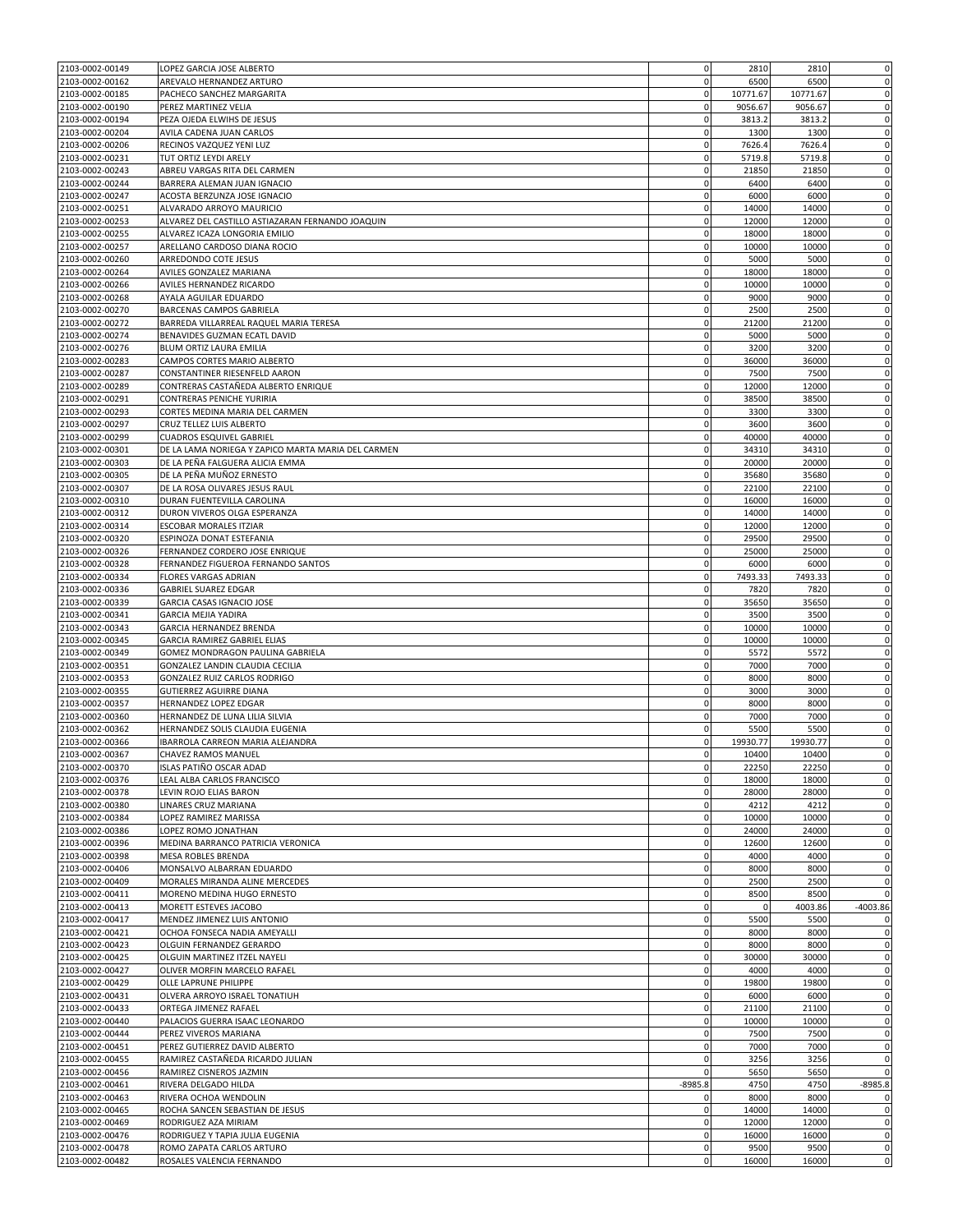| 2103-0002-00149 | LOPEZ GARCIA JOSE ALBERTO                          | $\mathbf 0$ | 2810        | 2810     | $\mathbf 0$ |
|-----------------|----------------------------------------------------|-------------|-------------|----------|-------------|
| 2103-0002-00162 | AREVALO HERNANDEZ ARTURO                           | $\mathbf 0$ | 6500        | 6500     | $\mathbf 0$ |
| 2103-0002-00185 | PACHECO SANCHEZ MARGARITA                          | $\mathbf 0$ | 10771.67    | 10771.67 | $\mathbf 0$ |
| 2103-0002-00190 | PEREZ MARTINEZ VELIA                               | $\mathbf 0$ | 9056.67     | 9056.67  | $\pmb{0}$   |
| 2103-0002-00194 | PEZA OJEDA ELWIHS DE JESUS                         | $\pmb{0}$   | 3813.2      | 3813.2   | $\mathbf 0$ |
| 2103-0002-00204 | AVILA CADENA JUAN CARLOS                           | $\mathbf 0$ | 1300        | 1300     | $\mathbf 0$ |
| 2103-0002-00206 | RECINOS VAZQUEZ YENI LUZ                           | $\mathbf 0$ | 7626.4      | 7626.4   | $\mathbf 0$ |
| 2103-0002-00231 |                                                    | $\mathbf 0$ | 5719.8      | 5719.8   | $\mathbf 0$ |
|                 | TUT ORTIZ LEYDI ARELY                              |             |             |          |             |
| 2103-0002-00243 | ABREU VARGAS RITA DEL CARMEN                       | $\mathbf 0$ | 21850       | 21850    | $\mathbf 0$ |
| 2103-0002-00244 | BARRERA ALEMAN JUAN IGNACIO                        | $\mathbf 0$ | 6400        | 6400     | $\mathbf 0$ |
| 2103-0002-00247 | ACOSTA BERZUNZA JOSE IGNACIO                       | $\mathbf 0$ | 6000        | 6000     | $\mathbf 0$ |
| 2103-0002-00251 | ALVARADO ARROYO MAURICIO                           | $\mathbf 0$ | 14000       | 14000    | $\mathbf 0$ |
| 2103-0002-00253 | ALVAREZ DEL CASTILLO ASTIAZARAN FERNANDO JOAQUIN   | $\mathbf 0$ | 12000       | 12000    | $\mathbf 0$ |
| 2103-0002-00255 | ALVAREZ ICAZA LONGORIA EMILIO                      | $\mathbf 0$ | 18000       | 18000    | $\mathbf 0$ |
| 2103-0002-00257 | ARELLANO CARDOSO DIANA ROCIO                       | $\mathbf 0$ | 10000       | 10000    | $\mathbf 0$ |
| 2103-0002-00260 | ARREDONDO COTE JESUS                               | $\mathbf 0$ | 5000        | 5000     | $\mathbf 0$ |
| 2103-0002-00264 | AVILES GONZALEZ MARIANA                            | $\mathbf 0$ | 18000       | 18000    | $\mathbf 0$ |
| 2103-0002-00266 | AVILES HERNANDEZ RICARDO                           | $\mathbf 0$ | 10000       | 10000    | $\pmb{0}$   |
| 2103-0002-00268 | AYALA AGUILAR EDUARDO                              | $\mathbf 0$ | 9000        | 9000     | $\mathbf 0$ |
| 2103-0002-00270 | BARCENAS CAMPOS GABRIELA                           | $\mathbf 0$ | 2500        | 2500     | $\mathbf 0$ |
| 2103-0002-00272 | BARREDA VILLARREAL RAQUEL MARIA TERESA             | $\mathbf 0$ | 21200       | 21200    | $\mathbf 0$ |
| 2103-0002-00274 |                                                    | $\mathbf 0$ |             |          |             |
|                 | BENAVIDES GUZMAN ECATL DAVID                       |             | 5000        | 5000     | $\pmb{0}$   |
| 2103-0002-00276 | BLUM ORTIZ LAURA EMILIA                            | $\mathbf 0$ | 3200        | 3200     | $\mathbf 0$ |
| 2103-0002-00283 | CAMPOS CORTES MARIO ALBERTO                        | $\mathbf 0$ | 36000       | 36000    | $\mathbf 0$ |
| 2103-0002-00287 | CONSTANTINER RIESENFELD AARON                      | $\mathbf 0$ | 7500        | 7500     | $\pmb{0}$   |
| 2103-0002-00289 | CONTRERAS CASTAÑEDA ALBERTO ENRIQUE                | $\mathbf 0$ | 12000       | 12000    | $\mathbf 0$ |
| 2103-0002-00291 | CONTRERAS PENICHE YURIRIA                          | $\mathbf 0$ | 38500       | 38500    | $\mathbf 0$ |
| 2103-0002-00293 | CORTES MEDINA MARIA DEL CARMEN                     | $\mathbf 0$ | 3300        | 3300     | $\mathbf 0$ |
| 2103-0002-00297 | CRUZ TELLEZ LUIS ALBERTO                           | $\mathbf 0$ | 3600        | 3600     | $\pmb{0}$   |
| 2103-0002-00299 | <b>CUADROS ESQUIVEL GABRIEL</b>                    | $\pmb{0}$   | 40000       | 40000    | $\mathbf 0$ |
| 2103-0002-00301 | DE LA LAMA NORIEGA Y ZAPICO MARTA MARIA DEL CARMEN | $\mathbf 0$ | 34310       | 34310    | $\mathbf 0$ |
| 2103-0002-00303 | DE LA PEÑA FALGUERA ALICIA EMMA                    | $\mathbf 0$ | 20000       | 20000    | $\mathbf 0$ |
| 2103-0002-00305 | DE LA PEÑA MUÑOZ ERNESTO                           | $\mathbf 0$ | 35680       | 35680    | $\mathbf 0$ |
| 2103-0002-00307 | DE LA ROSA OLIVARES JESUS RAUL                     | $\mathbf 0$ | 22100       | 22100    | $\mathbf 0$ |
| 2103-0002-00310 | DURAN FUENTEVILLA CAROLINA                         | $\mathbf 0$ | 16000       | 16000    | $\mathbf 0$ |
|                 |                                                    | $\mathbf 0$ |             | 14000    | $\pmb{0}$   |
| 2103-0002-00312 | DURON VIVEROS OLGA ESPERANZA                       | $\mathbf 0$ | 14000       |          |             |
| 2103-0002-00314 | ESCOBAR MORALES ITZIAR                             |             | 12000       | 12000    | $\mathbf 0$ |
| 2103-0002-00320 | ESPINOZA DONAT ESTEFANIA                           | $\mathbf 0$ | 29500       | 29500    | $\mathbf 0$ |
| 2103-0002-00326 | FERNANDEZ CORDERO JOSE ENRIQUE                     | $\mathbf 0$ | 25000       | 25000    | $\mathbf 0$ |
| 2103-0002-00328 | FERNANDEZ FIGUEROA FERNANDO SANTOS                 | $\mathbf 0$ | 6000        | 6000     | $\mathbf 0$ |
| 2103-0002-00334 | <b>FLORES VARGAS ADRIAN</b>                        | $\mathbf 0$ | 7493.33     | 7493.33  | $\mathbf 0$ |
| 2103-0002-00336 | <b>GABRIEL SUAREZ EDGAR</b>                        | $\mathbf 0$ | 7820        | 7820     | $\mathbf 0$ |
| 2103-0002-00339 | GARCIA CASAS IGNACIO JOSE                          | $\mathbf 0$ | 35650       | 35650    | $\pmb{0}$   |
| 2103-0002-00341 | <b>GARCIA MEJIA YADIRA</b>                         | $\mathbf 0$ | 3500        | 3500     | $\pmb{0}$   |
| 2103-0002-00343 | GARCIA HERNANDEZ BRENDA                            | $\mathbf 0$ | 10000       | 10000    | $\mathbf 0$ |
| 2103-0002-00345 | GARCIA RAMIREZ GABRIEL ELIAS                       | $\mathbf 0$ | 10000       | 10000    | $\mathbf 0$ |
| 2103-0002-00349 | GOMEZ MONDRAGON PAULINA GABRIELA                   | $\mathbf 0$ | 5572        | 5572     | $\pmb{0}$   |
| 2103-0002-00351 | GONZALEZ LANDIN CLAUDIA CECILIA                    | $\mathbf 0$ | 7000        | 7000     | $\mathbf 0$ |
| 2103-0002-00353 | <b>GONZALEZ RUIZ CARLOS RODRIGO</b>                | $\mathbf 0$ | 8000        | 8000     | $\mathbf 0$ |
| 2103-0002-00355 | <b>GUTIERREZ AGUIRRE DIANA</b>                     | $\pmb{0}$   | 3000        | 3000     | $\pmb{0}$   |
| 2103-0002-00357 | HERNANDEZ LOPEZ EDGAR                              | $\mathbf 0$ | 8000        | 8000     | $\mathbf 0$ |
|                 |                                                    | $\mathbf 0$ | 7000        | 7000     | $\mathbf 0$ |
| 2103-0002-00360 | HERNANDEZ DE LUNA LILIA SILVIA                     |             |             |          |             |
| 2103-0002-00362 | HERNANDEZ SOLIS CLAUDIA EUGENIA                    | $\mathbf 0$ | 5500        | 5500     | $\mathbf 0$ |
| 2103-0002-00366 | IBARROLA CARREON MARIA ALEJANDRA                   | $\mathbf 0$ | 19930.77    | 19930.77 | $\mathbf 0$ |
| 2103-0002-00367 | CHAVEZ RAMOS MANUEL                                | $\mathbf 0$ | 10400       | 10400    | $\mathbf 0$ |
| 2103-0002-00370 | ISLAS PATIÑO OSCAR ADAD                            | $\mathbf 0$ | 22250       | 22250    | $\mathbf 0$ |
| 2103-0002-00376 | LEAL ALBA CARLOS FRANCISCO                         | $\mathbf 0$ | 18000       | 18000    | $\mathbf 0$ |
| 2103-0002-00378 | LEVIN ROJO ELIAS BARON                             | $\mathbf 0$ | 28000       | 28000    | $\mathbf 0$ |
| 2103-0002-00380 | LINARES CRUZ MARIANA                               | $\mathbf 0$ | 4212        | 4212     | $\mathbf 0$ |
| 2103-0002-00384 | LOPEZ RAMIREZ MARISSA                              | $\mathbf 0$ | 10000       | 10000    | $\mathbf 0$ |
| 2103-0002-00386 | LOPEZ ROMO JONATHAN                                | $\mathbf 0$ | 24000       | 24000    | $\pmb{0}$   |
| 2103-0002-00396 | MEDINA BARRANCO PATRICIA VERONICA                  | $\mathbf 0$ | 12600       | 12600    | $\mathbf 0$ |
| 2103-0002-00398 | MESA ROBLES BRENDA                                 | $\mathbf 0$ | 4000        | 4000     | $\mathbf 0$ |
| 2103-0002-00406 | MONSALVO ALBARRAN EDUARDO                          | $\mathbf 0$ | 8000        | 8000     | $\mathbf 0$ |
| 2103-0002-00409 | MORALES MIRANDA ALINE MERCEDES                     | $\mathbf 0$ | 2500        | 2500     | $\mathbf 0$ |
| 2103-0002-00411 | MORENO MEDINA HUGO ERNESTO                         | $\mathbf 0$ | 8500        | 8500     | $\mathbf 0$ |
| 2103-0002-00413 | MORETT ESTEVES JACOBO                              | $\mathbf 0$ | $\mathbf 0$ | 4003.86  | $-4003.86$  |
| 2103-0002-00417 | MENDEZ JIMENEZ LUIS ANTONIO                        | $\mathbf 0$ | 5500        | 5500     | $\mathbf 0$ |
| 2103-0002-00421 |                                                    | $\mathbf 0$ |             | 8000     | $\mathbf 0$ |
|                 | OCHOA FONSECA NADIA AMEYALLI                       |             | 8000        |          |             |
| 2103-0002-00423 | OLGUIN FERNANDEZ GERARDO                           | $\mathbf 0$ | 8000        | 8000     | $\mathbf 0$ |
| 2103-0002-00425 | OLGUIN MARTINEZ ITZEL NAYELI                       | $\mathbf 0$ | 30000       | 30000    | $\mathbf 0$ |
| 2103-0002-00427 | OLIVER MORFIN MARCELO RAFAEL                       | $\mathbf 0$ | 4000        | 4000     | $\mathbf 0$ |
| 2103-0002-00429 | OLLE LAPRUNE PHILIPPE                              | $\mathbf 0$ | 19800       | 19800    | $\mathbf 0$ |
| 2103-0002-00431 | OLVERA ARROYO ISRAEL TONATIUH                      | $\mathbf 0$ | 6000        | 6000     | 0           |
| 2103-0002-00433 | ORTEGA JIMENEZ RAFAEL                              | $\mathbf 0$ | 21100       | 21100    | $\mathbf 0$ |
| 2103-0002-00440 | PALACIOS GUERRA ISAAC LEONARDO                     | $\mathbf 0$ | 10000       | 10000    | $\mathbf 0$ |
| 2103-0002-00444 | PEREZ VIVEROS MARIANA                              | $\mathbf 0$ | 7500        | 7500     | $\mathbf 0$ |
| 2103-0002-00451 | PEREZ GUTIERREZ DAVID ALBERTO                      | $\mathbf 0$ | 7000        | 7000     | $\mathbf 0$ |
| 2103-0002-00455 | RAMIREZ CASTAÑEDA RICARDO JULIAN                   | $\mathbf 0$ | 3256        | 3256     | $\mathbf 0$ |
| 2103-0002-00456 | RAMIREZ CISNEROS JAZMIN                            | $\mathbf 0$ | 5650        | 5650     | $\mathbf 0$ |
| 2103-0002-00461 | RIVERA DELGADO HILDA                               | $-8985.8$   | 4750        | 4750     | $-8985.8$   |
| 2103-0002-00463 | RIVERA OCHOA WENDOLIN                              | 0           | 8000        | 8000     | 0           |
| 2103-0002-00465 | ROCHA SANCEN SEBASTIAN DE JESUS                    | $\mathbf 0$ | 14000       | 14000    | $\mathbf 0$ |
|                 |                                                    | $\mathbf 0$ |             |          | $\mathbf 0$ |
| 2103-0002-00469 | RODRIGUEZ AZA MIRIAM                               |             | 12000       | 12000    |             |
| 2103-0002-00476 | RODRIGUEZ Y TAPIA JULIA EUGENIA                    | $\mathbf 0$ | 16000       | 16000    | $\mathbf 0$ |
| 2103-0002-00478 | ROMO ZAPATA CARLOS ARTURO                          | $\mathbf 0$ | 9500        | 9500     | $\mathbf 0$ |
| 2103-0002-00482 | ROSALES VALENCIA FERNANDO                          | $\mathbf 0$ | 16000       | 16000    | $\mathbf 0$ |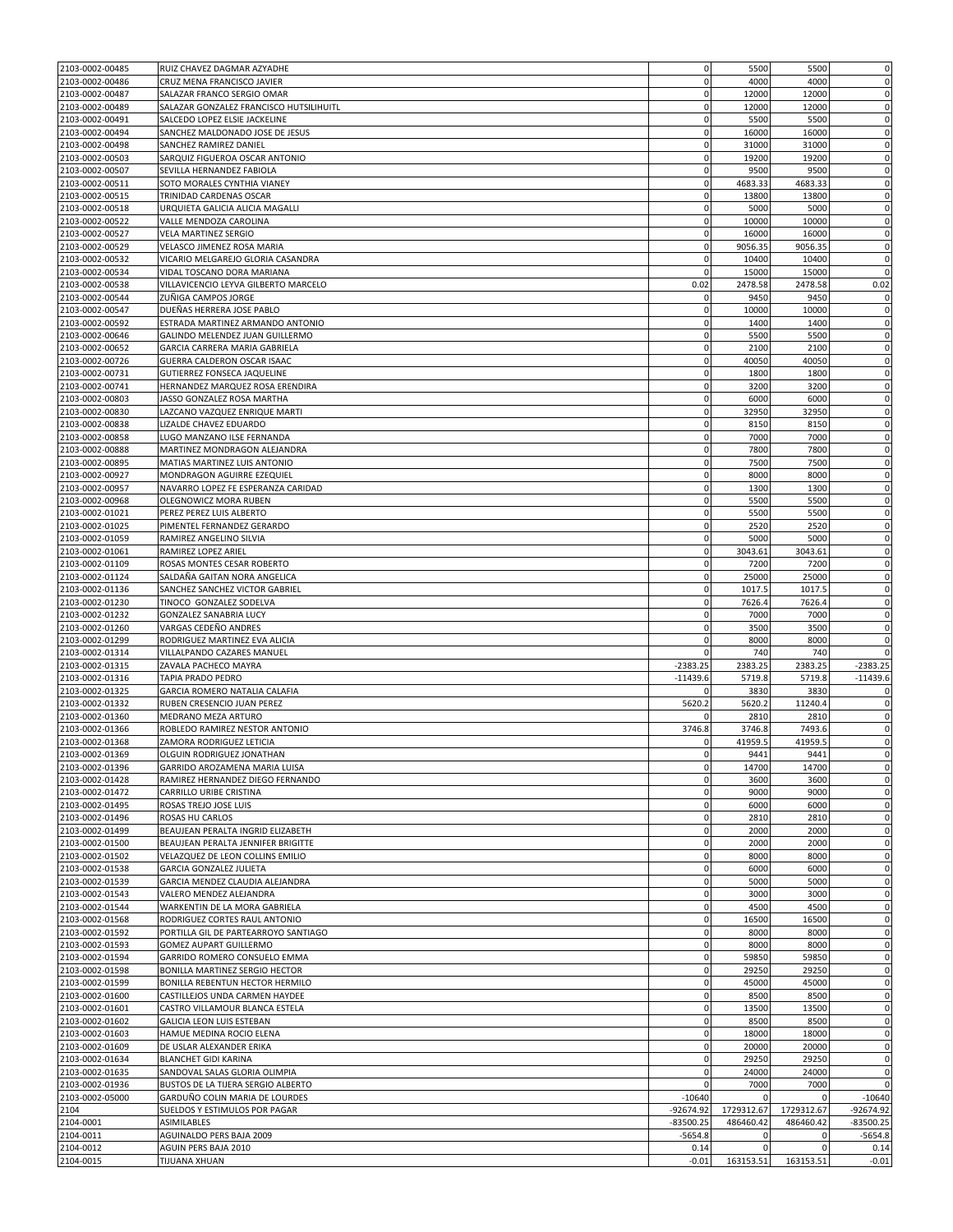| 2103-0002-00485 | RUIZ CHAVEZ DAGMAR AZYADHE              | $\mathbf 0$  | 5500        | 5500         | $\pmb{0}$   |
|-----------------|-----------------------------------------|--------------|-------------|--------------|-------------|
| 2103-0002-00486 | CRUZ MENA FRANCISCO JAVIER              | $\mathbf 0$  | 4000        | 4000         | 0           |
| 2103-0002-00487 | SALAZAR FRANCO SERGIO OMAR              | 0            | 12000       | 12000        | $\pmb{0}$   |
| 2103-0002-00489 | SALAZAR GONZALEZ FRANCISCO HUTSILIHUITL | $\mathbf 0$  | 12000       | 12000        | $\mathbf 0$ |
| 2103-0002-00491 | SALCEDO LOPEZ ELSIE JACKELINE           | $\mathbf 0$  | 5500        | 5500         | $\mathbf 0$ |
| 2103-0002-00494 | SANCHEZ MALDONADO JOSE DE JESUS         | $\pmb{0}$    | 16000       | 16000        | $\mathbf 0$ |
| 2103-0002-00498 | SANCHEZ RAMIREZ DANIEL                  | $\mathbf 0$  | 31000       | 31000        | $\pmb{0}$   |
| 2103-0002-00503 | SARQUIZ FIGUEROA OSCAR ANTONIO          | $\mathbf 0$  | 19200       | 19200        | $\mathbf 0$ |
| 2103-0002-00507 |                                         | $\mathbf 0$  | 9500        | 9500         |             |
|                 | SEVILLA HERNANDEZ FABIOLA               |              |             |              | 0           |
| 2103-0002-00511 | SOTO MORALES CYNTHIA VIANEY             | $\mathbf 0$  | 4683.33     | 4683.33      | $\mathbf 0$ |
| 2103-0002-00515 | TRINIDAD CARDENAS OSCAR                 | $\mathbf 0$  | 13800       | 13800        | $\pmb{0}$   |
| 2103-0002-00518 | URQUIETA GALICIA ALICIA MAGALLI         | $\mathbf 0$  | 5000        | 5000         | $\mathbf 0$ |
| 2103-0002-00522 | VALLE MENDOZA CAROLINA                  | $\mathbf 0$  | 10000       | 10000        | $\pmb{0}$   |
| 2103-0002-00527 | VELA MARTINEZ SERGIO                    | $\pmb{0}$    | 16000       | 16000        | $\pmb{0}$   |
| 2103-0002-00529 | VELASCO JIMENEZ ROSA MARIA              | $\mathbf 0$  | 9056.35     | 9056.35      | $\bf 0$     |
| 2103-0002-00532 | VICARIO MELGAREJO GLORIA CASANDRA       | $\mathbf 0$  | 10400       | 10400        | 0           |
| 2103-0002-00534 | VIDAL TOSCANO DORA MARIANA              | $\mathbf{0}$ | 15000       | 15000        | $\bf 0$     |
| 2103-0002-00538 | VILLAVICENCIO LEYVA GILBERTO MARCELO    | 0.02         | 2478.58     | 2478.58      | 0.02        |
| 2103-0002-00544 | ZUÑIGA CAMPOS JORGE                     | $\mathbf 0$  | 9450        | 9450         | 0           |
| 2103-0002-00547 | DUEÑAS HERRERA JOSE PABLO               | $\mathbf 0$  | 10000       | 10000        | 0           |
| 2103-0002-00592 | ESTRADA MARTINEZ ARMANDO ANTONIO        | $\mathbf 0$  | 1400        | 1400         | $\mathbf 0$ |
| 2103-0002-00646 | GALINDO MELENDEZ JUAN GUILLERMO         | $\mathbf 0$  | 5500        | 5500         | $\pmb{0}$   |
| 2103-0002-00652 | GARCIA CARRERA MARIA GABRIELA           | $\mathbf 0$  | 2100        | 2100         | $\mathbf 0$ |
| 2103-0002-00726 | GUERRA CALDERON OSCAR ISAAC             | $\mathbf 0$  | 40050       | 40050        | $\pmb{0}$   |
| 2103-0002-00731 | GUTIERREZ FONSECA JAQUELINE             | $\pmb{0}$    | 1800        | 1800         | 0           |
|                 |                                         | $\pmb{0}$    |             |              | $\mathbf 0$ |
| 2103-0002-00741 | HERNANDEZ MARQUEZ ROSA ERENDIRA         |              | 3200        | 3200         |             |
| 2103-0002-00803 | JASSO GONZALEZ ROSA MARTHA              | 0            | 6000        | 6000         | 0           |
| 2103-0002-00830 | LAZCANO VAZQUEZ ENRIQUE MARTI           | 0            | 32950       | 32950        | $\pmb{0}$   |
| 2103-0002-00838 | LIZALDE CHAVEZ EDUARDO                  | $\mathbf 0$  | 8150        | 8150         | $\pmb{0}$   |
| 2103-0002-00858 | LUGO MANZANO ILSE FERNANDA              | $\mathbf 0$  | 7000        | 7000         | $\mathbf 0$ |
| 2103-0002-00888 | MARTINEZ MONDRAGON ALEJANDRA            | $\mathbf 0$  | 7800        | 7800         | $\mathbf 0$ |
| 2103-0002-00895 | MATIAS MARTINEZ LUIS ANTONIO            | $\mathbf 0$  | 7500        | 7500         | 0           |
| 2103-0002-00927 | MONDRAGON AGUIRRE EZEQUIEL              | $\mathbf 0$  | 8000        | 8000         | $\mathbf 0$ |
| 2103-0002-00957 | NAVARRO LOPEZ FE ESPERANZA CARIDAD      | $\mathbf 0$  | 1300        | 1300         | $\pmb{0}$   |
| 2103-0002-00968 | OLEGNOWICZ MORA RUBEN                   | $\mathbf 0$  | 5500        | 5500         | $\pmb{0}$   |
| 2103-0002-01021 | PEREZ PEREZ LUIS ALBERTO                | $\mathbf 0$  | 5500        | 5500         | $\pmb{0}$   |
| 2103-0002-01025 | PIMENTEL FERNANDEZ GERARDO              | $\mathbf 0$  | 2520        | 2520         | $\mathbf 0$ |
| 2103-0002-01059 | RAMIREZ ANGELINO SILVIA                 | $\mathbf 0$  | 5000        | 5000         | 0           |
| 2103-0002-01061 | RAMIREZ LOPEZ ARIEL                     | $\pmb{0}$    | 3043.61     | 3043.61      | $\pmb{0}$   |
| 2103-0002-01109 | ROSAS MONTES CESAR ROBERTO              | $\mathbf 0$  | 7200        | 7200         | $\bf 0$     |
|                 |                                         | $\mathbf 0$  |             |              |             |
| 2103-0002-01124 | SALDAÑA GAITAN NORA ANGELICA            |              | 25000       | 25000        | 0           |
| 2103-0002-01136 | SANCHEZ SANCHEZ VICTOR GABRIEL          | $\pmb{0}$    | 1017.5      | 1017.5       | $\pmb{0}$   |
| 2103-0002-01230 | TINOCO GONZALEZ SODELVA                 | $\mathbf 0$  | 7626.4      | 7626.4       | $\pmb{0}$   |
| 2103-0002-01232 | GONZALEZ SANABRIA LUCY                  | $\mathbf 0$  | 7000        | 7000         | $\mathbf 0$ |
| 2103-0002-01260 | VARGAS CEDEÑO ANDRES                    | $\mathbf 0$  | 3500        | 3500         | $\mathbf 0$ |
| 2103-0002-01299 | RODRIGUEZ MARTINEZ EVA ALICIA           | $\mathbf 0$  | 8000        | 8000         | $\pmb{0}$   |
| 2103-0002-01314 | VILLALPANDO CAZARES MANUEL              | $\mathbf 0$  | 740         | 740          | $\bf 0$     |
| 2103-0002-01315 | ZAVALA PACHECO MAYRA                    | $-2383.25$   | 2383.25     | 2383.25      | $-2383.25$  |
| 2103-0002-01316 | TAPIA PRADO PEDRO                       | $-11439.6$   | 5719.8      | 5719.8       | $-11439.6$  |
| 2103-0002-01325 | GARCIA ROMERO NATALIA CALAFIA           |              | 3830        | 3830         | 0           |
| 2103-0002-01332 | RUBEN CRESENCIO JUAN PEREZ              | 5620.2       | 5620.2      | 11240.4      | $\bf 0$     |
| 2103-0002-01360 | MEDRANO MEZA ARTURO                     | $\Omega$     | 2810        | 2810         | 0           |
| 2103-0002-01366 | ROBLEDO RAMIREZ NESTOR ANTONIO          | 3746.8       | 3746.8      | 7493.6       | $\pmb{0}$   |
| 2103-0002-01368 | ZAMORA RODRIGUEZ LETICIA                | 0            | 41959.5     | 41959.5      | $\pmb{0}$   |
| 2103-0002-01369 | OLGUIN RODRIGUEZ JONATHAN               | $\mathbf 0$  | 9441        | 9441         | $\mathbf 0$ |
| 2103-0002-01396 | GARRIDO AROZAMENA MARIA LUISA           | $\mathbf 0$  | 14700       | 14700        | 0           |
| 2103-0002-01428 | RAMIREZ HERNANDEZ DIEGO FERNANDO        | $\mathbf 0$  | 3600        | 3600         | $\pmb{0}$   |
| 2103-0002-01472 | CARRILLO URIBE CRISTINA                 | $\mathbf 0$  | 9000        | 9000         | $\mathbf 0$ |
|                 |                                         | $\mathbf 0$  | 6000        | 6000         | $\mathbf 0$ |
| 2103-0002-01495 | ROSAS TREJO JOSE LUIS                   |              |             |              |             |
| 2103-0002-01496 | ROSAS HU CARLOS                         | $\mathbf 0$  | 2810        | 2810         | $\mathbf 0$ |
| 2103-0002-01499 | BEAUJEAN PERALTA INGRID ELIZABETH       | $\mathbf 0$  | 2000        | 2000         | $\pmb{0}$   |
| 2103-0002-01500 | BEAUJEAN PERALTA JENNIFER BRIGITTE      | $\mathbf 0$  | 2000        | 2000         | $\mathbf 0$ |
| 2103-0002-01502 | VELAZQUEZ DE LEON COLLINS EMILIO        | $\mathbf 0$  | 8000        | 8000         | $\pmb{0}$   |
| 2103-0002-01538 | <b>GARCIA GONZALEZ JULIETA</b>          | $\pmb{0}$    | 6000        | 6000         | $\pmb{0}$   |
| 2103-0002-01539 | GARCIA MENDEZ CLAUDIA ALEJANDRA         | $\mathbf 0$  | 5000        | 5000         | $\bf 0$     |
| 2103-0002-01543 | VALERO MENDEZ ALEJANDRA                 | $\mathbf 0$  | 3000        | 3000         | $\mathbf 0$ |
| 2103-0002-01544 | WARKENTIN DE LA MORA GABRIELA           | $\mathbf 0$  | 4500        | 4500         | $\mathbf 0$ |
| 2103-0002-01568 | RODRIGUEZ CORTES RAUL ANTONIO           | $\mathbf 0$  | 16500       | 16500        | $\pmb{0}$   |
| 2103-0002-01592 | PORTILLA GIL DE PARTEARROYO SANTIAGO    | $\mathbf 0$  | 8000        | 8000         | $\mathbf 0$ |
| 2103-0002-01593 | <b>GOMEZ AUPART GUILLERMO</b>           | $\mathbf 0$  | 8000        | 8000         | $\mathbf 0$ |
| 2103-0002-01594 | GARRIDO ROMERO CONSUELO EMMA            | $\mathbf 0$  | 59850       | 59850        | $\mathbf 0$ |
| 2103-0002-01598 | BONILLA MARTINEZ SERGIO HECTOR          | $\mathbf 0$  | 29250       | 29250        | $\mathbf 0$ |
| 2103-0002-01599 | BONILLA REBENTUN HECTOR HERMILO         | $\mathbf 0$  | 45000       | 45000        | $\mathbf 0$ |
| 2103-0002-01600 | CASTILLEJOS UNDA CARMEN HAYDEE          | $\mathbf 0$  | 8500        | 8500         | $\mathbf 0$ |
| 2103-0002-01601 | CASTRO VILLAMOUR BLANCA ESTELA          | $\mathbf 0$  | 13500       | 13500        | 0           |
| 2103-0002-01602 | GALICIA LEON LUIS ESTEBAN               | $\mathbf 0$  | 8500        | 8500         | $\bf 0$     |
|                 |                                         |              |             |              |             |
| 2103-0002-01603 | HAMUE MEDINA ROCIO ELENA                | $\mathbf 0$  | 18000       | 18000        | $\mathbf 0$ |
| 2103-0002-01609 | DE USLAR ALEXANDER ERIKA                | $\mathbf 0$  | 20000       | 20000        | $\mathbf 0$ |
| 2103-0002-01634 | <b>BLANCHET GIDI KARINA</b>             | $\mathbf 0$  | 29250       | 29250        | $\bf 0$     |
| 2103-0002-01635 | SANDOVAL SALAS GLORIA OLIMPIA           | $\mathbf 0$  | 24000       | 24000        | $\mathbf 0$ |
| 2103-0002-01936 | BUSTOS DE LA TIJERA SERGIO ALBERTO      | $\mathbf 0$  | 7000        | 7000         | $\mathbf 0$ |
| 2103-0002-05000 | GARDUÑO COLIN MARIA DE LOURDES          | $-10640$     | 0           | $\Omega$     | $-10640$    |
| 2104            | SUELDOS Y ESTIMULOS POR PAGAR           | $-92674.92$  | 1729312.67  | 1729312.67   | $-92674.92$ |
| 2104-0001       | ASIMILABLES                             | $-83500.25$  | 486460.42   | 486460.42    | $-83500.25$ |
| 2104-0011       | AGUINALDO PERS BAJA 2009                | $-5654.8$    | 0           | $\mathbf{0}$ | $-5654.8$   |
| 2104-0012       | AGUIN PERS BAJA 2010                    | 0.14         | $\mathbf 0$ | $\Omega$     | 0.14        |
| 2104-0015       | TIJUANA XHUAN                           | $-0.01$      | 163153.51   | 163153.51    | $-0.01$     |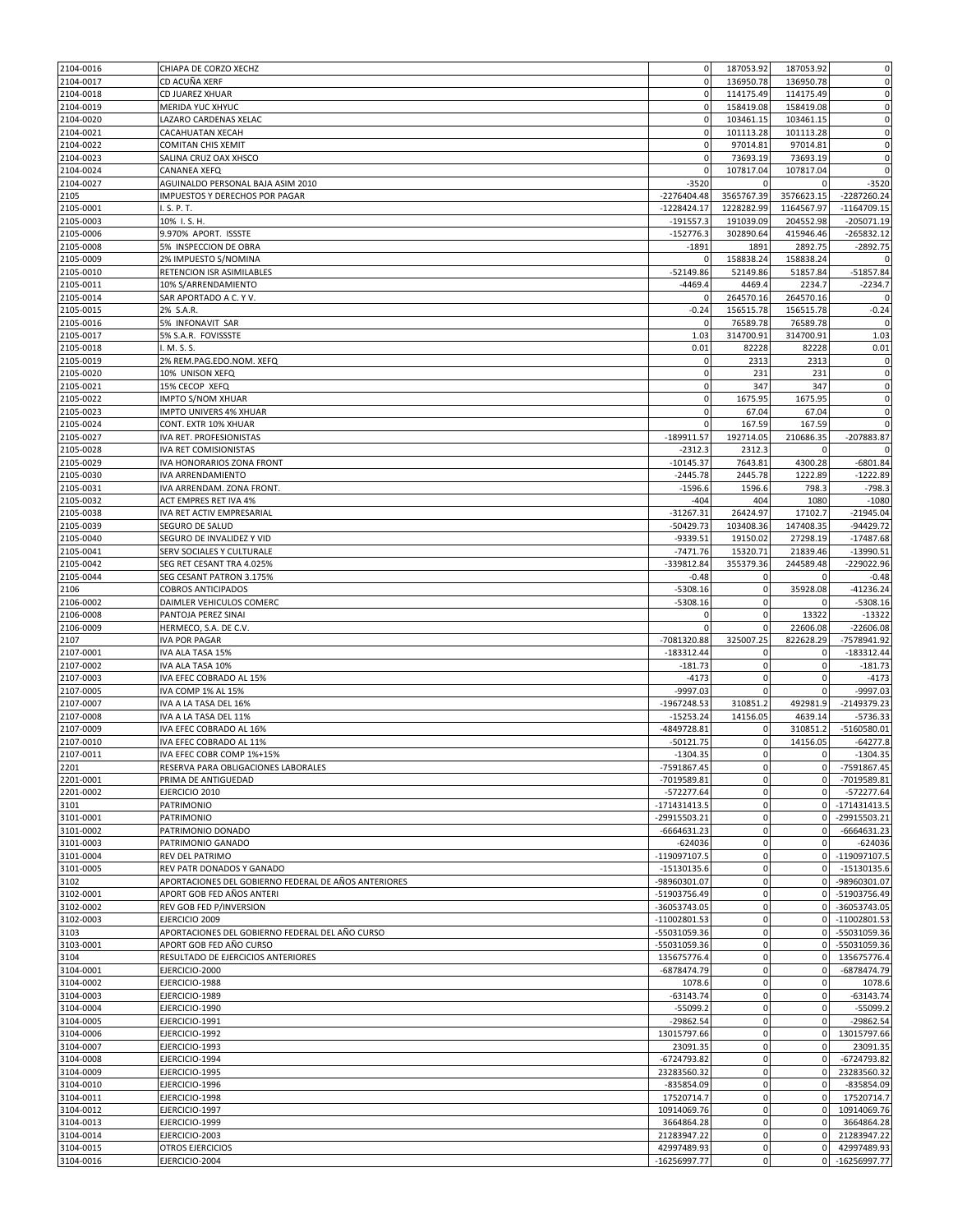| 2104-0017<br>CD ACUÑA XERF<br>$\mathbf 0$                                                  | 187053.92      | 187053.92                        | $\pmb{0}$                                                                                                                                                                                                                                                                                           |
|--------------------------------------------------------------------------------------------|----------------|----------------------------------|-----------------------------------------------------------------------------------------------------------------------------------------------------------------------------------------------------------------------------------------------------------------------------------------------------|
|                                                                                            | 136950.78      | 136950.78                        | $\mathbf 0$                                                                                                                                                                                                                                                                                         |
| 2104-0018<br>CD JUAREZ XHUAR<br>$\mathbf 0$                                                | 114175.49      | 114175.49                        | $\pmb{0}$                                                                                                                                                                                                                                                                                           |
| 2104-0019<br>MERIDA YUC XHYUC<br>$\mathbf 0$                                               | 158419.08      | 158419.08                        | $\pmb{0}$                                                                                                                                                                                                                                                                                           |
| 2104-0020<br>$\mathbf 0$<br>LAZARO CARDENAS XELAC                                          | 103461.15      | 103461.15                        | $\mathbf 0$                                                                                                                                                                                                                                                                                         |
| 2104-0021<br>$\mathbf 0$<br>CACAHUATAN XECAH                                               | 101113.28      | 101113.28                        | $\mathbf 0$                                                                                                                                                                                                                                                                                         |
| 2104-0022<br><b>COMITAN CHIS XEMIT</b><br>$\mathbf 0$                                      | 97014.81       | 97014.81                         | $\pmb{0}$                                                                                                                                                                                                                                                                                           |
| 2104-0023<br>$\mathbf 0$<br>SALINA CRUZ OAX XHSCO                                          | 73693.19       | 73693.19                         | $\pmb{0}$                                                                                                                                                                                                                                                                                           |
| 2104-0024<br>CANANEA XEFQ<br>$\mathbf 0$                                                   | 107817.04      | 107817.04                        | $\mathbf 0$                                                                                                                                                                                                                                                                                         |
| 2104-0027<br>$-3520$<br>AGUINALDO PERSONAL BAJA ASIM 2010                                  | 0              | $\Omega$                         | $-3520$                                                                                                                                                                                                                                                                                             |
| 2105<br>IMPUESTOS Y DERECHOS POR PAGAR<br>$-2276404.48$                                    | 3565767.39     | 3576623.15                       | -2287260.24                                                                                                                                                                                                                                                                                         |
| 2105-0001<br>I. S. P. T.<br>$-1228424.17$                                                  | 1228282.99     | 1164567.97                       | $-1164709.15$                                                                                                                                                                                                                                                                                       |
| 2105-0003<br>$-191557.3$<br>10% I.S.H.                                                     | 191039.09      | 204552.98                        | $-205071.19$                                                                                                                                                                                                                                                                                        |
| 2105-0006<br>9.970% APORT. ISSSTE<br>$-152776.3$                                           | 302890.64      | 415946.46                        | $-265832.12$                                                                                                                                                                                                                                                                                        |
| 2105-0008<br>5% INSPECCION DE OBRA<br>$-1891$                                              | 1891           | 2892.75                          | $-2892.75$                                                                                                                                                                                                                                                                                          |
| 2105-0009<br>2% IMPUESTO S/NOMINA<br>$\Omega$                                              | 158838.24      | 158838.24                        | $\mathbf 0$                                                                                                                                                                                                                                                                                         |
| 2105-0010<br>$-52149.86$<br>RETENCION ISR ASIMILABLES                                      | 52149.86       | 51857.84                         | $-51857.84$                                                                                                                                                                                                                                                                                         |
| 2105-0011<br>10% S/ARRENDAMIENTO<br>$-4469.4$                                              | 4469.4         | 2234.7                           | $-2234.7$                                                                                                                                                                                                                                                                                           |
| 2105-0014<br>SAR APORTADO A C. Y V.<br>$\Omega$                                            | 264570.16      | 264570.16                        | $\mathbf 0$                                                                                                                                                                                                                                                                                         |
| 2105-0015<br>2% S.A.R.<br>$-0.24$                                                          | 156515.78      | 156515.78                        | $-0.24$                                                                                                                                                                                                                                                                                             |
| 2105-0016<br>5% INFONAVIT SAR<br>$\mathbf 0$                                               | 76589.78       | 76589.78                         | 0                                                                                                                                                                                                                                                                                                   |
| 2105-0017<br>5% S.A.R. FOVISSSTE<br>1.03                                                   | 314700.91      | 314700.91                        | 1.03                                                                                                                                                                                                                                                                                                |
| 2105-0018<br>I. M. S. S.<br>0.01                                                           | 82228          | 82228                            | 0.01                                                                                                                                                                                                                                                                                                |
| 2105-0019<br>2% REM.PAG.EDO.NOM. XEFQ<br>0                                                 | 2313           | 2313                             | 0                                                                                                                                                                                                                                                                                                   |
| $\pmb{0}$<br>2105-0020<br>10% UNISON XEFQ                                                  | 231            | 231                              | $\pmb{0}$                                                                                                                                                                                                                                                                                           |
| 2105-0021<br>$\mathbf 0$<br>15% CECOP XEFQ                                                 | 347            | 347                              | $\bf 0$                                                                                                                                                                                                                                                                                             |
| 2105-0022<br>IMPTO S/NOM XHUAR<br>$\mathbf 0$                                              | 1675.95        | 1675.95                          | $\mathbf 0$                                                                                                                                                                                                                                                                                         |
| 2105-0023<br>IMPTO UNIVERS 4% XHUAR<br>$\mathbf 0$                                         | 67.04          | 67.04                            | $\mathbf 0$                                                                                                                                                                                                                                                                                         |
| 2105-0024<br>CONT. EXTR 10% XHUAR                                                          | 167.59         | 167.59                           | $\mathbf 0$                                                                                                                                                                                                                                                                                         |
| 2105-0027<br>IVA RET. PROFESIONISTAS<br>$-189911.57$                                       | 192714.05      | 210686.35                        | $-207883.87$                                                                                                                                                                                                                                                                                        |
| 2105-0028<br>IVA RET COMISIONISTAS<br>$-2312.3$                                            | 2312.3         | 0                                | 0                                                                                                                                                                                                                                                                                                   |
| 2105-0029<br>$-10145.37$<br>IVA HONORARIOS ZONA FRONT                                      | 7643.81        | 4300.28                          | $-6801.84$                                                                                                                                                                                                                                                                                          |
| 2105-0030<br>$-2445.78$<br>IVA ARRENDAMIENTO                                               | 2445.78        | 1222.89                          | $-1222.89$                                                                                                                                                                                                                                                                                          |
|                                                                                            | 1596.6         | 798.3                            | $-798.3$                                                                                                                                                                                                                                                                                            |
| 2105-0031<br>IVA ARRENDAM. ZONA FRONT.<br>$-1596.6$                                        | 404            | 1080                             | $-1080$                                                                                                                                                                                                                                                                                             |
| 2105-0032<br>ACT EMPRES RET IVA 4%<br>$-404$                                               |                | 17102.7                          | $-21945.04$                                                                                                                                                                                                                                                                                         |
| 2105-0038<br>IVA RET ACTIV EMPRESARIAL<br>$-31267.31$                                      | 26424.97       | 147408.35                        | -94429.72                                                                                                                                                                                                                                                                                           |
| 2105-0039<br>SEGURO DE SALUD<br>$-50429.73$                                                | 103408.36      |                                  | $-17487.68$                                                                                                                                                                                                                                                                                         |
| 2105-0040<br>-9339.51<br>SEGURO DE INVALIDEZ Y VID                                         | 19150.02       | 27298.19                         |                                                                                                                                                                                                                                                                                                     |
| 2105-0041<br>SERV SOCIALES Y CULTURALE<br>$-7471.76$                                       | 15320.71       | 21839.46                         |                                                                                                                                                                                                                                                                                                     |
| 2105-0042<br>-339812.84<br>SEG RET CESANT TRA 4.025%                                       | 355379.36      | 244589.48                        | $-229022.96$                                                                                                                                                                                                                                                                                        |
| 2105-0044<br>SEG CESANT PATRON 3.175%<br>$-0.48$                                           | $\mathbf 0$    | $\mathbf 0$                      |                                                                                                                                                                                                                                                                                                     |
| <b>COBROS ANTICIPADOS</b><br>$-5308.16$<br>2106                                            | $\mathbf 0$    | 35928.08                         |                                                                                                                                                                                                                                                                                                     |
| 2106-0002<br>DAIMLER VEHICULOS COMERC<br>$-5308.16$                                        | $\mathbf 0$    | 0                                |                                                                                                                                                                                                                                                                                                     |
| 2106-0008<br>PANTOJA PEREZ SINAI<br>$\mathbf 0$                                            | $\mathbf 0$    | 13322                            | $-13322$                                                                                                                                                                                                                                                                                            |
| 2106-0009<br>HERMECO, S.A. DE C.V.<br>$\Omega$                                             | 0              | 22606.08                         |                                                                                                                                                                                                                                                                                                     |
| 2107<br><b>IVA POR PAGAR</b><br>-7081320.88                                                | 325007.25      | 822628.29                        |                                                                                                                                                                                                                                                                                                     |
| 2107-0001<br>$-183312.44$<br>IVA ALA TASA 15%                                              |                |                                  |                                                                                                                                                                                                                                                                                                     |
| 2107-0002<br>IVA ALA TASA 10%<br>$-181.73$                                                 | $\mathbf 0$    | $\mathbf 0$                      |                                                                                                                                                                                                                                                                                                     |
| 2107-0003<br>$-4173$<br>IVA EFEC COBRADO AL 15%                                            | 0              | 0                                |                                                                                                                                                                                                                                                                                                     |
| 2107-0005<br>IVA COMP 1% AL 15%<br>$-9997.03$                                              | $\Omega$       | $\mathbf 0$                      |                                                                                                                                                                                                                                                                                                     |
| 2107-0007<br>-1967248.53<br>IVA A LA TASA DEL 16%                                          | 310851.2       | 492981.9                         | $-2149379.23$                                                                                                                                                                                                                                                                                       |
| 2107-0008<br>IVA A LA TASA DEL 11%<br>$-15253.24$                                          | 14156.05       | 4639.14                          |                                                                                                                                                                                                                                                                                                     |
| 2107-0009<br>-4849728.81<br>IVA EFEC COBRADO AL 16%                                        | 0              | 310851.2                         |                                                                                                                                                                                                                                                                                                     |
| 2107-0010<br>$-50121.75$<br>IVA EFEC COBRADO AL 11%                                        | $\Omega$       | 14156.05                         |                                                                                                                                                                                                                                                                                                     |
| 2107-0011<br>IVA EFEC COBR COMP 1%+15%<br>$-1304.35$                                       | $\mathbf 0$    | $\mathbf 0$                      |                                                                                                                                                                                                                                                                                                     |
| -7591867.45<br>2201<br>RESERVA PARA OBLIGACIONES LABORALES                                 | 0              | $\overline{0}$                   |                                                                                                                                                                                                                                                                                                     |
| 2201-0001<br>-7019589.81<br>PRIMA DE ANTIGUEDAD                                            | $\pmb{0}$      | $\overline{0}$                   |                                                                                                                                                                                                                                                                                                     |
| 2201-0002<br>$-572277.64$<br>EJERCICIO 2010                                                | 0              | $\mathbf 0$                      |                                                                                                                                                                                                                                                                                                     |
| 3101<br>PATRIMONIO<br>$-171431413.5$                                                       | $\mathbf 0$    | $\overline{0}$                   |                                                                                                                                                                                                                                                                                                     |
| -29915503.21<br>3101-0001<br>PATRIMONIO                                                    | 0              | $\overline{0}$                   |                                                                                                                                                                                                                                                                                                     |
| 3101-0002<br>PATRIMONIO DONADO<br>-6664631.23                                              | 0              | $\mathbf 0$                      | $-13990.51$<br>$-0.48$<br>$-41236.24$<br>$-5308.16$<br>$-22606.08$<br>-7578941.92<br>$-183312.44$<br>$-181.73$<br>$-4173$<br>$-9997.03$<br>$-5736.33$<br>$-5160580.01$<br>$-64277.8$<br>$-1304.35$<br>-7591867.45<br>-7019589.81<br>$-572277.64$<br>$-171431413.5$<br>-29915503.21<br>$-6664631.23$ |
| 3101-0003<br>PATRIMONIO GANADO<br>$-624036$                                                | $\pmb{0}$      | $\mathbf 0$                      | $-624036$                                                                                                                                                                                                                                                                                           |
| 3101-0004<br>-119097107.5<br>REV DEL PATRIMO                                               | 0              | $\overline{0}$                   | $-119097107.5$                                                                                                                                                                                                                                                                                      |
| 3101-0005<br>$-15130135.6$<br>REV PATR DONADOS Y GANADO                                    | 0              | $\mathbf{0}$                     | $-15130135.6$                                                                                                                                                                                                                                                                                       |
| 3102<br>APORTACIONES DEL GOBIERNO FEDERAL DE AÑOS ANTERIORES<br>-98960301.07               | $\mathbf 0$    | $\overline{0}$                   | -98960301.07                                                                                                                                                                                                                                                                                        |
| APORT GOB FED AÑOS ANTERI<br>-51903756.49<br>3102-0001                                     | $\pmb{0}$      | $\overline{0}$                   | -51903756.49                                                                                                                                                                                                                                                                                        |
| 3102-0002<br>REV GOB FED P/INVERSION<br>-36053743.05                                       | 0              | $\overline{0}$                   | -36053743.05                                                                                                                                                                                                                                                                                        |
| 3102-0003<br>$-11002801.53$<br>EJERCICIO 2009                                              | 0              | $\overline{0}$                   | $-11002801.53$                                                                                                                                                                                                                                                                                      |
| 3103<br>APORTACIONES DEL GOBIERNO FEDERAL DEL AÑO CURSO<br>-55031059.36                    | 0              | $\overline{0}$                   | -55031059.36                                                                                                                                                                                                                                                                                        |
| APORT GOB FED AÑO CURSO<br>3103-0001<br>-55031059.36                                       | $\mathbf 0$    | $\overline{0}$                   | -55031059.36                                                                                                                                                                                                                                                                                        |
| 3104<br>RESULTADO DE EJERCICIOS ANTERIORES<br>135675776.4                                  | 0              | $\mathbf 0$                      | 135675776.4                                                                                                                                                                                                                                                                                         |
| 3104-0001<br>-6878474.79<br>EJERCICIO-2000                                                 | $\mathbf 0$    | $\mathbf 0$                      | -6878474.79                                                                                                                                                                                                                                                                                         |
| 3104-0002<br>EJERCICIO-1988<br>1078.6                                                      | $\pmb{0}$      | $\mathbf 0$                      | 1078.6                                                                                                                                                                                                                                                                                              |
| 3104-0003<br>EJERCICIO-1989<br>$-63143.74$                                                 | 0              | $\mathbf 0$                      | $-63143.74$                                                                                                                                                                                                                                                                                         |
| 3104-0004<br>EJERCICIO-1990<br>$-55099.2$                                                  | 0              | $\overline{0}$                   | $-55099.2$                                                                                                                                                                                                                                                                                          |
| 3104-0005<br>$-29862.54$<br>EJERCICIO-1991                                                 | $\pmb{0}$      | $\mathbf 0$                      | $-29862.54$                                                                                                                                                                                                                                                                                         |
| 3104-0006<br>EJERCICIO-1992<br>13015797.66                                                 | $\mathbf 0$    | $\overline{0}$                   |                                                                                                                                                                                                                                                                                                     |
| 3104-0007<br>EJERCICIO-1993<br>23091.35                                                    | 0              | $\overline{0}$                   |                                                                                                                                                                                                                                                                                                     |
| 3104-0008<br>-6724793.82<br>EJERCICIO-1994                                                 | $\mathbf 0$    | $\mathbf 0$                      | $-6724793.82$                                                                                                                                                                                                                                                                                       |
| 3104-0009<br>EJERCICIO-1995<br>23283560.32                                                 | 0              | $\mathbf 0$                      |                                                                                                                                                                                                                                                                                                     |
| 3104-0010<br>EJERCICIO-1996<br>-835854.09                                                  | 0              | $\overline{0}$<br>$\overline{0}$ |                                                                                                                                                                                                                                                                                                     |
| 3104-0011<br>17520714.7<br>EJERCICIO-1998                                                  | 0<br>0         | $\overline{0}$                   | 13015797.66<br>23091.35<br>23283560.32<br>-835854.09<br>17520714.7                                                                                                                                                                                                                                  |
| 3104-0012<br>EJERCICIO-1997<br>10914069.76                                                 | $\mathbf 0$    | $\mathbf 0$                      | 10914069.76                                                                                                                                                                                                                                                                                         |
| 3104-0013<br>EJERCICIO-1999<br>3664864.28                                                  |                |                                  | 3664864.28                                                                                                                                                                                                                                                                                          |
| 3104-0014<br>21283947.22<br>EJERCICIO-2003<br>3104-0015<br>42997489.93<br>OTROS EJERCICIOS | $\pmb{0}$<br>0 | $\overline{0}$<br>$\overline{0}$ | 21283947.22<br>42997489.93                                                                                                                                                                                                                                                                          |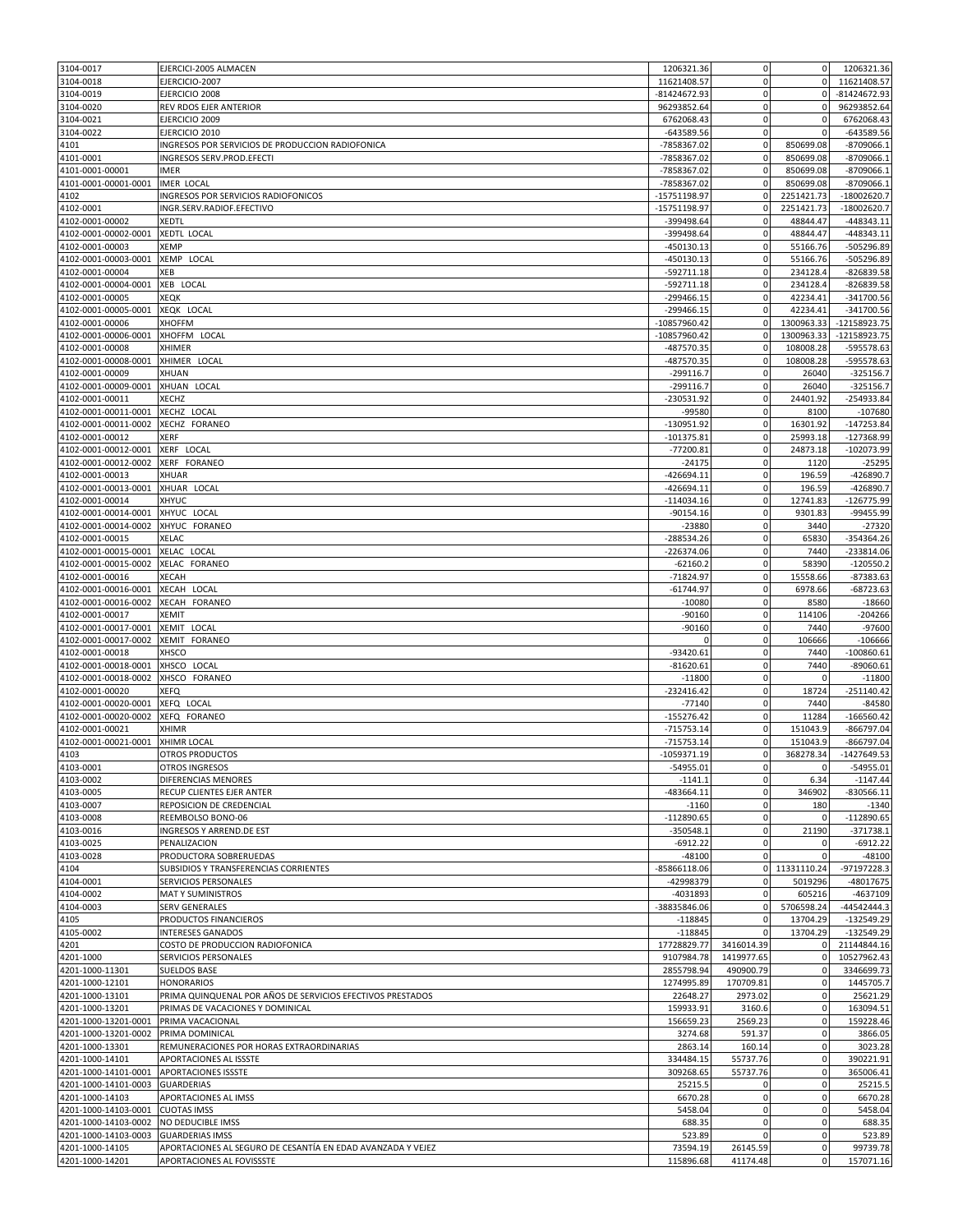| 3104-0017                               | EJERCICI-2005 ALMACEN                                                                    | 1206321.36               | 0                        | $\overline{0}$                 | 1206321.36                                |
|-----------------------------------------|------------------------------------------------------------------------------------------|--------------------------|--------------------------|--------------------------------|-------------------------------------------|
| 3104-0018                               | EJERCICIO-2007                                                                           | 11621408.57              | 0                        | $\mathbf{0}$                   | 11621408.57                               |
| 3104-0019                               | EJERCICIO 2008                                                                           | -81424672.93             | 0                        | $\mathbf{0}$                   | -81424672.93                              |
| 3104-0020                               | REV RDOS EJER ANTERIOR                                                                   | 96293852.64              | 0                        | 0                              | 96293852.64                               |
| 3104-0021                               | EJERCICIO 2009                                                                           | 6762068.43               | $\pmb{0}$                | $\mathbf 0$                    | 6762068.43                                |
| 3104-0022                               | EJERCICIO 2010                                                                           | $-643589.56$             | $\mathbf 0$              | 0                              | $-643589.56$                              |
| 4101                                    | INGRESOS POR SERVICIOS DE PRODUCCION RADIOFONICA                                         | -7858367.02              | 0                        | 850699.08                      | $-8709066.1$                              |
| 4101-0001                               | INGRESOS SERV.PROD.EFECTI                                                                | -7858367.02              | $\mathbf 0$              | 850699.08                      | $-8709066.1$                              |
| 4101-0001-00001                         | <b>IMER</b>                                                                              | -7858367.02              | $\mathbf 0$              | 850699.08                      | $-8709066.1$                              |
| 4101-0001-00001-0001                    | IMER LOCAL                                                                               | -7858367.02              | 0                        | 850699.08                      | $-8709066.1$                              |
| 4102                                    | INGRESOS POR SERVICIOS RADIOFONICOS                                                      | -15751198.97             | 0                        | 2251421.73                     | -18002620.7                               |
| 4102-0001                               | INGR.SERV.RADIOF.EFECTIVO                                                                | -15751198.97             | $\mathbf 0$              | 2251421.73                     | $-18002620.7$                             |
| 4102-0001-00002                         | <b>XEDTL</b>                                                                             | -399498.64               | 0                        | 48844.47                       | $-448343.11$                              |
| 4102-0001-00002-0001                    | XEDTL LOCAL                                                                              | -399498.64               | 0                        | 48844.47                       | $-448343.11$                              |
| 4102-0001-00003                         | XEMP                                                                                     | -450130.13               | $\Omega$                 | 55166.76                       | -505296.89                                |
| 4102-0001-00003-0001                    | XEMP LOCAL                                                                               | $-450130.13$             | $\mathbf 0$              | 55166.76                       | -505296.89                                |
| 4102-0001-00004                         | XEB                                                                                      | $-592711.18$             | 0                        | 234128.4                       | $-826839.58$                              |
| 4102-0001-00004-0001                    | XEB LOCAL                                                                                | $-592711.18$             | 0                        | 234128.4                       | $-826839.58$                              |
| 4102-0001-00005                         | <b>XEQK</b>                                                                              | $-299466.15$             | 0                        | 42234.41                       | $-341700.56$                              |
| 4102-0001-00005-0001                    | XEQK LOCAL                                                                               | -299466.15               | 0                        | 42234.41                       | -341700.56                                |
| 4102-0001-00006                         | <b>XHOFFM</b>                                                                            | -10857960.42             | 0                        | 1300963.33                     | $-12158923.75$                            |
| 4102-0001-00006-0001                    | XHOFFM LOCAL                                                                             | -10857960.42             | 0                        | 1300963.33                     | -12158923.75                              |
| 4102-0001-00008                         | XHIMER                                                                                   | -487570.35               | $\mathbf 0$              | 108008.28                      | -595578.63                                |
| 4102-0001-00008-0001                    | XHIMER LOCAL                                                                             | -487570.35               | 0                        | 108008.28                      | -595578.63                                |
| 4102-0001-00009                         | XHUAN                                                                                    | $-299116.7$              | 0                        | 26040                          | $-325156.7$                               |
| 4102-0001-00009-0001                    | XHUAN LOCAL                                                                              | $-299116.7$              | $\pmb{0}$                | 26040                          | $-325156.7$                               |
| 4102-0001-00011                         | XECHZ                                                                                    | -230531.92               | 0                        | 24401.92                       | $-254933.84$                              |
| 4102-0001-00011-0001                    | XECHZ LOCAL                                                                              | -99580                   | 0                        | 8100                           | $-107680$                                 |
| 4102-0001-00011-0002                    | XECHZ FORANEO                                                                            | -130951.92               | $\mathbf 0$              | 16301.92                       | $-147253.84$                              |
| 4102-0001-00012                         | <b>XERF</b>                                                                              | $-101375.81$             | 0                        | 25993.18                       | $-127368.99$                              |
| 4102-0001-00012-0001                    | XERF LOCAL                                                                               | $-77200.81$              | 0                        | 24873.18                       | $-102073.99$                              |
| 4102-0001-00012-0002                    | XERF FORANEO                                                                             | $-24175$                 | $\mathbf 0$              | 1120                           | $-25295$                                  |
| 4102-0001-00013                         | <b>XHUAR</b>                                                                             | $-426694.11$             | $\pmb{0}$<br>$\mathbf 0$ | 196.59                         | $-426890.7$                               |
| 4102-0001-00013-0001                    | XHUAR LOCAL                                                                              | $-426694.11$             |                          | 196.59                         | $-426890.7$                               |
| 4102-0001-00014                         | XHYUC                                                                                    | $-114034.16$             | 0                        | 12741.83                       | -126775.99                                |
| 4102-0001-00014-0001                    | XHYUC LOCAL                                                                              | $-90154.16$              | 0<br>$\pmb{0}$           | 9301.83                        | -99455.99                                 |
| 4102-0001-00014-0002<br>4102-0001-00015 | XHYUC FORANEO<br>XELAC                                                                   | $-23880$<br>$-288534.26$ | 0                        | 3440<br>65830                  | $-27320$<br>$-354364.26$                  |
| 4102-0001-00015-0001                    | XELAC LOCAL                                                                              | $-226374.06$             | 0                        | 7440                           | $-233814.06$                              |
| 4102-0001-00015-0002                    | XELAC FORANEO                                                                            | $-62160.2$               | $\mathbf 0$              | 58390                          | $-120550.2$                               |
| 4102-0001-00016                         | <b>XECAH</b>                                                                             | $-71824.97$              | 0                        | 15558.66                       | $-87383.63$                               |
| 4102-0001-00016-0001                    | XECAH LOCAL                                                                              | $-61744.97$              | $\pmb{0}$                | 6978.66                        | $-68723.63$                               |
| 4102-0001-00016-0002                    | XECAH FORANEO                                                                            | $-10080$                 | 0                        | 8580                           | $-18660$                                  |
| 4102-0001-00017                         | <b>XEMIT</b>                                                                             | $-90160$                 | 0                        | 114106                         | $-204266$                                 |
| 4102-0001-00017-0001                    | XEMIT LOCAL                                                                              | $-90160$                 | 0                        | 7440                           | $-97600$                                  |
| 4102-0001-00017-0002                    | XEMIT FORANEO                                                                            | $\Omega$                 | 0                        | 106666                         | $-106666$                                 |
| 4102-0001-00018                         | XHSCO                                                                                    | $-93420.61$              | $\mathbf 0$              | 7440                           | $-100860.61$                              |
| 4102-0001-00018-0001                    | XHSCO LOCAL                                                                              | $-81620.61$              | 0                        | 7440                           | $-89060.61$                               |
| 4102-0001-00018-0002                    | XHSCO FORANEO                                                                            | $-11800$                 | 0                        | 0                              | $-11800$                                  |
| 4102-0001-00020                         | XEFQ                                                                                     | $-232416.42$             | 0                        | 18724                          | $-251140.42$                              |
| 4102-0001-00020-0001                    | XEFQ LOCAL                                                                               | $-77140$                 | $\pmb{0}$                | 7440                           | $-84580$                                  |
| 4102-0001-00020-0002                    | XEFQ FORANEO                                                                             | $-155276.42$             | $\mathbf 0$              | 11284                          | $-166560.42$                              |
| 4102-0001-00021                         | <b>XHIMR</b>                                                                             | $-715753.14$             | 0                        | 151043.9                       | $-866797.04$                              |
| 4102-0001-00021-0001                    | XHIMR LOCAL                                                                              | $-715753.14$             | $\Omega$                 | 151043.9                       | $-866797.04$                              |
| 4103                                    | <b>OTROS PRODUCTOS</b>                                                                   | $-1059371.19$            | $\mathbf 0$              | 368278.34                      | $-1427649.53$                             |
| 4103-0001                               | OTROS INGRESOS                                                                           | $-54955.01$              | 0                        | $\mathbf 0$                    | $-54955.01$                               |
| 4103-0002                               | DIFERENCIAS MENORES                                                                      | $-1141.1$                | $\mathbf 0$              | 6.34                           | $-1147.44$                                |
| 4103-0005                               | RECUP CLIENTES EJER ANTER                                                                | $-483664.11$             | 0                        | 346902                         | $-830566.11$                              |
| 4103-0007                               | REPOSICION DE CREDENCIAL                                                                 | $-1160$                  | $\mathbf 0$              | 180                            | $-1340$                                   |
| 4103-0008                               | REEMBOLSO BONO-06                                                                        | $-112890.65$             | 0                        | $\mathbf 0$                    | $-112890.65$                              |
| 4103-0016                               | INGRESOS Y ARREND.DE EST                                                                 | $-350548.1$              | 0                        | 21190                          | $-371738.1$                               |
| 4103-0025                               | PENALIZACION                                                                             | $-6912.22$               | $\mathbf 0$              | $\mathbf 0$                    | $-6912.22$                                |
| 4103-0028                               | PRODUCTORA SOBRERUEDAS                                                                   | $-48100$                 | 0                        | $\mathbf 0$                    | $-48100$                                  |
| 4104                                    | SUBSIDIOS Y TRANSFERENCIAS CORRIENTES                                                    | -85866118.06             | $\overline{0}$           | 11331110.24                    | $-97197228.3$                             |
| 4104-0001                               | SERVICIOS PERSONALES                                                                     | -42998379                | 0                        | 5019296                        | -48017675                                 |
| 4104-0002                               | MAT Y SUMINISTROS                                                                        | $-4031893$               | $\pmb{0}$                | 605216                         | $-4637109$                                |
| 4104-0003                               | <b>SERV GENERALES</b>                                                                    | -38835846.06             | $\mathbf 0$              | 5706598.24                     | -44542444.3                               |
| 4105                                    | PRODUCTOS FINANCIEROS                                                                    | $-118845$                | 0                        | 13704.29                       | $-132549.29$                              |
| 4105-0002                               | <b>INTERESES GANADOS</b>                                                                 | $-118845$                | $\pmb{0}$                | 13704.29                       | $-132549.29$                              |
| 4201                                    | COSTO DE PRODUCCION RADIOFONICA                                                          | 17728829.77              | 3416014.39               | $\mathbf 0$                    | 21144844.16                               |
| 4201-1000                               | SERVICIOS PERSONALES                                                                     | 9107984.78               | 1419977.65               | $\mathbf 0$                    | 10527962.43                               |
| 4201-1000-11301                         | <b>SUELDOS BASE</b>                                                                      | 2855798.94               | 490900.79                | $\mathbf 0$                    | 3346699.73                                |
| 4201-1000-12101                         | <b>HONORARIOS</b>                                                                        | 1274995.89               | 170709.81                | $\mathbf 0$                    | 1445705.7                                 |
| 4201-1000-13101                         | PRIMA QUINQUENAL POR AÑOS DE SERVICIOS EFECTIVOS PRESTADOS                               | 22648.27                 | 2973.02                  | $\mathbf 0$                    | 25621.29                                  |
| 4201-1000-13201                         | PRIMAS DE VACACIONES Y DOMINICAL                                                         | 159933.91                | 3160.6                   | $\mathbf 0$                    | 163094.51                                 |
| 4201-1000-13201-0001                    | PRIMA VACACIONAL                                                                         | 156659.23                | 2569.23                  | $\mathbf 0$                    | 159228.46                                 |
| 4201-1000-13201-0002                    | PRIMA DOMINICAL                                                                          | 3274.68                  | 591.37                   | $\mathbf 0$                    | 3866.05                                   |
| 4201-1000-13301                         |                                                                                          |                          | 160.14                   | $\mathbf 0$                    | 3023.28                                   |
|                                         | REMUNERACIONES POR HORAS EXTRAORDINARIAS                                                 | 2863.14                  |                          |                                |                                           |
| 4201-1000-14101                         | APORTACIONES AL ISSSTE                                                                   | 334484.15                | 55737.76                 | $\mathbf 0$                    | 390221.91                                 |
| 4201-1000-14101-0001                    | APORTACIONES ISSSTE                                                                      | 309268.65                | 55737.76                 | $\mathbf 0$                    | 365006.41                                 |
| 4201-1000-14101-0003                    | <b>GUARDERIAS</b>                                                                        | 25215.5                  | 0                        | $\mathbf 0$                    |                                           |
| 4201-1000-14103                         | APORTACIONES AL IMSS                                                                     | 6670.28                  | $\mathbf 0$              | $\mathbf 0$                    | 25215.5<br>6670.28                        |
| 4201-1000-14103-0001                    | <b>CUOTAS IMSS</b>                                                                       | 5458.04                  | 0                        | $\mathbf 0$                    | 5458.04                                   |
| 4201-1000-14103-0002                    | NO DEDUCIBLE IMSS                                                                        | 688.35                   | $\mathbf 0$              | $\mathbf{0}$                   |                                           |
| 4201-1000-14103-0003                    | <b>GUARDERIAS IMSS</b>                                                                   | 523.89                   | $\mathbf 0$              | $\mathbf 0$                    |                                           |
| 4201-1000-14105<br>4201-1000-14201      | APORTACIONES AL SEGURO DE CESANTÍA EN EDAD AVANZADA Y VEJEZ<br>APORTACIONES AL FOVISSSTE | 73594.19<br>115896.68    | 26145.59<br>41174.48     | $\overline{0}$<br>$\mathbf{0}$ | 688.35<br>523.89<br>99739.78<br>157071.16 |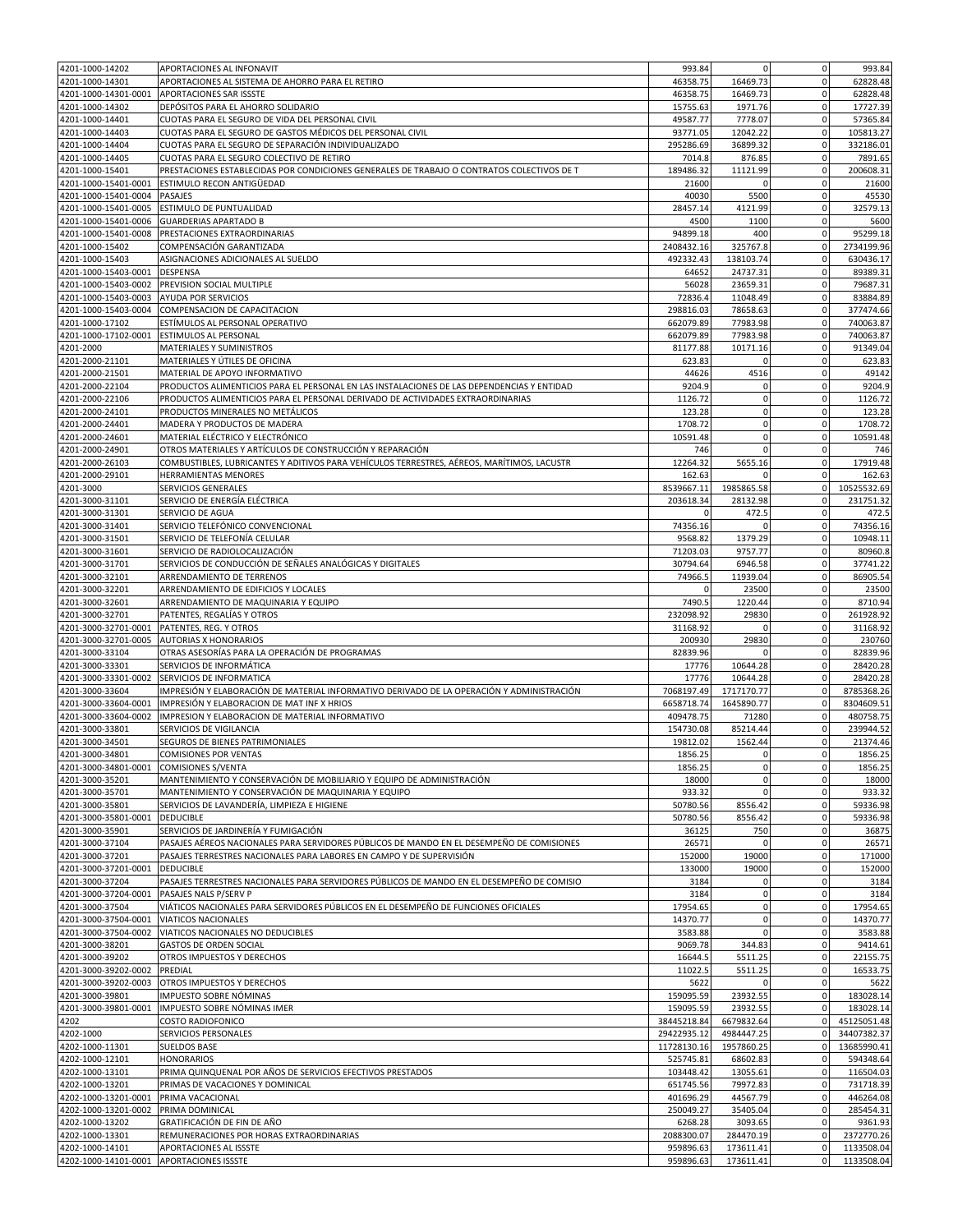| 4201-1000-14202                         | APORTACIONES AL INFONAVIT                                                                  | 993.84                 | $\mathbf 0$            | $\mathbf 0$                 | 993.84                                                                                                             |
|-----------------------------------------|--------------------------------------------------------------------------------------------|------------------------|------------------------|-----------------------------|--------------------------------------------------------------------------------------------------------------------|
| 4201-1000-14301                         | APORTACIONES AL SISTEMA DE AHORRO PARA EL RETIRO                                           | 46358.75               | 16469.73               | $\mathbf{0}$                | 62828.48                                                                                                           |
| 4201-1000-14301-0001                    | APORTACIONES SAR ISSSTE                                                                    | 46358.75               | 16469.73               | $\mathbf 0$                 | 62828.48                                                                                                           |
|                                         |                                                                                            |                        |                        |                             |                                                                                                                    |
| 4201-1000-14302                         | DEPÓSITOS PARA EL AHORRO SOLIDARIO                                                         | 15755.63               | 1971.76                | $\mathbf 0$                 | 17727.39                                                                                                           |
| 4201-1000-14401                         | CUOTAS PARA EL SEGURO DE VIDA DEL PERSONAL CIVIL                                           | 49587.77               | 7778.07                | $\mathbf 0$                 | 57365.84                                                                                                           |
| 4201-1000-14403                         | CUOTAS PARA EL SEGURO DE GASTOS MÉDICOS DEL PERSONAL CIVIL                                 | 93771.05               | 12042.22               | $\mathbf 0$                 | 105813.27                                                                                                          |
| 4201-1000-14404                         | CUOTAS PARA EL SEGURO DE SEPARACIÓN INDIVIDUALIZADO                                        | 295286.69              | 36899.32               | $\mathbf 0$                 | 332186.01                                                                                                          |
| 4201-1000-14405                         | CUOTAS PARA EL SEGURO COLECTIVO DE RETIRO                                                  | 7014.8                 | 876.85                 | $\mathbf 0$                 | 7891.65                                                                                                            |
| 4201-1000-15401                         | PRESTACIONES ESTABLECIDAS POR CONDICIONES GENERALES DE TRABAJO O CONTRATOS COLECTIVOS DE T | 189486.32              | 11121.99               | $\mathbf 0$                 | 200608.31                                                                                                          |
|                                         |                                                                                            |                        |                        |                             |                                                                                                                    |
| 4201-1000-15401-0001                    | ESTIMULO RECON ANTIGÜEDAD                                                                  | 21600                  | $\Omega$               | $\mathbf 0$                 | 21600                                                                                                              |
| 4201-1000-15401-0004                    | PASAJES                                                                                    | 40030                  | 5500                   | 0                           | 45530                                                                                                              |
| 4201-1000-15401-0005                    | ESTIMULO DE PUNTUALIDAD                                                                    | 28457.14               | 4121.99                | $\mathbf 0$                 | 32579.13                                                                                                           |
| 4201-1000-15401-0006                    | <b>GUARDERIAS APARTADO B</b>                                                               | 4500                   | 1100                   | $\mathbf 0$                 | 5600                                                                                                               |
| 4201-1000-15401-0008                    | PRESTACIONES EXTRAORDINARIAS                                                               | 94899.18               | 400                    | $\mathbf 0$                 | 95299.18                                                                                                           |
| 4201-1000-15402                         | COMPENSACIÓN GARANTIZADA                                                                   | 2408432.16             | 325767.8               | $\mathbf 0$                 | 2734199.96                                                                                                         |
| 4201-1000-15403                         | ASIGNACIONES ADICIONALES AL SUELDO                                                         | 492332.43              | 138103.74              | $\mathbf 0$                 | 630436.17                                                                                                          |
|                                         |                                                                                            |                        |                        |                             |                                                                                                                    |
| 4201-1000-15403-0001                    | <b>DESPENSA</b>                                                                            | 64652                  | 24737.31               | $\mathbf 0$                 | 89389.31                                                                                                           |
| 4201-1000-15403-0002                    | PREVISION SOCIAL MULTIPLE                                                                  | 56028                  | 23659.31               | $\mathbf 0$                 | 79687.31                                                                                                           |
| 4201-1000-15403-0003                    | AYUDA POR SERVICIOS                                                                        | 72836.4                | 11048.49               | $\mathbf 0$                 | 83884.89                                                                                                           |
| 4201-1000-15403-0004                    | COMPENSACION DE CAPACITACION                                                               | 298816.03              | 78658.63               | $\mathbf{0}$                | 377474.66                                                                                                          |
| 4201-1000-17102                         | ESTÍMULOS AL PERSONAL OPERATIVO                                                            | 662079.89              | 77983.98               | $\mathbf 0$                 | 740063.87                                                                                                          |
| 4201-1000-17102-0001                    | ESTIMULOS AL PERSONAL                                                                      | 662079.89              | 77983.98               | 0                           | 740063.87                                                                                                          |
|                                         |                                                                                            |                        |                        |                             |                                                                                                                    |
| 4201-2000                               | MATERIALES Y SUMINISTROS                                                                   | 81177.88               | 10171.16               | $\mathbf 0$                 | 91349.04                                                                                                           |
| 4201-2000-21101                         | MATERIALES Y UTILES DE OFICINA                                                             | 623.83                 | $\Omega$               | $\mathbf 0$                 | 623.83                                                                                                             |
| 4201-2000-21501                         | MATERIAL DE APOYO INFORMATIVO                                                              | 44626                  | 4516                   | $\mathbf 0$                 | 49142                                                                                                              |
| 4201-2000-22104                         | PRODUCTOS ALIMENTICIOS PARA EL PERSONAL EN LAS INSTALACIONES DE LAS DEPENDENCIAS Y ENTIDAD | 9204.9                 | $\mathbf 0$            | $\mathbf 0$                 | 9204.9                                                                                                             |
| 4201-2000-22106                         | PRODUCTOS ALIMENTICIOS PARA EL PERSONAL DERIVADO DE ACTIVIDADES EXTRAORDINARIAS            | 1126.72                | $\mathbf 0$            | $\mathbf 0$                 | 1126.72                                                                                                            |
| 4201-2000-24101                         | PRODUCTOS MINERALES NO METÁLICOS                                                           | 123.28                 | $\Omega$               | $\mathbf 0$                 | 123.28                                                                                                             |
|                                         |                                                                                            |                        |                        |                             |                                                                                                                    |
| 4201-2000-24401                         | MADERA Y PRODUCTOS DE MADERA                                                               | 1708.72                | $\Omega$               | $\Omega$                    | 1708.72                                                                                                            |
| 4201-2000-24601                         | MATERIAL ELÉCTRICO Y ELECTRÓNICO                                                           | 10591.48               | 0                      | $\mathbf 0$                 | 10591.48                                                                                                           |
| 4201-2000-24901                         | OTROS MATERIALES Y ARTÍCULOS DE CONSTRUCCIÓN Y REPARACIÓN                                  | 746                    | $\Omega$               | $\mathbf{0}$                | 746                                                                                                                |
| 4201-2000-26103                         | COMBUSTIBLES, LUBRICANTES Y ADITIVOS PARA VEHÍCULOS TERRESTRES, AÉREOS, MARÍTIMOS, LACUSTR | 12264.32               | 5655.16                | $\mathbf 0$                 | 17919.48                                                                                                           |
| 4201-2000-29101                         | HERRAMIENTAS MENORES                                                                       | 162.63                 | $\Omega$               | $\mathbf 0$                 | 162.63                                                                                                             |
|                                         |                                                                                            | 8539667.11             |                        | $\mathbf 0$                 |                                                                                                                    |
| 4201-3000                               | SERVICIOS GENERALES                                                                        |                        | 1985865.58             |                             | 10525532.69                                                                                                        |
| 4201-3000-31101                         | SERVICIO DE ENERGÍA ELÉCTRICA                                                              | 203618.34              | 28132.98               | $\mathbf 0$                 | 231751.32                                                                                                          |
| 4201-3000-31301                         | SERVICIO DE AGUA                                                                           | $\Omega$               | 472.5                  | $\Omega$                    | 472.5                                                                                                              |
| 4201-3000-31401                         | SERVICIO TELEFÓNICO CONVENCIONAL                                                           | 74356.16               | $\Omega$               | $\mathbf 0$                 | 74356.16                                                                                                           |
| 4201-3000-31501                         | SERVICIO DE TELEFONÍA CELULAR                                                              | 9568.82                | 1379.29                | $\mathbf 0$                 | 10948.11                                                                                                           |
| 4201-3000-31601                         | SERVICIO DE RADIOLOCALIZACIÓN                                                              | 71203.03               | 9757.77                | $\mathbf 0$                 | 80960.8                                                                                                            |
|                                         |                                                                                            |                        |                        |                             |                                                                                                                    |
| 4201-3000-31701                         | SERVICIOS DE CONDUCCIÓN DE SEÑALES ANALÓGICAS Y DIGITALES                                  | 30794.64               | 6946.58                | $\mathbf 0$                 | 37741.22                                                                                                           |
| 4201-3000-32101                         | ARRENDAMIENTO DE TERRENOS                                                                  | 74966.5                | 11939.04               | $\overline{0}$              | 86905.54                                                                                                           |
| 4201-3000-32201                         | ARRENDAMIENTO DE EDIFICIOS Y LOCALES                                                       | $\mathbf 0$            | 23500                  | $\mathbf 0$                 | 23500                                                                                                              |
| 4201-3000-32601                         | ARRENDAMIENTO DE MAQUINARIA Y EQUIPO                                                       | 7490.5                 | 1220.44                | $\mathbf 0$                 | 8710.94                                                                                                            |
| 4201-3000-32701                         | PATENTES, REGALÍAS Y OTROS                                                                 | 232098.92              | 29830                  | $\mathbf 0$                 | 261928.92                                                                                                          |
| 4201-3000-32701-0001                    | PATENTES, REG. Y OTROS                                                                     | 31168.92               | $\Omega$               | $\mathbf{0}$                | 31168.92                                                                                                           |
|                                         |                                                                                            |                        |                        |                             |                                                                                                                    |
| 4201-3000-32701-0005                    | AUTORIAS X HONORARIOS                                                                      | 200930                 | 29830                  | $\mathbf 0$                 | 230760                                                                                                             |
| 4201-3000-33104                         | OTRAS ASESORÍAS PARA LA OPERACIÓN DE PROGRAMAS                                             | 82839.96               |                        | 0                           | 82839.96                                                                                                           |
|                                         |                                                                                            |                        |                        |                             |                                                                                                                    |
| 4201-3000-33301                         | SERVICIOS DE INFORMÁTICA                                                                   | 17776                  | 10644.28               | $\mathbf 0$                 | 28420.28                                                                                                           |
|                                         |                                                                                            |                        | 10644.28               |                             |                                                                                                                    |
| 4201-3000-33301-0002                    | SERVICIOS DE INFORMATICA                                                                   | 17776                  |                        | $\mathbf 0$                 | 28420.28                                                                                                           |
| 4201-3000-33604                         | IMPRESIÓN Y ELABORACIÓN DE MATERIAL INFORMATIVO DERIVADO DE LA OPERACIÓN Y ADMINISTRACIÓN  | 7068197.49             | 1717170.77             | $\mathbf 0$                 | 8785368.26                                                                                                         |
| 4201-3000-33604-0001                    | IMPRESIÓN Y ELABORACION DE MAT INF X HRIOS                                                 | 6658718.74             | 1645890.77             | $\mathbf 0$                 |                                                                                                                    |
| 4201-3000-33604-0002                    | IMPRESION Y ELABORACION DE MATERIAL INFORMATIVO                                            | 409478.75              | 71280                  | $\mathbf 0$                 | 8304609.51<br>480758.75                                                                                            |
| 4201-3000-33801                         | SERVICIOS DE VIGILANCIA                                                                    | 154730.08              | 85214.44               | $\mathbf 0$                 | 239944.52                                                                                                          |
| 4201-3000-34501                         | SEGUROS DE BIENES PATRIMONIALES                                                            | 19812.02               | 1562.44                | $\Omega$                    |                                                                                                                    |
|                                         |                                                                                            |                        | $\mathbf 0$            | $\mathbf{0}$                |                                                                                                                    |
| 4201-3000-34801                         | <b>COMISIONES POR VENTAS</b>                                                               | 1856.25                |                        |                             |                                                                                                                    |
| 4201-3000-34801-0001 COMISIONES S/VENTA |                                                                                            | 1856.25                | 0                      | $\mathbf 0$                 |                                                                                                                    |
| 4201-3000-35201                         | MANTENIMIENTO Y CONSERVACIÓN DE MOBILIARIO Y EQUIPO DE ADMINISTRACIÓN                      | 18000                  | $\mathbf 0$            | $\mathbf 0$                 | 21374.46<br>1856.25<br>1856.25<br>18000                                                                            |
| 4201-3000-35701                         | MANTENIMIENTO Y CONSERVACIÓN DE MAQUINARIA Y EQUIPO                                        | 933.32                 | $\mathbf 0$            | $\mathbf 0$                 | 933.32                                                                                                             |
| 4201-3000-35801                         | SERVICIOS DE LAVANDERÍA, LIMPIEZA E HIGIENE                                                | 50780.56               | 8556.42                | $\mathbf 0$                 | 59336.98                                                                                                           |
| 4201-3000-35801-0001                    | <b>DEDUCIBLE</b>                                                                           | 50780.56               | 8556.42                | $\mathbf 0$                 | 59336.98                                                                                                           |
|                                         |                                                                                            |                        |                        | 0                           |                                                                                                                    |
| 4201-3000-35901                         | SERVICIOS DE JARDINERÍA Y FUMIGACIÓN                                                       | 36125                  | 750                    |                             | 36875                                                                                                              |
| 4201-3000-37104                         | PASAJES AÉREOS NACIONALES PARA SERVIDORES PÚBLICOS DE MANDO EN EL DESEMPEÑO DE COMISIONES  | 26571                  | $\mathbf 0$            | $\mathbf 0$                 | 26571                                                                                                              |
| 4201-3000-37201                         | PASAJES TERRESTRES NACIONALES PARA LABORES EN CAMPO Y DE SUPERVISIÓN                       | 152000                 | 19000                  | $\mathbf{0}$                | 171000                                                                                                             |
| 4201-3000-37201-0001                    | <b>DEDUCIBLE</b>                                                                           | 133000                 | 19000                  | $\mathbf 0$                 | 152000                                                                                                             |
| 4201-3000-37204                         | PASAJES TERRESTRES NACIONALES PARA SERVIDORES PÚBLICOS DE MANDO EN EL DESEMPEÑO DE COMISIO | 3184                   | 0                      | $\mathbf 0$                 | 3184                                                                                                               |
| 4201-3000-37204-0001                    | PASAJES NALS P/SERV P                                                                      | 3184                   | $\mathbf 0$            | $\mathbf 0$                 | 3184                                                                                                               |
| 4201-3000-37504                         | VIÁTICOS NACIONALES PARA SERVIDORES PÚBLICOS EN EL DESEMPEÑO DE FUNCIONES OFICIALES        | 17954.65               | $\mathbf 0$            | $\mathbf{0}$                | 17954.65                                                                                                           |
|                                         |                                                                                            |                        | $\Omega$               |                             |                                                                                                                    |
| 4201-3000-37504-0001                    | VIATICOS NACIONALES                                                                        | 14370.77               |                        | $\mathbf 0$                 | 14370.77                                                                                                           |
| 4201-3000-37504-0002                    | VIATICOS NACIONALES NO DEDUCIBLES                                                          | 3583.88                | $\mathbf 0$            | $\mathbf 0$                 | 3583.88                                                                                                            |
| 4201-3000-38201                         | <b>GASTOS DE ORDEN SOCIAL</b>                                                              | 9069.78                | 344.83                 | $\overline{0}$              | 9414.61                                                                                                            |
| 4201-3000-39202                         | OTROS IMPUESTOS Y DERECHOS                                                                 | 16644.5                | 5511.25                | $\mathbf 0$                 | 22155.75                                                                                                           |
| 4201-3000-39202-0002                    | PREDIAL                                                                                    | 11022.5                | 5511.25                | $\mathbf{0}$                | 16533.75                                                                                                           |
|                                         |                                                                                            |                        |                        | $\mathbf 0$                 |                                                                                                                    |
| 4201-3000-39202-0003                    | OTROS IMPUESTOS Y DERECHOS                                                                 | 5622                   |                        |                             | 5622                                                                                                               |
| 4201-3000-39801                         | IMPUESTO SOBRE NÓMINAS                                                                     | 159095.59              | 23932.55               | $\mathbf 0$                 | 183028.14                                                                                                          |
| 4201-3000-39801-0001                    | IMPUESTO SOBRE NÓMINAS IMER                                                                | 159095.59              | 23932.55               | $\mathbf 0$                 | 183028.14                                                                                                          |
| 4202                                    | COSTO RADIOFONICO                                                                          | 38445218.84            | 6679832.64             | $\mathbf 0$                 | 45125051.48                                                                                                        |
| 4202-1000                               | SERVICIOS PERSONALES                                                                       | 29422935.12            | 4984447.25             | $\mathbf{0}$                | 34407382.37                                                                                                        |
| 4202-1000-11301                         | <b>SUELDOS BASE</b>                                                                        | 11728130.16            | 1957860.25             | $\overline{0}$              | 13685990.41                                                                                                        |
|                                         | <b>HONORARIOS</b>                                                                          | 525745.81              |                        | $\mathbf 0$                 |                                                                                                                    |
| 4202-1000-12101                         |                                                                                            |                        | 68602.83               |                             |                                                                                                                    |
| 4202-1000-13101                         | PRIMA QUINQUENAL POR AÑOS DE SERVICIOS EFECTIVOS PRESTADOS                                 | 103448.42              | 13055.61               | $\mathbf{0}$                |                                                                                                                    |
| 4202-1000-13201                         | PRIMAS DE VACACIONES Y DOMINICAL                                                           | 651745.56              | 79972.83               | $\mathbf{0}$                |                                                                                                                    |
| 4202-1000-13201-0001                    | PRIMA VACACIONAL                                                                           | 401696.29              | 44567.79               | $\mathbf 0$                 |                                                                                                                    |
| 4202-1000-13201-0002                    | PRIMA DOMINICAL                                                                            | 250049.27              | 35405.04               | $\mathbf 0$                 |                                                                                                                    |
| 4202-1000-13202                         | GRATIFICACIÓN DE FIN DE AÑO                                                                | 6268.28                | 3093.65                | $\overline{0}$              |                                                                                                                    |
|                                         |                                                                                            |                        |                        |                             |                                                                                                                    |
| 4202-1000-13301                         | REMUNERACIONES POR HORAS EXTRAORDINARIAS                                                   | 2088300.07             | 284470.19              | $\mathbf 0$                 |                                                                                                                    |
| 4202-1000-14101<br>4202-1000-14101-0001 | APORTACIONES AL ISSSTE<br><b>APORTACIONES ISSSTE</b>                                       | 959896.63<br>959896.63 | 173611.41<br>173611.41 | $\mathbf{0}$<br>$\mathbf 0$ | 594348.64<br>116504.03<br>731718.39<br>446264.08<br>285454.31<br>9361.93<br>2372770.26<br>1133508.04<br>1133508.04 |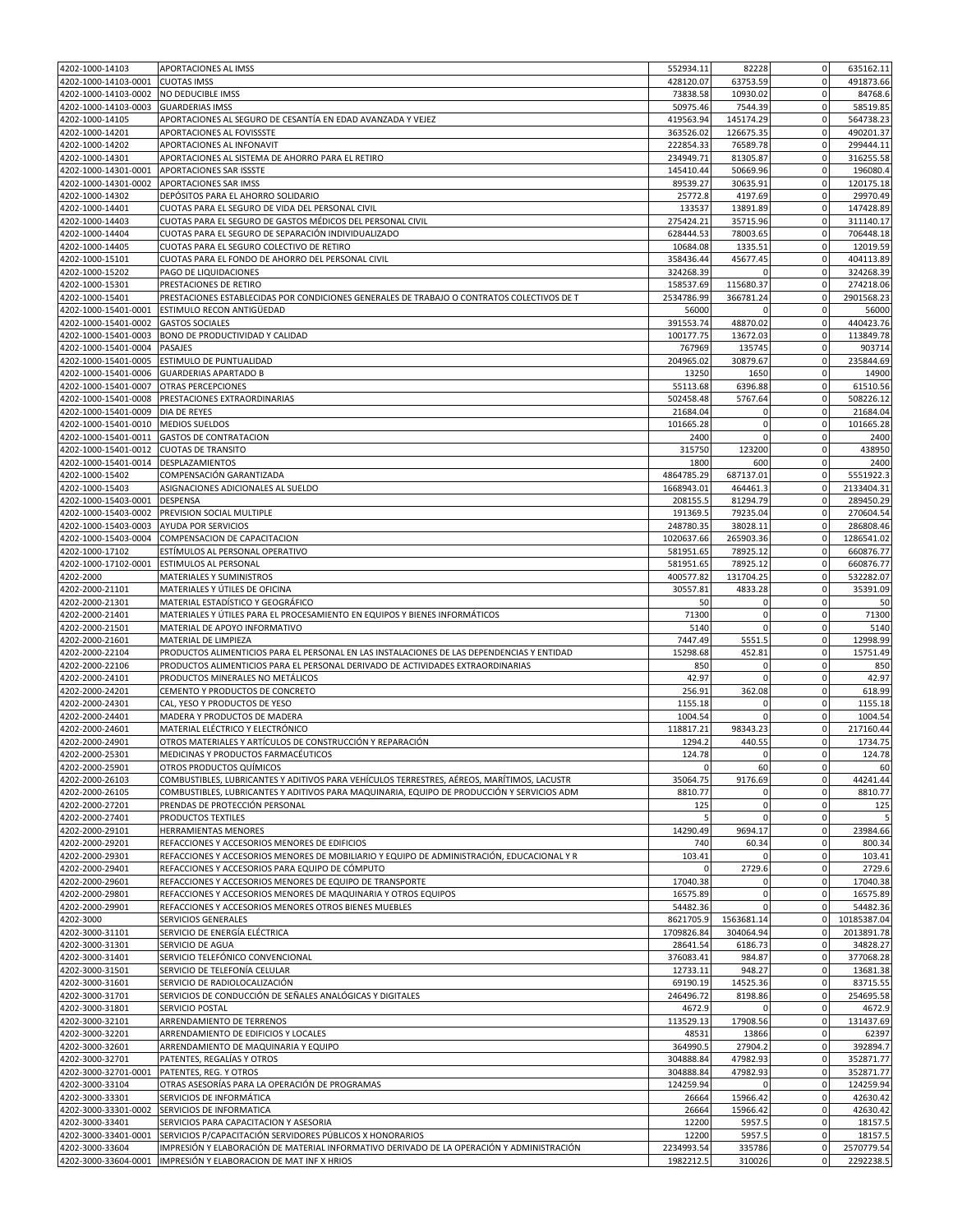| 4202-1000-14103                              | APORTACIONES AL IMSS                                                                                                                          | 552934.11               | 82228                      | $\mathbf 0$                   | 635162.11             |
|----------------------------------------------|-----------------------------------------------------------------------------------------------------------------------------------------------|-------------------------|----------------------------|-------------------------------|-----------------------|
| 4202-1000-14103-0001                         | <b>CUOTAS IMSS</b>                                                                                                                            | 428120.07               | 63753.59                   | $\mathbf 0$                   | 491873.66             |
| 4202-1000-14103-0002                         | NO DEDUCIBLE IMSS                                                                                                                             | 73838.58                | 10930.02                   | 0                             | 84768.6               |
| 4202-1000-14103-0003                         | <b>GUARDERIAS IMSS</b>                                                                                                                        | 50975.46                | 7544.39                    | $\mathbf 0$                   | 58519.85              |
| 4202-1000-14105                              | APORTACIONES AL SEGURO DE CESANTÍA EN EDAD AVANZADA Y VEJEZ                                                                                   | 419563.94               | 145174.29                  | $\mathbf{0}$                  | 564738.23             |
| 4202-1000-14201                              | APORTACIONES AL FOVISSSTE                                                                                                                     | 363526.02               | 126675.35                  | $\mathbf 0$                   | 490201.37             |
| 4202-1000-14202                              | APORTACIONES AL INFONAVIT                                                                                                                     | 222854.33               | 76589.78                   | $\Omega$                      | 299444.11             |
| 4202-1000-14301                              | APORTACIONES AL SISTEMA DE AHORRO PARA EL RETIRO                                                                                              | 234949.71               | 81305.87                   | $\mathbf 0$                   | 316255.58             |
| 4202-1000-14301-0001                         | APORTACIONES SAR ISSSTE                                                                                                                       | 145410.44               | 50669.96                   | $\mathbf 0$                   | 196080.4              |
| 4202-1000-14301-0002                         | APORTACIONES SAR IMSS                                                                                                                         | 89539.27                | 30635.91                   | $\mathbf 0$                   | 120175.18             |
| 4202-1000-14302                              | DEPÓSITOS PARA EL AHORRO SOLIDARIO                                                                                                            | 25772.8                 | 4197.69                    | $\mathbf 0$                   | 29970.49              |
| 4202-1000-14401                              | CUOTAS PARA EL SEGURO DE VIDA DEL PERSONAL CIVIL                                                                                              | 133537                  | 13891.89                   | $\mathbf{0}$                  | 147428.89             |
| 4202-1000-14403                              | CUOTAS PARA EL SEGURO DE GASTOS MÉDICOS DEL PERSONAL CIVIL                                                                                    | 275424.21               | 35715.96                   | $\mathbf 0$                   | 311140.17             |
| 4202-1000-14404                              | CUOTAS PARA EL SEGURO DE SEPARACIÓN INDIVIDUALIZADO                                                                                           | 628444.53               | 78003.65                   | 0                             | 706448.18             |
| 4202-1000-14405                              | CUOTAS PARA EL SEGURO COLECTIVO DE RETIRO                                                                                                     | 10684.08                | 1335.51                    | $\mathbf 0$                   | 12019.59              |
| 4202-1000-15101                              | CUOTAS PARA EL FONDO DE AHORRO DEL PERSONAL CIVIL                                                                                             | 358436.44               | 45677.45                   | $\mathbf 0$                   | 404113.89             |
| 4202-1000-15202                              | PAGO DE LIQUIDACIONES                                                                                                                         | 324268.39               | $\Omega$                   | $\mathbf 0$                   | 324268.39             |
| 4202-1000-15301                              | PRESTACIONES DE RETIRO                                                                                                                        | 158537.69               | 115680.37                  | $\mathbf 0$                   | 274218.06             |
| 4202-1000-15401                              | PRESTACIONES ESTABLECIDAS POR CONDICIONES GENERALES DE TRABAJO O CONTRATOS COLECTIVOS DE T                                                    | 2534786.99              | 366781.24                  | $\mathbf 0$                   | 2901568.23            |
| 4202-1000-15401-0001                         | ESTIMULO RECON ANTIGÜEDAD                                                                                                                     | 56000                   | $\Omega$                   | $\mathbf 0$                   | 56000                 |
| 4202-1000-15401-0002                         | <b>GASTOS SOCIALES</b>                                                                                                                        | 391553.74               | 48870.02                   | $\mathbf 0$                   | 440423.76             |
| 4202-1000-15401-0003                         | BONO DE PRODUCTIVIDAD Y CALIDAD                                                                                                               | 100177.75               | 13672.03                   | $\mathbf 0$                   | 113849.78             |
| 4202-1000-15401-0004                         | PASAJES                                                                                                                                       | 767969                  | 135745                     | $\mathbf 0$                   | 903714                |
| 4202-1000-15401-0005                         | ESTIMULO DE PUNTUALIDAD                                                                                                                       | 204965.02               | 30879.67                   | $\mathbf 0$                   | 235844.69             |
| 4202-1000-15401-0006                         | <b>GUARDERIAS APARTADO B</b>                                                                                                                  | 13250                   | 1650                       | $\mathbf 0$                   | 14900                 |
| 4202-1000-15401-0007                         | <b>OTRAS PERCEPCIONES</b>                                                                                                                     | 55113.68                | 6396.88                    | $\mathbf 0$                   | 61510.56              |
| 4202-1000-15401-0008                         | PRESTACIONES EXTRAORDINARIAS                                                                                                                  | 502458.48               | 5767.64<br>$\Omega$        | $\mathbf 0$<br>$\mathbf 0$    | 508226.12<br>21684.04 |
| 4202-1000-15401-0009<br>4202-1000-15401-0010 | DIA DE REYES<br><b>MEDIOS SUELDOS</b>                                                                                                         | 21684.04<br>101665.28   | $\bf 0$                    | $\mathbf 0$                   |                       |
| 4202-1000-15401-0011                         | <b>GASTOS DE CONTRATACION</b>                                                                                                                 | 2400                    | $\Omega$                   | $\mathbf 0$                   | 101665.28<br>2400     |
| 4202-1000-15401-0012                         | <b>CUOTAS DE TRANSITO</b>                                                                                                                     | 315750                  | 123200                     | $\mathbf 0$                   | 438950                |
| 4202-1000-15401-0014                         | DESPLAZAMIENTOS                                                                                                                               | 1800                    | 600                        | 0                             | 2400                  |
| 4202-1000-15402                              | COMPENSACIÓN GARANTIZADA                                                                                                                      | 4864785.29              | 687137.01                  | $\mathbf 0$                   | 5551922.3             |
| 4202-1000-15403                              | ASIGNACIONES ADICIONALES AL SUELDO                                                                                                            | 1668943.01              | 464461.3                   | $\mathbf 0$                   | 2133404.31            |
| 4202-1000-15403-0001                         | DESPENSA                                                                                                                                      | 208155.5                | 81294.79                   | $\mathbf 0$                   | 289450.29             |
| 4202-1000-15403-0002                         | PREVISION SOCIAL MULTIPLE                                                                                                                     | 191369.5                | 79235.04                   | $\mathbf 0$                   | 270604.54             |
| 4202-1000-15403-0003                         | AYUDA POR SERVICIOS                                                                                                                           | 248780.35               | 38028.11                   | $\mathbf 0$                   | 286808.46             |
| 4202-1000-15403-0004                         | COMPENSACION DE CAPACITACION                                                                                                                  | 1020637.66              | 265903.36                  | $\mathbf 0$                   | 1286541.02            |
| 4202-1000-17102                              | ESTÍMULOS AL PERSONAL OPERATIVO                                                                                                               | 581951.65               | 78925.12                   | $\mathbf 0$                   | 660876.77             |
| 4202-1000-17102-0001                         | ESTIMULOS AL PERSONAI                                                                                                                         | 581951.65               | 78925.12                   | $\mathbf 0$                   | 660876.77             |
| 4202-2000                                    | MATERIALES Y SUMINISTROS                                                                                                                      | 400577.82               | 131704.25                  | $\mathbf 0$                   | 532282.07             |
| 4202-2000-21101                              | MATERIALES Y ÚTILES DE OFICINA                                                                                                                | 30557.81                | 4833.28                    | $\mathbf 0$                   | 35391.09              |
| 4202-2000-21301                              | MATERIAL ESTADÍSTICO Y GEOGRÁFICO                                                                                                             | 50                      | $\Omega$                   | 0                             | 50                    |
| 4202-2000-21401                              | MATERIALES Y ÚTILES PARA EL PROCESAMIENTO EN EQUIPOS Y BIENES INFORMÁTICOS                                                                    | 71300                   | $\mathbf 0$                | $\mathbf 0$                   | 71300                 |
| 4202-2000-21501                              | MATERIAL DE APOYO INFORMATIVO                                                                                                                 | 5140                    | $\mathbf 0$                | $\mathbf 0$                   | 5140                  |
| 4202-2000-21601                              | MATERIAL DE LIMPIEZA                                                                                                                          | 7447.49                 | 5551.5                     | $\mathbf 0$                   | 12998.99              |
| 4202-2000-22104                              | PRODUCTOS ALIMENTICIOS PARA EL PERSONAL EN LAS INSTALACIONES DE LAS DEPENDENCIAS Y ENTIDAD                                                    | 15298.68                | 452.81                     | $\mathbf 0$                   | 15751.49              |
| 4202-2000-22106                              | PRODUCTOS ALIMENTICIOS PARA EL PERSONAL DERIVADO DE ACTIVIDADES EXTRAORDINARIAS                                                               | 850                     | 0                          | $\mathbf 0$                   | 850                   |
| 4202-2000-24101                              | PRODUCTOS MINERALES NO METÁLICOS                                                                                                              | 42.97                   | $\Omega$                   | $\mathbf 0$                   | 42.97                 |
| 4202-2000-24201                              | CEMENTO Y PRODUCTOS DE CONCRETO                                                                                                               | 256.91                  | 362.08                     | 0                             | 618.99                |
| 4202-2000-24301                              | CAL, YESO Y PRODUCTOS DE YESO                                                                                                                 | 1155.18                 | $\mathbf 0$                | $\mathbf 0$                   | 1155.18               |
| 4202-2000-24401                              | MADERA Y PRODUCTOS DE MADERA                                                                                                                  | 1004.54                 | $\Omega$                   | $\mathbf 0$                   | 1004.54               |
| 4202-2000-24601                              | MATERIAL ELÉCTRICO Y ELECTRÓNICO                                                                                                              | 118817.21               | 98343.23                   | $\mathbf 0$                   | 217160.44             |
| 4202-2000-24901                              | OTROS MATERIALES Y ARTÍCULOS DE CONSTRUCCIÓN Y REPARACIÓN                                                                                     | 1294.2                  | 440.55                     | $\mathbf 0$                   | 1734.75               |
| 4202-2000-25301                              | MEDICINAS Y PRODUCTOS FARMACÉUTICOS                                                                                                           | 124.78                  | $\mathbf 0$                | $\overline{0}$                | 124.78                |
| 4202-2000-25901                              | OTROS PRODUCTOS QUÍMICOS                                                                                                                      | $\mathbf 0$             | 60                         | $\overline{0}$                | 60                    |
| 4202-2000-26103                              | COMBUSTIBLES, LUBRICANTES Y ADITIVOS PARA VEHÍCULOS TERRESTRES, AÉREOS, MARÍTIMOS, LACUSTR                                                    | 35064.75                | 9176.69                    | $\overline{0}$                | 44241.44              |
| 4202-2000-26105                              | COMBUSTIBLES, LUBRICANTES Y ADITIVOS PARA MAQUINARIA, EQUIPO DE PRODUCCIÓN Y SERVICIOS ADM                                                    | 8810.77                 | 0                          | $\mathbf 0$                   | 8810.77               |
| 4202-2000-27201                              | PRENDAS DE PROTECCIÓN PERSONAL                                                                                                                | 125                     | 0                          | $\mathbf 0$                   | 125                   |
| 4202-2000-27401                              | PRODUCTOS TEXTILES                                                                                                                            | 5                       | $\mathbf 0$                | $\mathbf 0$                   | 5                     |
| 4202-2000-29101                              | <b>HERRAMIENTAS MENORES</b>                                                                                                                   | 14290.49                | 9694.17                    | $\mathbf 0$                   | 23984.66              |
| 4202-2000-29201                              | REFACCIONES Y ACCESORIOS MENORES DE EDIFICIOS                                                                                                 | 740                     | 60.34                      | $\mathbf 0$                   | 800.34                |
| 4202-2000-29301                              | REFACCIONES Y ACCESORIOS MENORES DE MOBILIARIO Y EQUIPO DE ADMINISTRACIÓN, EDUCACIONAL Y R<br>REFACCIONES Y ACCESORIOS PARA EQUIPO DE CÓMPUTO | 103.41                  | $\mathbf 0$                | $\mathbf 0$                   | 103.41                |
| 4202-2000-29401                              | REFACCIONES Y ACCESORIOS MENORES DE EQUIPO DE TRANSPORTE                                                                                      | $\mathbf 0$<br>17040.38 | 2729.6<br>0                | $\mathbf 0$<br>$\mathbf 0$    | 2729.6<br>17040.38    |
| 4202-2000-29601                              |                                                                                                                                               |                         |                            |                               | 16575.89              |
| 4202-2000-29801<br>4202-2000-29901           | REFACCIONES Y ACCESORIOS MENORES DE MAQUINARIA Y OTROS EQUIPOS<br>REFACCIONES Y ACCESORIOS MENORES OTROS BIENES MUEBLES                       | 16575.89<br>54482.36    | $\mathbf 0$<br>$\mathbf 0$ | $\overline{0}$<br>$\mathbf 0$ | 54482.36              |
| 4202-3000                                    | SERVICIOS GENERALES                                                                                                                           | 8621705.9               | 1563681.14                 | 0                             | 10185387.04           |
| 4202-3000-31101                              | SERVICIO DE ENERGÍA ELÉCTRICA                                                                                                                 | 1709826.84              | 304064.94                  | $\mathbf 0$                   | 2013891.78            |
| 4202-3000-31301                              | SERVICIO DE AGUA                                                                                                                              | 28641.54                | 6186.73                    | $\mathbf 0$                   | 34828.27              |
| 4202-3000-31401                              | SERVICIO TELEFÓNICO CONVENCIONAL                                                                                                              | 376083.41               | 984.87                     | $\mathbf 0$                   | 377068.28             |
| 4202-3000-31501                              | SERVICIO DE TELEFONÍA CELULAR                                                                                                                 | 12733.11                | 948.27                     | $\mathbf 0$                   | 13681.38              |
| 4202-3000-31601                              | SERVICIO DE RADIOLOCALIZACIÓN                                                                                                                 | 69190.19                | 14525.36                   | $\mathbf{0}$                  | 83715.55              |
| 4202-3000-31701                              | SERVICIOS DE CONDUCCIÓN DE SEÑALES ANALÓGICAS Y DIGITALES                                                                                     | 246496.72               | 8198.86                    | $\mathbf 0$                   | 254695.58             |
| 4202-3000-31801                              | SERVICIO POSTAL                                                                                                                               | 4672.9                  |                            | $\mathbf 0$                   | 4672.9                |
| 4202-3000-32101                              | ARRENDAMIENTO DE TERRENOS                                                                                                                     | 113529.13               | 17908.56                   | $\mathbf 0$                   | 131437.69             |
| 4202-3000-32201                              | ARRENDAMIENTO DE EDIFICIOS Y LOCALES                                                                                                          | 48531                   | 13866                      | $\mathbf 0$                   | 62397                 |
| 4202-3000-32601                              | ARRENDAMIENTO DE MAQUINARIA Y EQUIPO                                                                                                          | 364990.5                | 27904.2                    | $\mathbf 0$                   | 392894.7              |
| 4202-3000-32701                              | PATENTES, REGALÍAS Y OTROS                                                                                                                    | 304888.84               | 47982.93                   | $\mathbf 0$                   | 352871.77             |
| 4202-3000-32701-0001                         | PATENTES, REG. Y OTROS                                                                                                                        | 304888.84               | 47982.93                   | $\mathbf 0$                   | 352871.77             |
| 4202-3000-33104                              | OTRAS ASESORÍAS PARA LA OPERACIÓN DE PROGRAMAS                                                                                                | 124259.94               | 0                          | $\mathbf 0$                   | 124259.94             |
| 4202-3000-33301                              | SERVICIOS DE INFORMÁTICA                                                                                                                      | 26664                   | 15966.42                   | $\mathbf 0$                   | 42630.42              |
| 4202-3000-33301-0002                         | SERVICIOS DE INFORMATICA                                                                                                                      | 26664                   | 15966.42                   | $\mathbf 0$                   | 42630.42              |
| 4202-3000-33401                              | SERVICIOS PARA CAPACITACION Y ASESORIA                                                                                                        | 12200                   | 5957.5                     | $\mathbf 0$                   | 18157.5               |
| 4202-3000-33401-0001                         | SERVICIOS P/CAPACITACIÓN SERVIDORES PÚBLICOS X HONORARIOS                                                                                     | 12200                   | 5957.5                     | $\mathbf 0$                   | 18157.5               |
| 4202-3000-33604                              | IMPRESIÓN Y ELABORACIÓN DE MATERIAL INFORMATIVO DERIVADO DE LA OPERACIÓN Y ADMINISTRACIÓN                                                     | 2234993.54              | 335786                     | $\mathbf 0$                   | 2570779.54            |
| 4202-3000-33604-0001                         | IMPRESIÓN Y ELABORACION DE MAT INF X HRIOS                                                                                                    | 1982212.5               | 310026                     | $\mathbf 0$                   | 2292238.5             |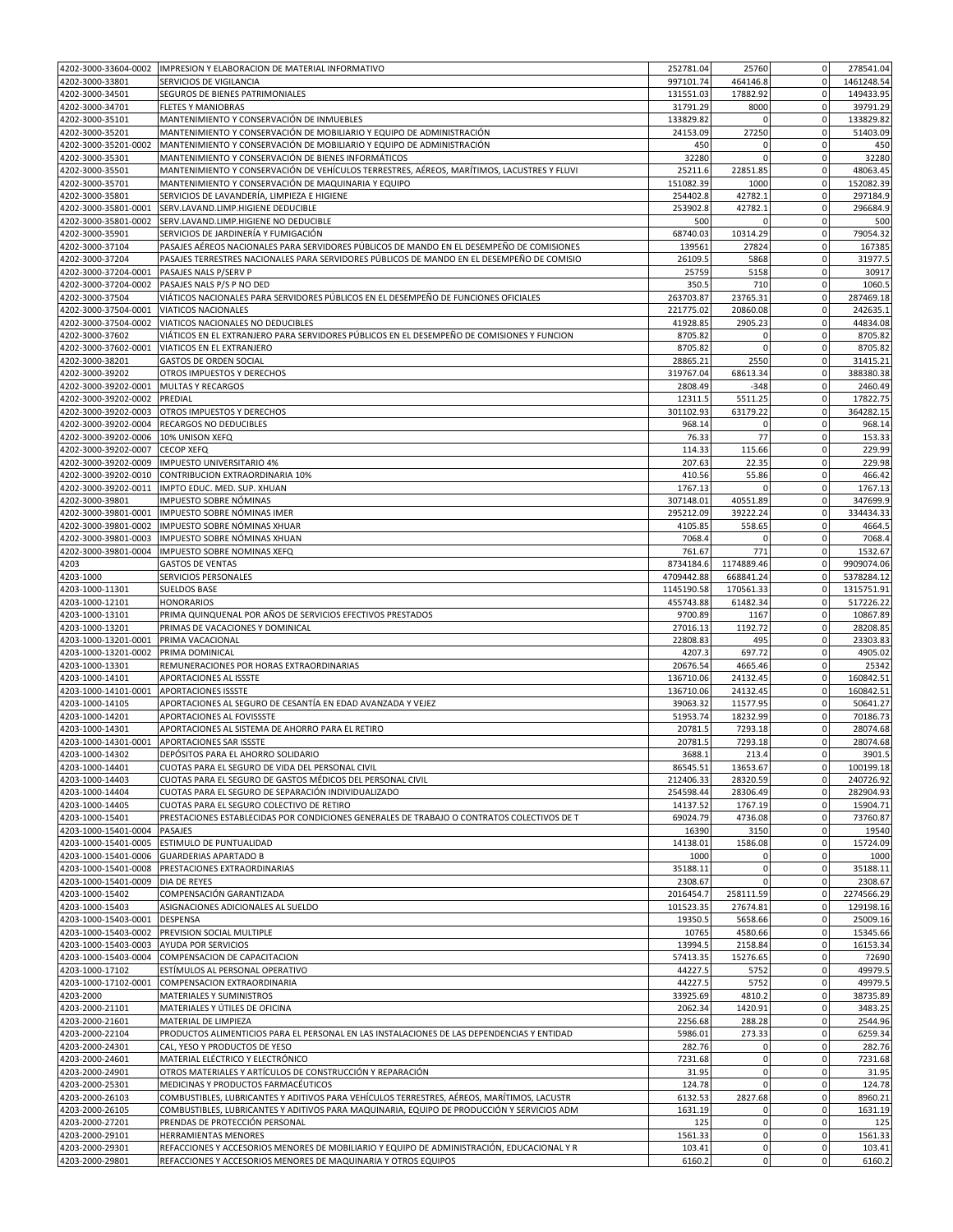| 4202-3000-33604-0002                         | IMPRESION Y ELABORACION DE MATERIAL INFORMATIVO                                                                                                              | 252781.04            | 25760                    | $\mathbf 0$                   | 278541.04             |
|----------------------------------------------|--------------------------------------------------------------------------------------------------------------------------------------------------------------|----------------------|--------------------------|-------------------------------|-----------------------|
| 4202-3000-33801                              | SERVICIOS DE VIGILANCIA                                                                                                                                      | 997101.74            | 464146.8                 | $\overline{0}$                | 1461248.54            |
| 4202-3000-34501                              | SEGUROS DE BIENES PATRIMONIALES                                                                                                                              | 131551.03            | 17882.92                 | $\mathbf 0$                   | 149433.95             |
| 4202-3000-34701                              | <b>FLETES Y MANIOBRAS</b>                                                                                                                                    | 31791.29             | 8000                     | $\mathbf 0$                   | 39791.29              |
| 4202-3000-35101                              | MANTENIMIENTO Y CONSERVACIÓN DE INMUEBLES                                                                                                                    | 133829.82            | $\Omega$                 | $\mathbf 0$                   | 133829.82             |
| 4202-3000-35201                              | MANTENIMIENTO Y CONSERVACIÓN DE MOBILIARIO Y EQUIPO DE ADMINISTRACIÓN                                                                                        | 24153.09             | 27250                    | $\mathbf 0$                   | 51403.09              |
| 4202-3000-35201-0002                         | MANTENIMIENTO Y CONSERVACIÓN DE MOBILIARIO Y EQUIPO DE ADMINISTRACIÓN                                                                                        | 450                  | $\Omega$                 | 0                             | 450                   |
| 4202-3000-35301                              | MANTENIMIENTO Y CONSERVACIÓN DE BIENES INFORMÁTICOS                                                                                                          | 32280                | $\mathbf 0$              | $\mathbf 0$                   | 32280                 |
| 4202-3000-35501                              | MANTENIMIENTO Y CONSERVACIÓN DE VEHÍCULOS TERRESTRES, AÉREOS, MARÍTIMOS, LACUSTRES Y FLUVI                                                                   | 25211.6              | 22851.85                 | $\mathbf 0$                   | 48063.45              |
| 4202-3000-35701                              | MANTENIMIENTO Y CONSERVACIÓN DE MAQUINARIA Y EQUIPO                                                                                                          | 151082.39            | 1000                     | $\mathbf 0$                   | 152082.39             |
| 4202-3000-35801                              | SERVICIOS DE LAVANDERÍA, LIMPIEZA E HIGIENE                                                                                                                  | 254402.8             | 42782.1                  | $\mathbf 0$                   | 297184.9              |
| 4202-3000-35801-0001                         | SERV.LAVAND.LIMP.HIGIENE DEDUCIBLE                                                                                                                           | 253902.8             | 42782.1                  | $\mathbf 0$                   | 296684.9              |
| 4202-3000-35801-0002                         | SERV.LAVAND.LIMP.HIGIENE NO DEDUCIBLE                                                                                                                        | 500                  | 0                        | $\mathbf 0$                   | 500                   |
| 4202-3000-35901                              | SERVICIOS DE JARDINERÍA Y FUMIGACIÓN                                                                                                                         | 68740.03             | 10314.29                 | $\mathbf 0$                   | 79054.32              |
| 4202-3000-37104                              | PASAJES AÉREOS NACIONALES PARA SERVIDORES PÚBLICOS DE MANDO EN EL DESEMPEÑO DE COMISIONES                                                                    | 139561               | 27824                    | $\mathbf 0$                   | 167385                |
| 4202-3000-37204                              | PASAJES TERRESTRES NACIONALES PARA SERVIDORES PÚBLICOS DE MANDO EN EL DESEMPEÑO DE COMISIO                                                                   | 26109.5              | 5868                     | $\mathbf 0$                   | 31977.5               |
| 4202-3000-37204-0001                         | PASAJES NALS P/SERV P                                                                                                                                        | 25759                | 5158                     | $\mathbf 0$                   | 30917                 |
| 4202-3000-37204-0002                         | PASAJES NALS P/S P NO DED                                                                                                                                    | 350.5                | 710                      | $\mathbf 0$                   | 1060.5                |
| 4202-3000-37504                              | VIÁTICOS NACIONALES PARA SERVIDORES PÚBLICOS EN EL DESEMPEÑO DE FUNCIONES OFICIALES                                                                          | 263703.87            | 23765.31                 | $\mathbf 0$                   | 287469.18             |
| 4202-3000-37504-0001                         | VIATICOS NACIONALES                                                                                                                                          | 221775.02            | 20860.08                 | $\mathbf 0$                   | 242635.1              |
| 4202-3000-37504-0002                         | VIATICOS NACIONALES NO DEDUCIBLES                                                                                                                            | 41928.85             | 2905.23                  | $\mathbf 0$                   | 44834.08              |
| 4202-3000-37602                              | VIÁTICOS EN EL EXTRANJERO PARA SERVIDORES PÚBLICOS EN EL DESEMPEÑO DE COMISIONES Y FUNCION                                                                   | 8705.82              | $\Omega$                 | 0                             | 8705.82               |
| 4202-3000-37602-0001                         | VIATICOS EN EL EXTRANJERO                                                                                                                                    | 8705.82              | $\Omega$                 | $\mathbf 0$                   | 8705.82               |
| 4202-3000-38201                              | <b>GASTOS DE ORDEN SOCIAL</b>                                                                                                                                | 28865.21             | 2550                     | $\mathbf 0$<br>$\mathbf 0$    | 31415.21              |
| 4202-3000-39202                              | OTROS IMPUESTOS Y DERECHOS                                                                                                                                   | 319767.04            | 68613.34                 |                               | 388380.38             |
| 4202-3000-39202-0001<br>4202-3000-39202-0002 | MULTAS Y RECARGOS                                                                                                                                            | 2808.49              | $-348$                   | $\mathbf 0$<br>$\mathbf 0$    | 2460.49<br>17822.75   |
| 4202-3000-39202-0003                         | PREDIAL<br>OTROS IMPUESTOS Y DERECHOS                                                                                                                        | 12311.5<br>301102.93 | 5511.25<br>63179.22      | $\mathbf 0$                   | 364282.15             |
| 4202-3000-39202-0004                         | RECARGOS NO DEDUCIBLES                                                                                                                                       | 968.14               | $\Omega$                 | $\Omega$                      | 968.14                |
| 4202-3000-39202-0006                         | 10% UNISON XEFQ                                                                                                                                              | 76.33                | 77                       | $\mathbf 0$                   | 153.33                |
| 4202-3000-39202-0007                         | <b>CECOP XEFQ</b>                                                                                                                                            | 114.33               | 115.66                   | $\mathbf 0$                   | 229.99                |
| 4202-3000-39202-0009                         | IMPUESTO UNIVERSITARIO 4%                                                                                                                                    | 207.63               | 22.35                    | $\mathbf 0$                   | 229.98                |
| 4202-3000-39202-0010                         | CONTRIBUCION EXTRAORDINARIA 10%                                                                                                                              | 410.56               | 55.86                    | $\mathbf 0$                   | 466.42                |
| 4202-3000-39202-0011                         | IMPTO EDUC. MED. SUP. XHUAN                                                                                                                                  | 1767.13              | $\Omega$                 | $\mathbf 0$                   | 1767.13               |
| 4202-3000-39801                              | IMPUESTO SOBRE NÓMINAS                                                                                                                                       | 307148.01            | 40551.89                 | $\mathbf 0$                   | 347699.9              |
| 4202-3000-39801-0001                         | IMPUESTO SOBRE NÓMINAS IMER                                                                                                                                  | 295212.09            | 39222.24                 | 0                             | 334434.33             |
| 4202-3000-39801-0002                         | IMPUESTO SOBRE NÓMINAS XHUAR                                                                                                                                 | 4105.85              | 558.65                   | $\mathbf 0$                   | 4664.5                |
| 4202-3000-39801-0003                         | IMPUESTO SOBRE NÓMINAS XHUAN                                                                                                                                 | 7068.4               | 0                        | $\mathbf 0$                   | 7068.4                |
| 4202-3000-39801-0004                         | IMPUESTO SOBRE NOMINAS XEFQ                                                                                                                                  | 761.67               | 771                      | $\mathbf 0$                   | 1532.67               |
| 4203                                         | <b>GASTOS DE VENTAS</b>                                                                                                                                      | 8734184.6            | 1174889.46               | $\mathbf 0$                   | 9909074.06            |
| 4203-1000                                    | SERVICIOS PERSONALES                                                                                                                                         | 4709442.88           | 668841.24                | $\mathbf 0$                   | 5378284.12            |
| 4203-1000-11301                              | <b>SUELDOS BASE</b>                                                                                                                                          | 1145190.58           | 170561.33                | $\overline{0}$                | 1315751.91            |
| 4203-1000-12101                              | <b>HONORARIOS</b>                                                                                                                                            | 455743.88            | 61482.34                 | $\mathbf 0$                   | 517226.22             |
| 4203-1000-13101                              | PRIMA QUINQUENAL POR AÑOS DE SERVICIOS EFECTIVOS PRESTADOS                                                                                                   | 9700.89              | 1167                     | $\mathbf 0$                   | 10867.89              |
| 4203-1000-13201                              | PRIMAS DE VACACIONES Y DOMINICAL                                                                                                                             | 27016.13             | 1192.72                  | $\mathbf 0$                   | 28208.85              |
| 4203-1000-13201-0001                         | PRIMA VACACIONAL                                                                                                                                             | 22808.83             | 495                      | $\mathbf 0$                   | 23303.83              |
| 4203-1000-13201-0002                         | PRIMA DOMINICAL                                                                                                                                              | 4207.3               | 697.72                   | $\mathbf 0$                   | 4905.02               |
| 4203-1000-13301                              | REMUNERACIONES POR HORAS EXTRAORDINARIAS                                                                                                                     | 20676.54             | 4665.46                  | $\mathbf 0$                   | 25342                 |
| 4203-1000-14101                              | APORTACIONES AL ISSSTE                                                                                                                                       | 136710.06            | 24132.45                 | $\mathbf 0$                   | 160842.51             |
| 4203-1000-14101-0001                         | APORTACIONES ISSSTE                                                                                                                                          | 136710.06            | 24132.45                 | $\mathbf 0$                   | 160842.51             |
| 4203-1000-14105                              | APORTACIONES AL SEGURO DE CESANTÍA EN EDAD AVANZADA Y VEJEZ                                                                                                  | 39063.32             | 11577.95                 | $\mathbf 0$                   | 50641.27              |
| 4203-1000-14201                              | APORTACIONES AL FOVISSSTE                                                                                                                                    | 51953.74             | 18232.99                 | $\mathbf 0$                   | 70186.73              |
| 4203-1000-14301                              | APORTACIONES AL SISTEMA DE AHORRO PARA EL RETIRO                                                                                                             | 20781.5              | 7293.18                  | $\mathbf 0$                   | 28074.68              |
| 4203-1000-14301-0001                         | APORTACIONES SAR ISSSTE                                                                                                                                      | 20781.5              | 7293.18                  | 0                             | 28074.68              |
| 4203-1000-14302                              | DEPÓSITOS PARA EL AHORRO SOLIDARIO                                                                                                                           | 3688.1               | 213.4                    | $\mathbf 0$                   | 3901.5                |
| 4203-1000-14401                              | CUOTAS PARA EL SEGURO DE VIDA DEL PERSONAL CIVIL                                                                                                             | 86545.51             | 13653.67                 | $\overline{0}$                | 100199.18             |
| 4203-1000-14403                              | CUOTAS PARA EL SEGURO DE GASTOS MÉDICOS DEL PERSONAL CIVIL                                                                                                   | 212406.33            | 28320.59                 | $\mathbf 0$                   | 240726.92             |
| 4203-1000-14404                              | CUOTAS PARA EL SEGURO DE SEPARACIÓN INDIVIDUALIZADO                                                                                                          | 254598.44            | 28306.49                 | $\mathbf 0$                   | 282904.93             |
| 4203-1000-14405                              | CUOTAS PARA EL SEGURO COLECTIVO DE RETIRO                                                                                                                    |                      |                          |                               |                       |
| 4203-1000-15401                              |                                                                                                                                                              | 14137.52             | 1767.19                  | $\mathbf{0}$                  | 15904.71              |
|                                              | PRESTACIONES ESTABLECIDAS POR CONDICIONES GENERALES DE TRABAJO O CONTRATOS COLECTIVOS DE T                                                                   | 69024.79             | 4736.08                  | $\mathbf 0$                   | 73760.87              |
| 4203-1000-15401-0004                         | PASAJES                                                                                                                                                      | 16390                | 3150                     | 0                             | 19540                 |
| 4203-1000-15401-0005                         | ESTIMULO DE PUNTUALIDAD                                                                                                                                      | 14138.01             | 1586.08                  | $\mathbf 0$                   | 15724.09              |
| 4203-1000-15401-0006                         | <b>GUARDERIAS APARTADO B</b>                                                                                                                                 | 1000                 | 0                        | $\mathbf 0$                   | 1000                  |
|                                              | 4203-1000-15401-0008 PRESTACIONES EXTRAORDINARIAS                                                                                                            | 35188.11             | $\mathbf 0$              | $\mathbf 0$                   | 35188.11              |
| 4203-1000-15401-0009                         | DIA DE REYES                                                                                                                                                 | 2308.67              | $\Omega$                 | 0                             |                       |
| 4203-1000-15402                              | COMPENSACIÓN GARANTIZADA                                                                                                                                     | 2016454.7            | 258111.59                | $\mathbf 0$                   | 2308.67<br>2274566.29 |
| 4203-1000-15403                              | ASIGNACIONES ADICIONALES AL SUELDO                                                                                                                           | 101523.35            | 27674.81                 | $\mathbf 0$                   | 129198.16             |
| 4203-1000-15403-0001                         | DESPENSA                                                                                                                                                     | 19350.5              | 5658.66                  | $\mathbf 0$                   | 25009.16              |
| 4203-1000-15403-0002                         | PREVISION SOCIAL MULTIPLE                                                                                                                                    | 10765                | 4580.66                  | $\mathbf 0$                   | 15345.66              |
| 4203-1000-15403-0003                         | <b>AYUDA POR SERVICIOS</b>                                                                                                                                   | 13994.5              | 2158.84                  | $\overline{0}$<br>$\mathbf 0$ | 16153.34              |
| 4203-1000-15403-0004<br>4203-1000-17102      | COMPENSACION DE CAPACITACION<br>ESTÍMULOS AL PERSONAL OPERATIVO                                                                                              | 57413.35<br>44227.5  | 15276.65<br>5752         | 0                             | 72690<br>49979.5      |
| 4203-1000-17102-0001                         | COMPENSACION EXTRAORDINARIA                                                                                                                                  | 44227.5              | 5752                     | $\mathbf 0$                   | 49979.5               |
| 4203-2000                                    | MATERIALES Y SUMINISTROS                                                                                                                                     | 33925.69             | 4810.2                   | $\mathbf 0$                   | 38735.89              |
| 4203-2000-21101                              | MATERIALES Y ÚTILES DE OFICINA                                                                                                                               | 2062.34              | 1420.91                  | 0                             | 3483.25               |
| 4203-2000-21601                              | MATERIAL DE LIMPIEZA                                                                                                                                         | 2256.68              | 288.28                   | $\pmb{0}$                     | 2544.96               |
| 4203-2000-22104                              | PRODUCTOS ALIMENTICIOS PARA EL PERSONAL EN LAS INSTALACIONES DE LAS DEPENDENCIAS Y ENTIDAD                                                                   | 5986.01              | 273.33                   | $\mathbf 0$                   | 6259.34               |
| 4203-2000-24301                              | CAL, YESO Y PRODUCTOS DE YESO                                                                                                                                | 282.76               | $\Omega$                 | $\mathbf 0$                   | 282.76                |
| 4203-2000-24601                              | MATERIAL ELÉCTRICO Y ELECTRÓNICO                                                                                                                             | 7231.68              | 0                        | 0                             | 7231.68               |
| 4203-2000-24901                              | OTROS MATERIALES Y ARTÍCULOS DE CONSTRUCCIÓN Y REPARACIÓN                                                                                                    | 31.95                | 0                        | $\mathbf 0$                   | 31.95                 |
| 4203-2000-25301                              | MEDICINAS Y PRODUCTOS FARMACÉUTICOS                                                                                                                          | 124.78               | $\mathbf 0$              | $\mathbf 0$                   | 124.78                |
| 4203-2000-26103                              | COMBUSTIBLES, LUBRICANTES Y ADITIVOS PARA VEHÍCULOS TERRESTRES, AÉREOS, MARÍTIMOS, LACUSTR                                                                   | 6132.53              | 2827.68                  | $\mathbf 0$                   | 8960.21               |
| 4203-2000-26105                              | COMBUSTIBLES, LUBRICANTES Y ADITIVOS PARA MAQUINARIA, EQUIPO DE PRODUCCIÓN Y SERVICIOS ADM                                                                   | 1631.19              | 0                        | $\mathbf 0$                   | 1631.19               |
| 4203-2000-27201                              | PRENDAS DE PROTECCIÓN PERSONAL                                                                                                                               | 125                  | $\mathbf 0$              | $\mathbf 0$                   |                       |
| 4203-2000-29101                              | HERRAMIENTAS MENORES                                                                                                                                         | 1561.33              | $\bf 0$                  | $\mathbf 0$                   | 125<br>1561.33        |
| 4203-2000-29301<br>4203-2000-29801           | REFACCIONES Y ACCESORIOS MENORES DE MOBILIARIO Y EQUIPO DE ADMINISTRACIÓN, EDUCACIONAL Y R<br>REFACCIONES Y ACCESORIOS MENORES DE MAQUINARIA Y OTROS EQUIPOS | 103.41<br>6160.2     | $\pmb{0}$<br>$\mathbf 0$ | 0<br>$\Omega$                 | 103.41<br>6160.2      |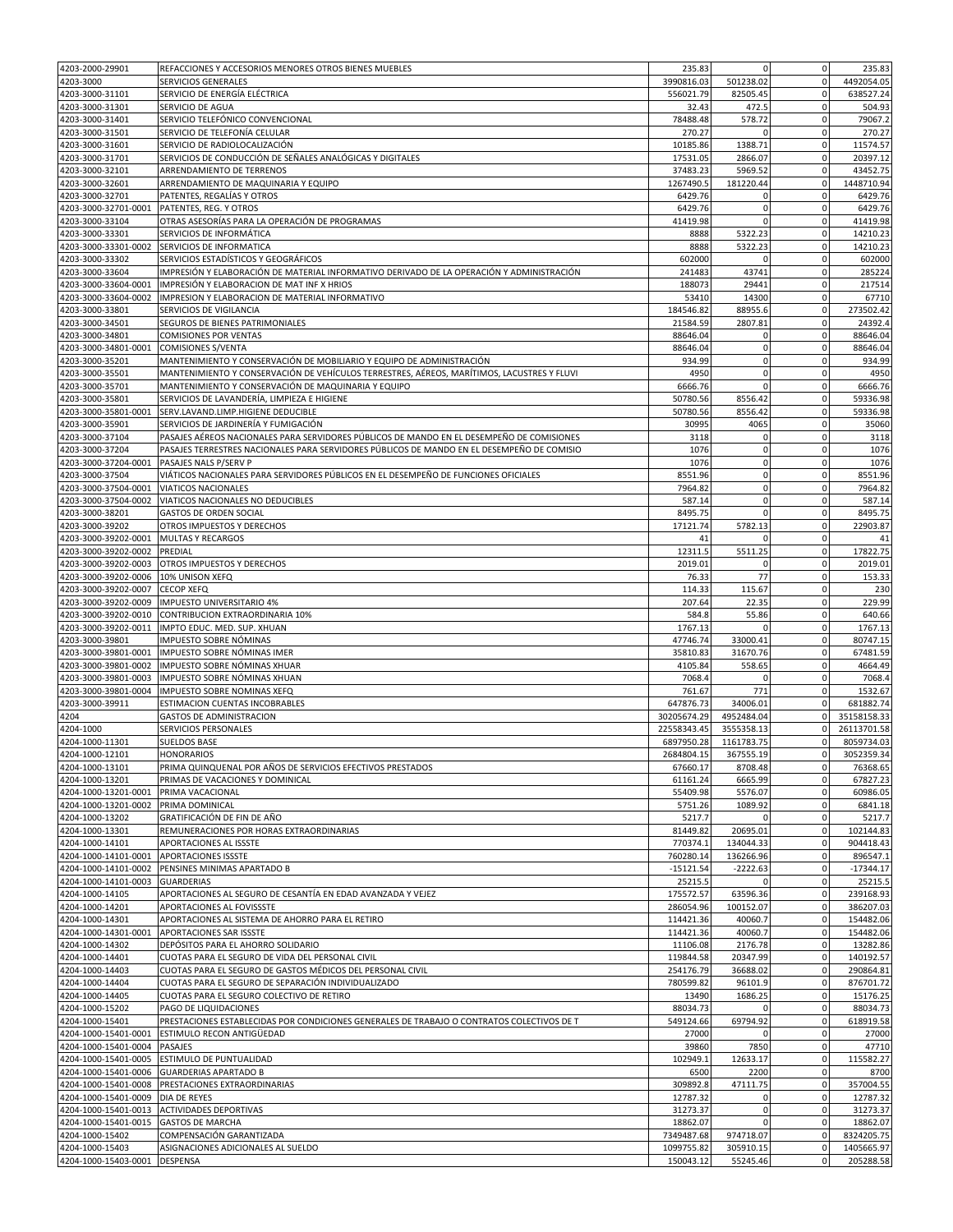| 4203-2000-29901                         | REFACCIONES Y ACCESORIOS MENORES OTROS BIENES MUEBLES                                                                                    | 235.83               | $\Omega$             | $\mathbf 0$                | 235.83               |
|-----------------------------------------|------------------------------------------------------------------------------------------------------------------------------------------|----------------------|----------------------|----------------------------|----------------------|
| 4203-3000                               | SERVICIOS GENERALES                                                                                                                      | 3990816.03           | 501238.02            | $\mathbf 0$                | 4492054.05           |
| 4203-3000-31101                         | SERVICIO DE ENERGÍA ELÉCTRICA                                                                                                            | 556021.79            | 82505.45             | $\mathbf 0$                | 638527.24            |
| 4203-3000-31301<br>4203-3000-31401      | SERVICIO DE AGUA<br>SERVICIO TELEFÓNICO CONVENCIONAL                                                                                     | 32.43<br>78488.48    | 472.5<br>578.72      | $\mathbf 0$<br>$\mathbf 0$ | 504.93<br>79067.2    |
| 4203-3000-31501                         | SERVICIO DE TELEFONÍA CELULAR                                                                                                            | 270.27               |                      | $\overline{0}$             | 270.27               |
| 4203-3000-31601                         | SERVICIO DE RADIOLOCALIZACIÓN                                                                                                            | 10185.86             | 1388.71              | $\mathbf 0$                | 11574.57             |
| 4203-3000-31701                         | SERVICIOS DE CONDUCCIÓN DE SEÑALES ANALÓGICAS Y DIGITALES                                                                                | 17531.05             | 2866.07              | $\mathbf 0$                | 20397.12             |
| 4203-3000-32101                         | ARRENDAMIENTO DE TERRENOS                                                                                                                | 37483.23             | 5969.52              | $\pmb{0}$                  | 43452.75             |
| 4203-3000-32601                         | ARRENDAMIENTO DE MAQUINARIA Y EQUIPO                                                                                                     | 1267490.5            | 181220.44            | $\mathbf 0$                | 1448710.94           |
| 4203-3000-32701                         | PATENTES, REGALÍAS Y OTROS                                                                                                               | 6429.76              | 0                    | $\mathbf 0$                | 6429.76              |
| 4203-3000-32701-0001                    | PATENTES, REG. Y OTROS                                                                                                                   | 6429.76              | $\bf 0$              | $\mathbf 0$                | 6429.76              |
| 4203-3000-33104                         | OTRAS ASESORÍAS PARA LA OPERACIÓN DE PROGRAMAS                                                                                           | 41419.98             | $\Omega$             | $\overline{0}$             | 41419.98             |
| 4203-3000-33301                         | SERVICIOS DE INFORMÁTICA                                                                                                                 | 8888                 | 5322.23              | $\mathbf 0$                | 14210.23             |
| 4203-3000-33301-0002<br>4203-3000-33302 | SERVICIOS DE INFORMATICA<br>SERVICIOS ESTADÍSTICOS Y GEOGRÁFICOS                                                                         | 8888<br>602000       | 5322.23<br>$\Omega$  | $\mathbf 0$<br>$\mathbf 0$ | 14210.23<br>602000   |
| 4203-3000-33604                         | IMPRESIÓN Y ELABORACIÓN DE MATERIAL INFORMATIVO DERIVADO DE LA OPERACIÓN Y ADMINISTRACIÓN                                                | 241483               | 43741                | $\mathbf 0$                | 285224               |
| 4203-3000-33604-0001                    | IMPRESIÓN Y ELABORACION DE MAT INF X HRIOS                                                                                               | 188073               | 29441                | $\mathbf 0$                | 217514               |
| 4203-3000-33604-0002                    | IMPRESION Y ELABORACION DE MATERIAL INFORMATIVO                                                                                          | 53410                | 14300                | $\mathbf 0$                | 67710                |
| 4203-3000-33801                         | SERVICIOS DE VIGILANCIA                                                                                                                  | 184546.82            | 88955.6              | $\mathbf 0$                | 273502.42            |
| 4203-3000-34501                         | SEGUROS DE BIENES PATRIMONIALES                                                                                                          | 21584.59             | 2807.81              | $\mathbf 0$                | 24392.4              |
| 4203-3000-34801                         | <b>COMISIONES POR VENTAS</b>                                                                                                             | 88646.04             | $\Omega$             | $\mathbf 0$                | 88646.04             |
| 4203-3000-34801-0001                    | <b>COMISIONES S/VENTA</b>                                                                                                                | 88646.04             | $\bf 0$              | $\pmb{0}$                  | 88646.04             |
| 4203-3000-35201                         | MANTENIMIENTO Y CONSERVACIÓN DE MOBILIARIO Y EQUIPO DE ADMINISTRACIÓN                                                                    | 934.99               | 0                    | $\mathbf 0$                | 934.99               |
| 4203-3000-35501                         | MANTENIMIENTO Y CONSERVACIÓN DE VEHÍCULOS TERRESTRES, AÉREOS, MARÍTIMOS, LACUSTRES Y FLUVI                                               | 4950                 | $\bf 0$              | $\mathbf 0$                | 4950                 |
| 4203-3000-35701                         | MANTENIMIENTO Y CONSERVACIÓN DE MAQUINARIA Y EQUIPO                                                                                      | 6666.76              | $\Omega$             | 0                          | 6666.76              |
| 4203-3000-35801                         | SERVICIOS DE LAVANDERÍA, LIMPIEZA E HIGIENE                                                                                              | 50780.56             | 8556.42              | $\mathbf 0$                | 59336.98             |
| 4203-3000-35801-0001                    | SERV.LAVAND.LIMP.HIGIENE DEDUCIBLE                                                                                                       | 50780.56             | 8556.42              | $\mathbf 0$                | 59336.98             |
| 4203-3000-35901                         | SERVICIOS DE JARDINERÍA Y FUMIGACIÓN                                                                                                     | 30995                | 4065                 | $\mathbf 0$                | 35060                |
| 4203-3000-37104                         | PASAJES AÉREOS NACIONALES PARA SERVIDORES PÚBLICOS DE MANDO EN EL DESEMPEÑO DE COMISIONES                                                | 3118                 | 0<br>$\mathbf 0$     | $\mathbf 0$<br>$\mathbf 0$ | 3118                 |
| 4203-3000-37204                         | PASAJES TERRESTRES NACIONALES PARA SERVIDORES PÚBLICOS DE MANDO EN EL DESEMPEÑO DE COMISIO<br>4203-3000-37204-0001 PASAJES NALS P/SERV P | 1076<br>1076         | 0                    | $\mathbf 0$                | 1076<br>1076         |
| 4203-3000-37504                         | VIÁTICOS NACIONALES PARA SERVIDORES PÚBLICOS EN EL DESEMPEÑO DE FUNCIONES OFICIALES                                                      | 8551.96              | $\mathbf 0$          | 0                          | 8551.96              |
| 4203-3000-37504-0001                    | <b>VIATICOS NACIONALES</b>                                                                                                               | 7964.82              | $\bf 0$              | $\mathbf 0$                | 7964.82              |
| 4203-3000-37504-0002                    | VIATICOS NACIONALES NO DEDUCIBLES                                                                                                        | 587.14               | 0                    | $\mathbf 0$                | 587.14               |
| 4203-3000-38201                         | GASTOS DE ORDEN SOCIAL                                                                                                                   | 8495.75              | $\mathbf 0$          | $\mathbf 0$                | 8495.75              |
| 4203-3000-39202                         | OTROS IMPUESTOS Y DERECHOS                                                                                                               | 17121.74             | 5782.13              | $\mathbf 0$                | 22903.87             |
| 4203-3000-39202-0001                    | <b>MULTAS Y RECARGOS</b>                                                                                                                 | 41                   |                      | $\overline{0}$             | 41                   |
| 4203-3000-39202-0002                    | <b>PREDIAL</b>                                                                                                                           | 12311.5              | 5511.25              | $\mathbf 0$                | 17822.75             |
| 4203-3000-39202-0003                    | OTROS IMPUESTOS Y DERECHOS                                                                                                               | 2019.01              | $\Omega$             | 0                          | 2019.01              |
| 4203-3000-39202-0006                    | 10% UNISON XEFQ                                                                                                                          | 76.33                | 77                   | $\mathbf 0$                | 153.33               |
| 4203-3000-39202-0007                    | <b>CECOP XEFQ</b>                                                                                                                        | 114.33               | 115.67               | $\mathbf 0$                | 230                  |
| 4203-3000-39202-0009                    | IMPUESTO UNIVERSITARIO 4%                                                                                                                | 207.64               | 22.35                | $\mathbf 0$                | 229.99               |
| 4203-3000-39202-0010                    | CONTRIBUCION EXTRAORDINARIA 10%                                                                                                          | 584.8                | 55.86                | 0                          | 640.66               |
| 4203-3000-39202-0011                    | IMPTO EDUC. MED. SUP. XHUAN                                                                                                              | 1767.13              | $\Omega$             | $\mathbf 0$                | 1767.13              |
| 4203-3000-39801<br>4203-3000-39801-0001 | IMPUESTO SOBRE NÓMINAS<br>IMPUESTO SOBRE NÓMINAS IMER                                                                                    | 47746.74<br>35810.83 | 33000.41<br>31670.76 | $\mathbf 0$<br>$\mathbf 0$ | 80747.15<br>67481.59 |
| 4203-3000-39801-0002                    | IMPUESTO SOBRE NÓMINAS XHUAR                                                                                                             | 4105.84              | 558.65               | $\mathbf 0$                | 4664.49              |
| 4203-3000-39801-0003                    | IMPUESTO SOBRE NÓMINAS XHUAN                                                                                                             | 7068.4               |                      | $\mathbf 0$                | 7068.4               |
| 4203-3000-39801-0004                    | IMPUESTO SOBRE NOMINAS XEFQ                                                                                                              | 761.67               | 771                  | $\mathbf 0$                | 1532.67              |
| 4203-3000-39911                         | ESTIMACION CUENTAS INCOBRABLES                                                                                                           | 647876.73            | 34006.01             | $\mathbf 0$                | 681882.74            |
| 4204                                    | <b>GASTOS DE ADMINISTRACION</b>                                                                                                          | 30205674.29          | 4952484.04           | $\mathbf 0$                | 35158158.33          |
| 4204-1000                               | SERVICIOS PERSONALES                                                                                                                     | 22558343.45          | 3555358.13           | $\mathbf{0}$               | 26113701.58          |
| 4204-1000-11301                         | <b>SUELDOS BASE</b>                                                                                                                      | 6897950.28           | 1161783.75           | $\mathbf 0$                | 8059734.03           |
| 4204-1000-12101                         | <b>HONORARIOS</b>                                                                                                                        | 2684804.15           | 367555.19            | $\overline{0}$             | 3052359.34           |
| 4204-1000-13101                         | PRIMA QUINQUENAL POR AÑOS DE SERVICIOS EFECTIVOS PRESTADOS                                                                               | 67660.17             | 8708.48              | $\mathbf 0$                | 76368.65             |
| 4204-1000-13201                         | PRIMAS DE VACACIONES Y DOMINICAL                                                                                                         | 61161.24             | 6665.99              | $\mathbf 0$                | 67827.23             |
| 4204-1000-13201-0001                    | PRIMA VACACIONAL                                                                                                                         | 55409.98             | 5576.07              | $\mathbf 0$                | 60986.05             |
| 4204-1000-13201-0002 PRIMA DOMINICAL    |                                                                                                                                          | 5751.26              | 1089.92              | $\mathbf 0$                | 6841.18              |
| 4204-1000-13202<br>4204-1000-13301      | GRATIFICACIÓN DE FIN DE AÑO<br>REMUNERACIONES POR HORAS EXTRAORDINARIAS                                                                  | 5217.7<br>81449.82   | 20695.01             | $\mathbf 0$<br>$\mathbf 0$ | 5217.7<br>102144.83  |
| 4204-1000-14101                         | APORTACIONES AL ISSSTE                                                                                                                   | 770374.1             | 134044.33            | $\mathbf 0$                | 904418.43            |
| 4204-1000-14101-0001                    | <b>APORTACIONES ISSSTE</b>                                                                                                               | 760280.14            | 136266.96            | $\overline{0}$             | 896547.1             |
|                                         | 4204-1000-14101-0002 PENSINES MINIMAS APARTADO B                                                                                         | $-15121.54$          | $-2222.63$           | $\mathbf 0$                | $-17344.17$          |
| 4204-1000-14101-0003                    | <b>GUARDERIAS</b>                                                                                                                        | 25215.5              | $\Omega$             | $\mathbf 0$                | 25215.5              |
| 4204-1000-14105                         | APORTACIONES AL SEGURO DE CESANTÍA EN EDAD AVANZADA Y VEJEZ                                                                              | 175572.57            | 63596.36             | $\mathbf 0$                | 239168.93            |
| 4204-1000-14201                         | APORTACIONES AL FOVISSSTE                                                                                                                | 286054.96            | 100152.07            | $\mathbf 0$                | 386207.03            |
| 4204-1000-14301                         | APORTACIONES AL SISTEMA DE AHORRO PARA EL RETIRO                                                                                         | 114421.36            | 40060.7              | $\mathbf 0$                | 154482.06            |
| 4204-1000-14301-0001                    | APORTACIONES SAR ISSSTE                                                                                                                  | 114421.36            | 40060.7              | $\mathbf 0$                | 154482.06            |
| 4204-1000-14302                         | DEPÓSITOS PARA EL AHORRO SOLIDARIO                                                                                                       | 11106.08             | 2176.78              | $\mathbf 0$                | 13282.86             |
| 4204-1000-14401                         | CUOTAS PARA EL SEGURO DE VIDA DEL PERSONAL CIVIL                                                                                         | 119844.58            | 20347.99             | $\mathbf 0$                | 140192.57            |
| 4204-1000-14403                         | CUOTAS PARA EL SEGURO DE GASTOS MÉDICOS DEL PERSONAL CIVIL                                                                               | 254176.79            | 36688.02             | $\overline{0}$             | 290864.81            |
| 4204-1000-14404                         | CUOTAS PARA EL SEGURO DE SEPARACIÓN INDIVIDUALIZADO                                                                                      | 780599.82            | 96101.9              | $\mathbf 0$                | 876701.72            |
| 4204-1000-14405<br>4204-1000-15202      | CUOTAS PARA EL SEGURO COLECTIVO DE RETIRO<br>PAGO DE LIQUIDACIONES                                                                       | 13490<br>88034.73    | 1686.25<br>0         | $\mathbf 0$<br>$\mathbf 0$ | 15176.25<br>88034.73 |
| 4204-1000-15401                         | PRESTACIONES ESTABLECIDAS POR CONDICIONES GENERALES DE TRABAJO O CONTRATOS COLECTIVOS DE T                                               | 549124.66            | 69794.92             | 0                          | 618919.58            |
| 4204-1000-15401-0001                    | ESTIMULO RECON ANTIGÜEDAD                                                                                                                | 27000                |                      | $\,0\,$                    | 27000                |
| 4204-1000-15401-0004 PASAJES            |                                                                                                                                          | 39860                | 7850                 | $\mathbf 0$                | 47710                |
| 4204-1000-15401-0005                    | ESTIMULO DE PUNTUALIDAD                                                                                                                  | 102949.1             | 12633.17             | $\mathbf 0$                | 115582.27            |
| 4204-1000-15401-0006                    | <b>GUARDERIAS APARTADO B</b>                                                                                                             | 6500                 | 2200                 | $\mathbf 0$                | 8700                 |
|                                         | 4204-1000-15401-0008 PRESTACIONES EXTRAORDINARIAS                                                                                        | 309892.8             | 47111.75             | $\mathbf 0$                | 357004.55            |
| 4204-1000-15401-0009                    | DIA DE REYES                                                                                                                             | 12787.32             | 0                    | $\mathbf 0$                | 12787.32             |
| 4204-1000-15401-0013                    | <b>ACTIVIDADES DEPORTIVAS</b>                                                                                                            | 31273.37             | $\mathbf 0$          | $\mathbf 0$                | 31273.37             |
| 4204-1000-15401-0015                    | <b>GASTOS DE MARCHA</b>                                                                                                                  | 18862.07             | $\Omega$             | $\mathbf 0$                | 18862.07             |
| 4204-1000-15402                         | COMPENSACIÓN GARANTIZADA                                                                                                                 | 7349487.68           | 974718.07            | $\circ$                    | 8324205.75           |
| 4204-1000-15403                         | ASIGNACIONES ADICIONALES AL SUELDO                                                                                                       | 1099755.82           | 305910.15            | $\overline{0}$             | 1405665.97           |
| 4204-1000-15403-0001 DESPENSA           |                                                                                                                                          | 150043.12            | 55245.46             | $\overline{0}$             | 205288.58            |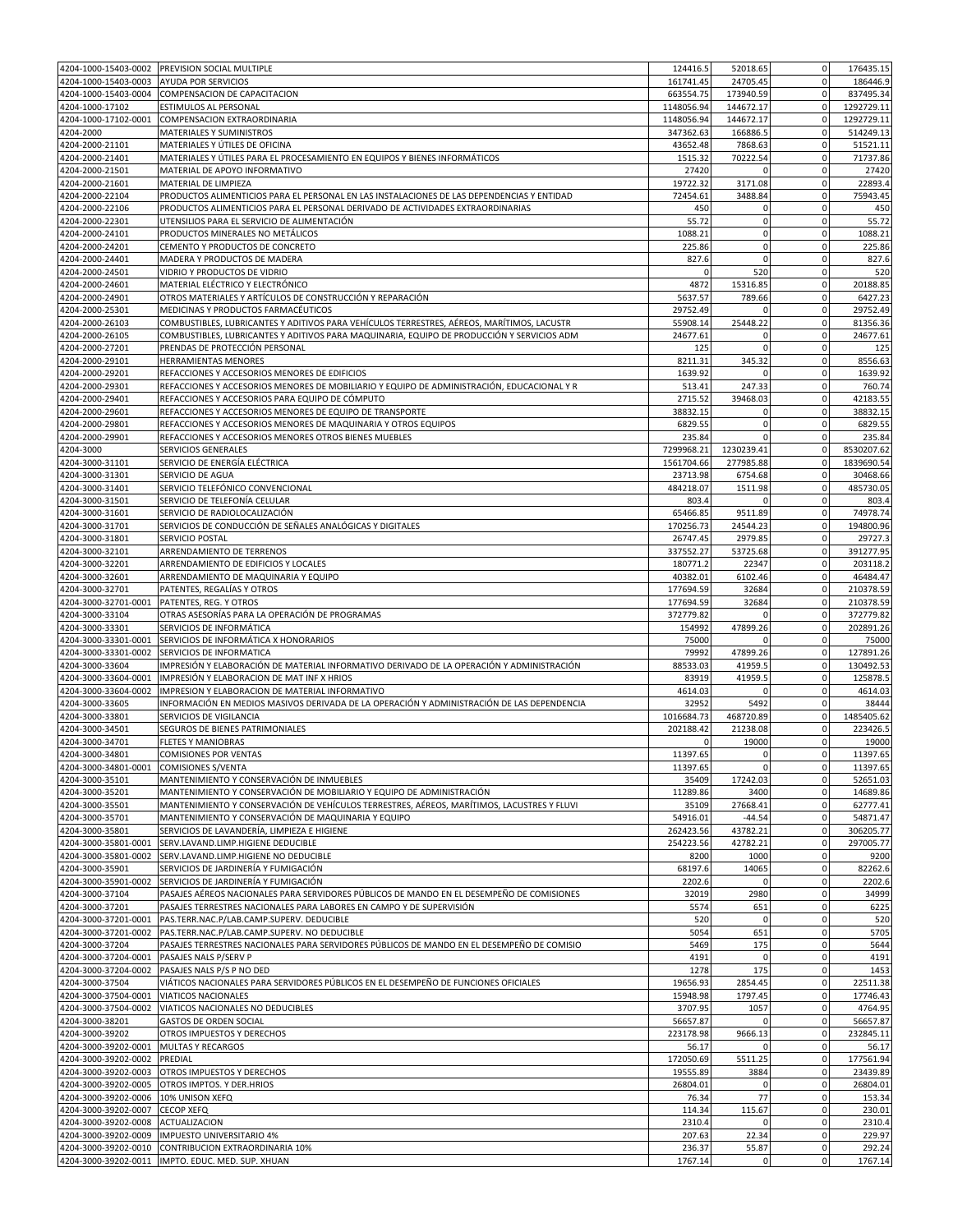|                                              | 4204-1000-15403-0002 PREVISION SOCIAL MULTIPLE                                             | 124416.5          | 52018.65             | $\mathbf 0$<br>176435.15                     |
|----------------------------------------------|--------------------------------------------------------------------------------------------|-------------------|----------------------|----------------------------------------------|
| 4204-1000-15403-0003                         | AYUDA POR SERVICIOS                                                                        | 161741.45         | 24705.45             | $\overline{0}$<br>186446.9                   |
| 4204-1000-15403-0004                         | COMPENSACION DE CAPACITACION                                                               | 663554.75         | 173940.59            | $\mathbf 0$<br>837495.34                     |
|                                              |                                                                                            |                   |                      |                                              |
| 4204-1000-17102                              | ESTIMULOS AL PERSONAL                                                                      | 1148056.94        | 144672.17            | $\mathbf 0$<br>1292729.11                    |
| 4204-1000-17102-0001                         | COMPENSACION EXTRAORDINARIA                                                                | 1148056.94        | 144672.17            | $\mathbf 0$<br>1292729.11                    |
| 4204-2000                                    | MATERIALES Y SUMINISTROS                                                                   | 347362.63         | 166886.5             | $\mathbf 0$<br>514249.13                     |
| 4204-2000-21101                              | MATERIALES Y ÚTILES DE OFICINA                                                             | 43652.48          | 7868.63              | $\mathbf 0$<br>51521.11                      |
| 4204-2000-21401                              | MATERIALES Y ÚTILES PARA EL PROCESAMIENTO EN EQUIPOS Y BIENES INFORMÁTICOS                 | 1515.32           | 70222.54             | $\mathbf 0$<br>71737.86                      |
| 4204-2000-21501                              | MATERIAL DE APOYO INFORMATIVO                                                              | 27420             |                      | $\mathbf 0$<br>27420                         |
| 4204-2000-21601                              | MATERIAL DE LIMPIEZA                                                                       | 19722.32          | 3171.08              | 22893.4<br>$\mathbf 0$                       |
| 4204-2000-22104                              | PRODUCTOS ALIMENTICIOS PARA EL PERSONAL EN LAS INSTALACIONES DE LAS DEPENDENCIAS Y ENTIDAD | 72454.61          | 3488.84              | $\mathbf 0$<br>75943.45                      |
|                                              |                                                                                            |                   |                      |                                              |
| 4204-2000-22106                              | PRODUCTOS ALIMENTICIOS PARA EL PERSONAL DERIVADO DE ACTIVIDADES EXTRAORDINARIAS            | 450               | 0                    | $\mathbf 0$<br>450                           |
| 4204-2000-22301                              | UTENSILIOS PARA EL SERVICIO DE ALIMENTACIÓN                                                | 55.72             | 0                    | 55.72<br>$\mathbf 0$                         |
| 4204-2000-24101                              | PRODUCTOS MINERALES NO METÁLICOS                                                           | 1088.21           | $\bf 0$              | $\mathbf 0$<br>1088.21                       |
| 4204-2000-24201                              | CEMENTO Y PRODUCTOS DE CONCRETO                                                            | 225.86            | $\mathbf 0$          | $\mathbf 0$<br>225.86                        |
| 4204-2000-24401                              | MADERA Y PRODUCTOS DE MADERA                                                               | 827.6             | $\mathbf 0$          | $\mathbf 0$<br>827.6                         |
| 4204-2000-24501                              | VIDRIO Y PRODUCTOS DE VIDRIO                                                               | 0                 | 520                  | $\mathbf 0$<br>520                           |
| 4204-2000-24601                              | MATERIAL ELÉCTRICO Y ELECTRÓNICO                                                           | 4872              | 15316.85             | $\mathbf 0$<br>20188.85                      |
|                                              |                                                                                            |                   |                      | $\mathbf 0$                                  |
| 4204-2000-24901                              | OTROS MATERIALES Y ARTÍCULOS DE CONSTRUCCIÓN Y REPARACIÓN                                  | 5637.57           | 789.66               | 6427.23                                      |
| 4204-2000-25301                              | MEDICINAS Y PRODUCTOS FARMACÉUTICOS                                                        | 29752.49          | $\Omega$             | $\mathbf 0$<br>29752.49                      |
| 4204-2000-26103                              | COMBUSTIBLES, LUBRICANTES Y ADITIVOS PARA VEHÍCULOS TERRESTRES, AÉREOS, MARÍTIMOS, LACUSTR | 55908.14          | 25448.22             | $\mathbf 0$<br>81356.36                      |
| 4204-2000-26105                              | COMBUSTIBLES, LUBRICANTES Y ADITIVOS PARA MAQUINARIA, EQUIPO DE PRODUCCIÓN Y SERVICIOS ADM | 24677.61          | $\Omega$             | 0<br>24677.61                                |
| 4204-2000-27201                              | PRENDAS DE PROTECCIÓN PERSONAL                                                             | 125               | $\Omega$             | $\mathbf 0$<br>125                           |
| 4204-2000-29101                              | HERRAMIENTAS MENORES                                                                       | 8211.31           | 345.32               | $\mathbf 0$<br>8556.63                       |
| 4204-2000-29201                              | REFACCIONES Y ACCESORIOS MENORES DE EDIFICIOS                                              | 1639.92           | $\Omega$             | 0<br>1639.92                                 |
| 4204-2000-29301                              | REFACCIONES Y ACCESORIOS MENORES DE MOBILIARIO Y EQUIPO DE ADMINISTRACIÓN, EDUCACIONAL Y R | 513.41            | 247.33               | $\mathbf 0$<br>760.74                        |
|                                              |                                                                                            |                   |                      |                                              |
| 4204-2000-29401                              | REFACCIONES Y ACCESORIOS PARA EQUIPO DE CÓMPUTO                                            | 2715.52           | 39468.03             | 42183.55<br>$\overline{0}$                   |
| 4204-2000-29601                              | REFACCIONES Y ACCESORIOS MENORES DE EQUIPO DE TRANSPORTE                                   | 38832.15          | 0                    | $\mathbf 0$<br>38832.15                      |
| 4204-2000-29801                              | REFACCIONES Y ACCESORIOS MENORES DE MAQUINARIA Y OTROS EQUIPOS                             | 6829.55           | $\mathbf 0$          | $\Omega$<br>6829.55                          |
| 4204-2000-29901                              | REFACCIONES Y ACCESORIOS MENORES OTROS BIENES MUEBLES                                      | 235.84            | $\Omega$             | $\mathbf 0$<br>235.84                        |
| 4204-3000                                    | SERVICIOS GENERALES                                                                        | 7299968.21        | 1230239.41           | $\mathbf 0$<br>8530207.62                    |
| 4204-3000-31101                              | SERVICIO DE ENERGÍA ELÉCTRICA                                                              | 1561704.66        | 277985.88            | $\mathbf 0$<br>1839690.54                    |
| 4204-3000-31301                              | SERVICIO DE AGUA                                                                           | 23713.98          | 6754.68              | $\mathbf 0$<br>30468.66                      |
|                                              |                                                                                            |                   |                      |                                              |
| 4204-3000-31401                              | SERVICIO TELEFÓNICO CONVENCIONAL                                                           | 484218.07         | 1511.98              | $\mathbf 0$<br>485730.05                     |
| 4204-3000-31501                              | SERVICIO DE TELEFONÍA CELULAR                                                              | 803.4             | $\Omega$             | $\mathbf 0$<br>803.4                         |
| 4204-3000-31601                              | SERVICIO DE RADIOLOCALIZACIÓN                                                              | 65466.85          | 9511.89              | 74978.74                                     |
| 4204-3000-31701                              | SERVICIOS DE CONDUCCIÓN DE SEÑALES ANALÓGICAS Y DIGITALES                                  | 170256.73         | 24544.23             | $\mathbf 0$<br>194800.96                     |
| 4204-3000-31801                              | SERVICIO POSTAL                                                                            | 26747.45          | 2979.85              | $\mathbf 0$<br>29727.3                       |
| 4204-3000-32101                              | ARRENDAMIENTO DE TERRENOS                                                                  | 337552.27         | 53725.68             | $\mathbf 0$<br>391277.95                     |
| 4204-3000-32201                              | ARRENDAMIENTO DE EDIFICIOS Y LOCALES                                                       | 180771.2          | 22347                | $\mathbf 0$<br>203118.2                      |
|                                              |                                                                                            |                   |                      |                                              |
| 4204-3000-32601                              | ARRENDAMIENTO DE MAQUINARIA Y EQUIPO                                                       | 40382.01          | 6102.46              | $\overline{0}$<br>46484.47                   |
| 4204-3000-32701                              | PATENTES, REGALÍAS Y OTROS                                                                 | 177694.59         | 32684                | $\mathbf 0$<br>210378.59                     |
| 4204-3000-32701-0001                         | PATENTES, REG. Y OTROS                                                                     | 177694.59         | 32684                | $\mathbf 0$<br>210378.59                     |
| 4204-3000-33104                              | OTRAS ASESORÍAS PARA LA OPERACIÓN DE PROGRAMAS                                             | 372779.82         |                      | $\mathbf 0$<br>372779.82                     |
| 4204-3000-33301                              | SERVICIOS DE INFORMÁTICA                                                                   | 154992            | 47899.26             | $\mathbf 0$<br>202891.26                     |
| 4204-3000-33301-0001                         | SERVICIOS DE INFORMÁTICA X HONORARIOS                                                      | 75000             |                      | $\mathbf 0$<br>75000                         |
| 4204-3000-33301-0002                         | SERVICIOS DE INFORMATICA                                                                   | 79992             | 47899.26             | $\mathbf 0$<br>127891.26                     |
|                                              |                                                                                            |                   |                      |                                              |
| 4204-3000-33604                              | IMPRESIÓN Y ELABORACIÓN DE MATERIAL INFORMATIVO DERIVADO DE LA OPERACIÓN Y ADMINISTRACIÓN  | 88533.03          | 41959.               | $\mathbf 0$<br>130492.53                     |
| 4204-3000-33604-0001                         | IMPRESIÓN Y ELABORACION DE MAT INF X HRIOS                                                 | 83919             | 41959.5              | 125878.5<br>$\mathbf 0$                      |
| 4204-3000-33604-0002                         | IMPRESION Y ELABORACION DE MATERIAL INFORMATIVO                                            | 4614.03           | n                    | $\mathbf 0$<br>4614.03                       |
| 4204-3000-33605                              | INFORMACIÓN EN MEDIOS MASIVOS DERIVADA DE LA OPERACIÓN Y ADMINISTRACIÓN DE LAS DEPENDENCIA | 32952             | 5492                 | $\mathbf 0$<br>38444                         |
| 4204-3000-33801                              | SERVICIOS DE VIGILANCIA                                                                    | 1016684.73        | 468720.89            | 1485405.62<br>$\mathbf 0$                    |
| 4204-3000-34501                              | SEGUROS DE BIENES PATRIMONIALES                                                            | 202188.42         | 21238.08             | 223426.5<br>$\mathbf 0$                      |
| 4204-3000-34701                              | <b>FLETES Y MANIOBRAS</b>                                                                  |                   | 19000                | 0<br>19000                                   |
| 4204-3000-34801                              | <b>COMISIONES POR VENTAS</b>                                                               | 11397.65          | $\mathbf 0$          | $\mathbf 0$<br>11397.65                      |
|                                              |                                                                                            |                   |                      |                                              |
| 4204-3000-34801-0001 COMISIONES S/VENTA      |                                                                                            | 11397.65          | 0                    | $\overline{0}$<br>11397.65                   |
| 4204-3000-35101                              | MANTENIMIENTO Y CONSERVACIÓN DE INMUEBLES                                                  | 35409             | 17242.03             | $\mathbf 0$<br>52651.03                      |
| 4204-3000-35201                              | MANTENIMIENTO Y CONSERVACIÓN DE MOBILIARIO Y EQUIPO DE ADMINISTRACIÓN                      | 11289.86          | 3400                 | $\mathbf 0$<br>14689.86                      |
| 4204-3000-35501                              | MANTENIMIENTO Y CONSERVACIÓN DE VEHÍCULOS TERRESTRES, AÉREOS, MARÍTIMOS, LACUSTRES Y FLUVI | 35109             | 27668.41             | $\overline{0}$<br>62777.41                   |
| 4204-3000-35701                              | MANTENIMIENTO Y CONSERVACIÓN DE MAQUINARIA Y EQUIPO                                        | 54916.01          | $-44.54$             | $\mathbf 0$<br>54871.47                      |
| 4204-3000-35801                              | SERVICIOS DE LAVANDERÍA, LIMPIEZA E HIGIENE                                                | 262423.56         | 43782.21             | $\mathbf 0$<br>306205.77                     |
| 4204-3000-35801-0001                         | SERV.LAVAND.LIMP.HIGIENE DEDUCIBLE                                                         | 254223.56         | 42782.21             | $\mathbf 0$<br>297005.77                     |
| 4204-3000-35801-0002                         | SERV.LAVAND.LIMP.HIGIENE NO DEDUCIBLE                                                      | 8200              | 1000                 | $\mathbf 0$<br>9200                          |
|                                              |                                                                                            |                   |                      | $\mathbf 0$                                  |
| 4204-3000-35901                              | SERVICIOS DE JARDINERÍA Y FUMIGACIÓN                                                       | 68197.6           | 14065                | 82262.6                                      |
| 4204-3000-35901-0002                         | SERVICIOS DE JARDINERÍA Y FUMIGACIÓN                                                       | 2202.6            | $\Omega$             | 0<br>2202.6                                  |
| 4204-3000-37104                              | PASAJES AÉREOS NACIONALES PARA SERVIDORES PÚBLICOS DE MANDO EN EL DESEMPEÑO DE COMISIONES  | 32019             | 2980                 | $\mathbf 0$<br>34999                         |
| 4204-3000-37201                              | PASAJES TERRESTRES NACIONALES PARA LABORES EN CAMPO Y DE SUPERVISIÓN                       | 5574              | 651                  | $\mathbf 0$<br>6225                          |
| 4204-3000-37201-0001                         | PAS.TERR.NAC.P/LAB.CAMP.SUPERV. DEDUCIBLE                                                  | 520               | $\mathbf 0$          | $\mathbf 0$<br>520                           |
| 4204-3000-37201-0002                         | PAS.TERR.NAC.P/LAB.CAMP.SUPERV. NO DEDUCIBLE                                               | 5054              | 651                  | $\mathbf 0$<br>5705                          |
| 4204-3000-37204                              | PASAJES TERRESTRES NACIONALES PARA SERVIDORES PÚBLICOS DE MANDO EN EL DESEMPEÑO DE COMISIO | 5469              | 175                  | $\overline{0}$<br>5644                       |
| 4204-3000-37204-0001                         | PASAJES NALS P/SERV P                                                                      | 4191              | $\Omega$             | $\mathbf 0$<br>4191                          |
|                                              |                                                                                            |                   |                      | $\mathbf 0$                                  |
| 4204-3000-37204-0002                         | PASAJES NALS P/S P NO DED                                                                  | 1278              | 175                  | 1453                                         |
| 4204-3000-37504                              | VIÁTICOS NACIONALES PARA SERVIDORES PÚBLICOS EN EL DESEMPEÑO DE FUNCIONES OFICIALES        | 19656.93          | 2854.45              | $\mathbf 0$<br>22511.38                      |
| 4204-3000-37504-0001                         | VIATICOS NACIONALES                                                                        | 15948.98          | 1797.45              | 17746.43<br>$\mathbf 0$                      |
| 4204-3000-37504-0002                         | VIATICOS NACIONALES NO DEDUCIBLES                                                          | 3707.95           | 1057                 | 0<br>4764.95                                 |
| 4204-3000-38201                              | <b>GASTOS DE ORDEN SOCIAL</b>                                                              | 56657.87          | $\mathbf 0$          | $\pmb{0}$<br>56657.87                        |
| 4204-3000-39202                              | OTROS IMPUESTOS Y DERECHOS                                                                 | 223178.98         | 9666.13              | $\mathbf 0$<br>232845.11                     |
| 4204-3000-39202-0001 MULTAS Y RECARGOS       |                                                                                            | 56.17             | $\Omega$             | $\mathbf 0$<br>56.17                         |
| 4204-3000-39202-0002                         | PREDIAL                                                                                    | 172050.69         | 5511.25              | $\mathbf 0$<br>177561.94                     |
|                                              |                                                                                            |                   |                      |                                              |
| 4204-3000-39202-0003                         | OTROS IMPUESTOS Y DERECHOS                                                                 | 19555.89          | 3884                 | $\mathbf 0$<br>23439.89                      |
|                                              |                                                                                            | 26804.01          | 0                    | $\mathbf 0$<br>26804.01                      |
|                                              | 4204-3000-39202-0005 OTROS IMPTOS. Y DER.HRIOS                                             |                   |                      |                                              |
| 4204-3000-39202-0006 10% UNISON XEFQ         |                                                                                            | 76.34             | 77                   | $\mathbf 0$<br>153.34                        |
| 4204-3000-39202-0007                         | <b>CECOP XEFQ</b>                                                                          | 114.34            | 115.67               | $\pmb{0}$<br>230.01                          |
| 4204-3000-39202-0008                         | ACTUALIZACION                                                                              | 2310.4            | $\Omega$             | $\mathbf 0$<br>2310.4                        |
|                                              |                                                                                            |                   |                      |                                              |
|                                              | 4204-3000-39202-0009  IMPUESTO UNIVERSITARIO 4%                                            | 207.63            | 22.34                | 229.97<br>$\mathbf 0$                        |
| 4204-3000-39202-0010<br>4204-3000-39202-0011 | CONTRIBUCION EXTRAORDINARIA 10%<br>IMPTO. EDUC. MED. SUP. XHUAN                            | 236.37<br>1767.14 | 55.87<br>$\mathbf 0$ | $\mathbf 0$<br>292.24<br>$\Omega$<br>1767.14 |